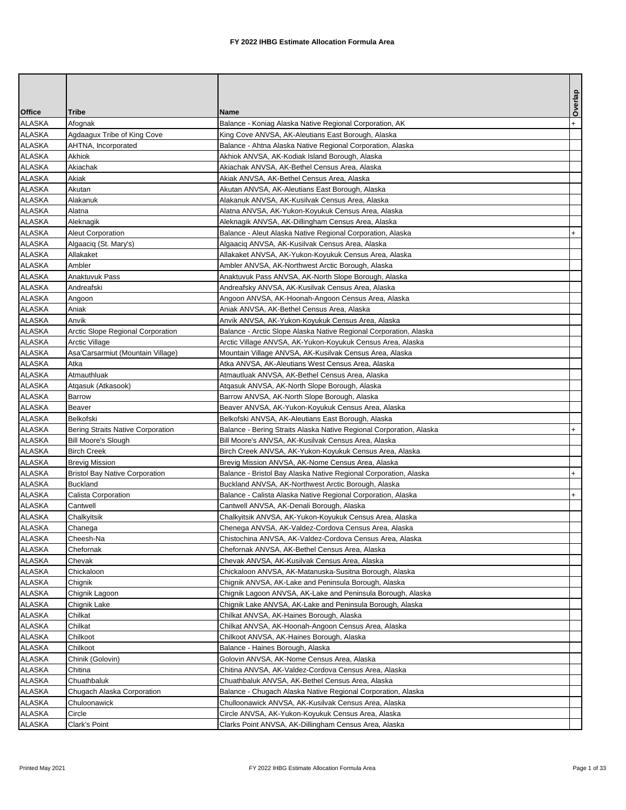|                                |                                        |                                                                                                                     | Overlap   |
|--------------------------------|----------------------------------------|---------------------------------------------------------------------------------------------------------------------|-----------|
| <b>Office</b>                  | <b>Tribe</b>                           | <b>Name</b>                                                                                                         |           |
| <b>ALASKA</b>                  | Afognak                                | Balance - Koniag Alaska Native Regional Corporation, AK                                                             | $+$       |
| <b>ALASKA</b>                  | Agdaagux Tribe of King Cove            | King Cove ANVSA, AK-Aleutians East Borough, Alaska                                                                  |           |
| <b>ALASKA</b>                  | AHTNA, Incorporated                    | Balance - Ahtna Alaska Native Regional Corporation, Alaska                                                          |           |
| <b>ALASKA</b>                  | Akhiok                                 | Akhiok ANVSA, AK-Kodiak Island Borough, Alaska                                                                      |           |
| <b>ALASKA</b>                  | Akiachak                               | Akiachak ANVSA, AK-Bethel Census Area, Alaska                                                                       |           |
| <b>ALASKA</b>                  | Akiak                                  | Akiak ANVSA, AK-Bethel Census Area, Alaska                                                                          |           |
| <b>ALASKA</b>                  | Akutan                                 | Akutan ANVSA, AK-Aleutians East Borough, Alaska                                                                     |           |
| <b>ALASKA</b>                  | Alakanuk                               | Alakanuk ANVSA, AK-Kusilvak Census Area, Alaska                                                                     |           |
| <b>ALASKA</b>                  | Alatna                                 | Alatna ANVSA, AK-Yukon-Koyukuk Census Area, Alaska                                                                  |           |
| <b>ALASKA</b><br><b>ALASKA</b> | Aleknagik<br>Aleut Corporation         | Aleknagik ANVSA, AK-Dillingham Census Area, Alaska                                                                  | $\ddot{}$ |
| <b>ALASKA</b>                  | Algaaciq (St. Mary's)                  | Balance - Aleut Alaska Native Regional Corporation, Alaska<br>Algaaciq ANVSA, AK-Kusilvak Census Area, Alaska       |           |
| <b>ALASKA</b>                  | Allakaket                              | Allakaket ANVSA, AK-Yukon-Koyukuk Census Area, Alaska                                                               |           |
| <b>ALASKA</b>                  | Ambler                                 | Ambler ANVSA, AK-Northwest Arctic Borough, Alaska                                                                   |           |
| <b>ALASKA</b>                  | Anaktuvuk Pass                         | Anaktuvuk Pass ANVSA, AK-North Slope Borough, Alaska                                                                |           |
| <b>ALASKA</b>                  | Andreafski                             | Andreafsky ANVSA, AK-Kusilvak Census Area, Alaska                                                                   |           |
| <b>ALASKA</b>                  | Angoon                                 | Angoon ANVSA, AK-Hoonah-Angoon Census Area, Alaska                                                                  |           |
| <b>ALASKA</b>                  | Aniak                                  | Aniak ANVSA, AK-Bethel Census Area, Alaska                                                                          |           |
| <b>ALASKA</b>                  | Anvik                                  | Anvik ANVSA, AK-Yukon-Koyukuk Census Area, Alaska                                                                   |           |
| <b>ALASKA</b>                  | Arctic Slope Regional Corporation      | Balance - Arctic Slope Alaska Native Regional Corporation, Alaska                                                   |           |
| <b>ALASKA</b>                  | <b>Arctic Village</b>                  | Arctic Village ANVSA, AK-Yukon-Koyukuk Census Area, Alaska                                                          |           |
| <b>ALASKA</b>                  | Asa'Carsarmiut (Mountain Village)      | Mountain Village ANVSA, AK-Kusilvak Census Area, Alaska                                                             |           |
| <b>ALASKA</b>                  | Atka                                   | Atka ANVSA, AK-Aleutians West Census Area, Alaska                                                                   |           |
| <b>ALASKA</b>                  | Atmauthluak                            | Atmautluak ANVSA, AK-Bethel Census Area, Alaska                                                                     |           |
| <b>ALASKA</b>                  | Atgasuk (Atkasook)                     | Atgasuk ANVSA, AK-North Slope Borough, Alaska                                                                       |           |
| <b>ALASKA</b>                  | Barrow                                 | Barrow ANVSA, AK-North Slope Borough, Alaska                                                                        |           |
| <b>ALASKA</b>                  | Beaver                                 | Beaver ANVSA, AK-Yukon-Koyukuk Census Area, Alaska                                                                  |           |
| <b>ALASKA</b>                  | Belkofski                              | Belkofski ANVSA, AK-Aleutians East Borough, Alaska                                                                  |           |
| <b>ALASKA</b>                  | Bering Straits Native Corporation      | Balance - Bering Straits Alaska Native Regional Corporation, Alaska                                                 |           |
| <b>ALASKA</b>                  | Bill Moore's Slough                    | Bill Moore's ANVSA, AK-Kusilvak Census Area, Alaska                                                                 |           |
| <b>ALASKA</b>                  | <b>Birch Creek</b>                     | Birch Creek ANVSA, AK-Yukon-Koyukuk Census Area, Alaska                                                             |           |
| <b>ALASKA</b>                  | <b>Brevig Mission</b>                  | Brevig Mission ANVSA, AK-Nome Census Area, Alaska                                                                   |           |
| <b>ALASKA</b>                  | <b>Bristol Bay Native Corporation</b>  | Balance - Bristol Bay Alaska Native Regional Corporation, Alaska                                                    | $+$       |
| <b>ALASKA</b><br><b>ALASKA</b> | <b>Buckland</b><br>Calista Corporation | Buckland ANVSA, AK-Northwest Arctic Borough, Alaska<br>Balance - Calista Alaska Native Regional Corporation, Alaska | $+$       |
| <b>ALASKA</b>                  | Cantwell                               | Cantwell ANVSA, AK-Denali Borough, Alaska                                                                           |           |
| <b>ALASKA</b>                  | Chalkyitsik                            | Chalkyitsik ANVSA, AK-Yukon-Koyukuk Census Area, Alaska                                                             |           |
| ALASKA                         | Chanega                                | Chenega ANVSA, AK-Valdez-Cordova Census Area, Alaska                                                                |           |
| <b>ALASKA</b>                  | Cheesh-Na                              | Chistochina ANVSA, AK-Valdez-Cordova Census Area, Alaska                                                            |           |
| <b>ALASKA</b>                  | Chefornak                              | Chefornak ANVSA, AK-Bethel Census Area, Alaska                                                                      |           |
| <b>ALASKA</b>                  | Chevak                                 | Chevak ANVSA, AK-Kusilvak Census Area, Alaska                                                                       |           |
| <b>ALASKA</b>                  | Chickaloon                             | Chickaloon ANVSA, AK-Matanuska-Susitna Borough, Alaska                                                              |           |
| <b>ALASKA</b>                  | Chignik                                | Chignik ANVSA, AK-Lake and Peninsula Borough, Alaska                                                                |           |
| <b>ALASKA</b>                  | Chignik Lagoon                         | Chignik Lagoon ANVSA, AK-Lake and Peninsula Borough, Alaska                                                         |           |
| <b>ALASKA</b>                  | Chignik Lake                           | Chignik Lake ANVSA, AK-Lake and Peninsula Borough, Alaska                                                           |           |
| <b>ALASKA</b>                  | Chilkat                                | Chilkat ANVSA, AK-Haines Borough, Alaska                                                                            |           |
| <b>ALASKA</b>                  | Chilkat                                | Chilkat ANVSA, AK-Hoonah-Angoon Census Area, Alaska                                                                 |           |
| <b>ALASKA</b>                  | Chilkoot                               | Chilkoot ANVSA, AK-Haines Borough, Alaska                                                                           |           |
| <b>ALASKA</b>                  | Chilkoot                               | Balance - Haines Borough, Alaska                                                                                    |           |
| <b>ALASKA</b>                  | Chinik (Golovin)                       | Golovin ANVSA, AK-Nome Census Area, Alaska                                                                          |           |
| <b>ALASKA</b>                  | Chitina                                | Chitina ANVSA, AK-Valdez-Cordova Census Area, Alaska                                                                |           |
| <b>ALASKA</b>                  | Chuathbaluk                            | Chuathbaluk ANVSA, AK-Bethel Census Area, Alaska                                                                    |           |
| <b>ALASKA</b>                  | Chugach Alaska Corporation             | Balance - Chugach Alaska Native Regional Corporation, Alaska                                                        |           |
| <b>ALASKA</b>                  | Chuloonawick                           | Chulloonawick ANVSA, AK-Kusilvak Census Area, Alaska                                                                |           |
| <b>ALASKA</b>                  | Circle                                 | Circle ANVSA, AK-Yukon-Koyukuk Census Area, Alaska                                                                  |           |
| <b>ALASKA</b>                  | Clark's Point                          | Clarks Point ANVSA, AK-Dillingham Census Area, Alaska                                                               |           |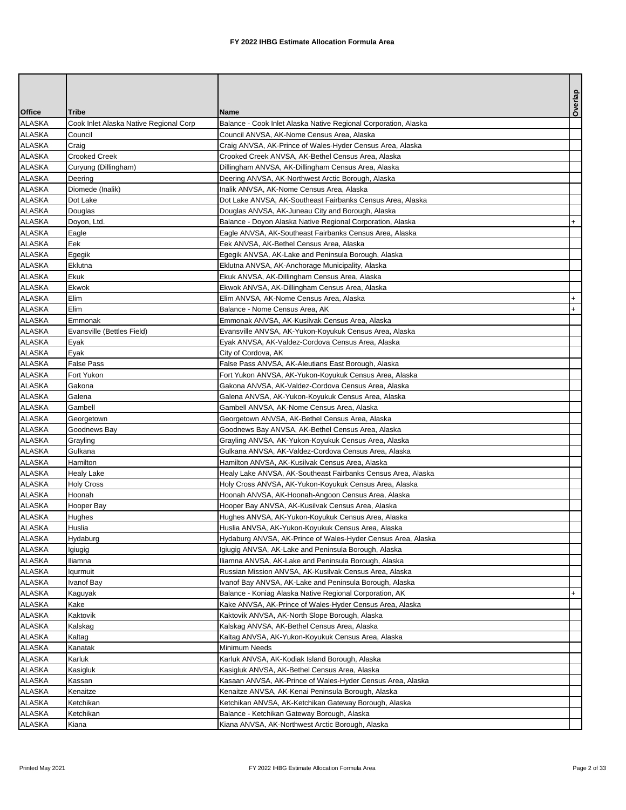|               |                                        |                                                                 | Overlap |
|---------------|----------------------------------------|-----------------------------------------------------------------|---------|
| <b>Office</b> | Tribe                                  | <b>Name</b>                                                     |         |
| <b>ALASKA</b> | Cook Inlet Alaska Native Regional Corp | Balance - Cook Inlet Alaska Native Regional Corporation, Alaska |         |
| <b>ALASKA</b> | Council                                | Council ANVSA, AK-Nome Census Area, Alaska                      |         |
| <b>ALASKA</b> | Craig                                  | Craig ANVSA, AK-Prince of Wales-Hyder Census Area, Alaska       |         |
| <b>ALASKA</b> | <b>Crooked Creek</b>                   | Crooked Creek ANVSA, AK-Bethel Census Area, Alaska              |         |
| <b>ALASKA</b> | Curyung (Dillingham)                   | Dillingham ANVSA, AK-Dillingham Census Area, Alaska             |         |
| <b>ALASKA</b> | Deering                                | Deering ANVSA, AK-Northwest Arctic Borough, Alaska              |         |
| <b>ALASKA</b> | Diomede (Inalik)                       | Inalik ANVSA, AK-Nome Census Area, Alaska                       |         |
| <b>ALASKA</b> | Dot Lake                               | Dot Lake ANVSA, AK-Southeast Fairbanks Census Area, Alaska      |         |
| <b>ALASKA</b> | Douglas                                | Douglas ANVSA, AK-Juneau City and Borough, Alaska               |         |
| <b>ALASKA</b> | Doyon, Ltd.                            | Balance - Doyon Alaska Native Regional Corporation, Alaska      | $+$     |
| <b>ALASKA</b> | Eagle                                  | Eagle ANVSA, AK-Southeast Fairbanks Census Area, Alaska         |         |
| <b>ALASKA</b> | Eek                                    | Eek ANVSA, AK-Bethel Census Area, Alaska                        |         |
| <b>ALASKA</b> | Egegik                                 | Egegik ANVSA, AK-Lake and Peninsula Borough, Alaska             |         |
| <b>ALASKA</b> | Eklutna                                | Eklutna ANVSA, AK-Anchorage Municipality, Alaska                |         |
| <b>ALASKA</b> | Ekuk                                   | Ekuk ANVSA, AK-Dillingham Census Area, Alaska                   |         |
| <b>ALASKA</b> | Ekwok                                  | Ekwok ANVSA, AK-Dillingham Census Area, Alaska                  |         |
| <b>ALASKA</b> | Elim                                   | Elim ANVSA, AK-Nome Census Area, Alaska                         | $+$     |
| <b>ALASKA</b> | Elim                                   | Balance - Nome Census Area, AK                                  | $+$     |
| <b>ALASKA</b> | Emmonak                                | Emmonak ANVSA, AK-Kusilvak Census Area, Alaska                  |         |
| ALASKA        | Evansville (Bettles Field)             | Evansville ANVSA, AK-Yukon-Koyukuk Census Area, Alaska          |         |
| <b>ALASKA</b> | Eyak                                   | Eyak ANVSA, AK-Valdez-Cordova Census Area, Alaska               |         |
| <b>ALASKA</b> | Eyak                                   | City of Cordova, AK                                             |         |
| <b>ALASKA</b> | False Pass                             | False Pass ANVSA, AK-Aleutians East Borough, Alaska             |         |
| <b>ALASKA</b> | Fort Yukon                             | Fort Yukon ANVSA, AK-Yukon-Koyukuk Census Area, Alaska          |         |
| <b>ALASKA</b> | Gakona                                 | Gakona ANVSA, AK-Valdez-Cordova Census Area, Alaska             |         |
| <b>ALASKA</b> | Galena                                 | Galena ANVSA, AK-Yukon-Koyukuk Census Area, Alaska              |         |
| <b>ALASKA</b> | Gambell                                | Gambell ANVSA, AK-Nome Census Area, Alaska                      |         |
| <b>ALASKA</b> | Georgetown                             | Georgetown ANVSA, AK-Bethel Census Area, Alaska                 |         |
| <b>ALASKA</b> | Goodnews Bay                           | Goodnews Bay ANVSA, AK-Bethel Census Area, Alaska               |         |
| <b>ALASKA</b> | Grayling                               | Grayling ANVSA, AK-Yukon-Koyukuk Census Area, Alaska            |         |
| <b>ALASKA</b> | Gulkana                                | Gulkana ANVSA, AK-Valdez-Cordova Census Area, Alaska            |         |
| <b>ALASKA</b> | Hamilton                               | Hamilton ANVSA, AK-Kusilvak Census Area, Alaska                 |         |
| <b>ALASKA</b> | Healy Lake                             | Healy Lake ANVSA, AK-Southeast Fairbanks Census Area, Alaska    |         |
| <b>ALASKA</b> | <b>Holy Cross</b>                      | Holy Cross ANVSA, AK-Yukon-Koyukuk Census Area, Alaska          |         |
| <b>ALASKA</b> | Hoonah                                 | Hoonah ANVSA, AK-Hoonah-Angoon Census Area, Alaska              |         |
| <b>ALASKA</b> | Hooper Bay                             | Hooper Bay ANVSA, AK-Kusilvak Census Area, Alaska               |         |
| <b>ALASKA</b> | Hughes                                 | Hughes ANVSA, AK-Yukon-Koyukuk Census Area, Alaska              |         |
| <b>ALASKA</b> | Huslia                                 | Huslia ANVSA, AK-Yukon-Koyukuk Census Area, Alaska              |         |
| <b>ALASKA</b> | Hydaburg                               | Hydaburg ANVSA, AK-Prince of Wales-Hyder Census Area, Alaska    |         |
| <b>ALASKA</b> | Igiugig                                | Igiugig ANVSA, AK-Lake and Peninsula Borough, Alaska            |         |
| <b>ALASKA</b> | Iliamna                                | lliamna ANVSA, AK-Lake and Peninsula Borough, Alaska            |         |
| ALASKA        | lqurmuit                               | Russian Mission ANVSA, AK-Kusilvak Census Area, Alaska          |         |
| <b>ALASKA</b> | Ivanof Bay                             | Ivanof Bay ANVSA, AK-Lake and Peninsula Borough, Alaska         |         |
| <b>ALASKA</b> | Kaguyak                                | Balance - Koniag Alaska Native Regional Corporation, AK         | $+$     |
| <b>ALASKA</b> | Kake                                   | Kake ANVSA, AK-Prince of Wales-Hyder Census Area, Alaska        |         |
| <b>ALASKA</b> | Kaktovik                               | Kaktovik ANVSA, AK-North Slope Borough, Alaska                  |         |
| ALASKA        | Kalskag                                | Kalskag ANVSA, AK-Bethel Census Area, Alaska                    |         |
| <b>ALASKA</b> | Kaltag                                 | Kaltag ANVSA, AK-Yukon-Koyukuk Census Area, Alaska              |         |
| <b>ALASKA</b> | Kanatak                                | Minimum Needs                                                   |         |
| <b>ALASKA</b> | Karluk                                 | Karluk ANVSA, AK-Kodiak Island Borough, Alaska                  |         |
| ALASKA        | Kasigluk                               | Kasigluk ANVSA, AK-Bethel Census Area, Alaska                   |         |
| <b>ALASKA</b> | Kassan                                 | Kasaan ANVSA, AK-Prince of Wales-Hyder Census Area, Alaska      |         |
| <b>ALASKA</b> | Kenaitze                               | Kenaitze ANVSA, AK-Kenai Peninsula Borough, Alaska              |         |
| <b>ALASKA</b> | Ketchikan                              | Ketchikan ANVSA, AK-Ketchikan Gateway Borough, Alaska           |         |
| <b>ALASKA</b> | Ketchikan                              | Balance - Ketchikan Gateway Borough, Alaska                     |         |
| ALASKA        | Kiana                                  | Kiana ANVSA, AK-Northwest Arctic Borough, Alaska                |         |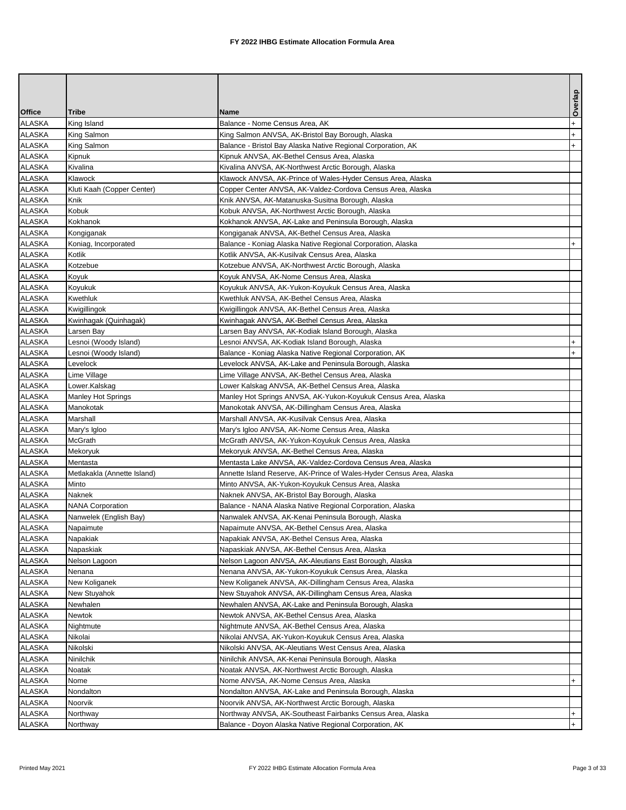|               |                             |                                                                      | Overlap   |
|---------------|-----------------------------|----------------------------------------------------------------------|-----------|
| <b>Office</b> | Tribe                       | <b>Name</b>                                                          |           |
| ALASKA        | King Island                 | Balance - Nome Census Area, AK                                       | $\ddot{}$ |
| <b>ALASKA</b> | King Salmon                 | King Salmon ANVSA, AK-Bristol Bay Borough, Alaska                    | $+$       |
| <b>ALASKA</b> | King Salmon                 | Balance - Bristol Bay Alaska Native Regional Corporation, AK         | $+$       |
| <b>ALASKA</b> | Kipnuk                      | Kipnuk ANVSA, AK-Bethel Census Area, Alaska                          |           |
| <b>ALASKA</b> | Kivalina                    | Kivalina ANVSA, AK-Northwest Arctic Borough, Alaska                  |           |
| ALASKA        | Klawock                     | Klawock ANVSA, AK-Prince of Wales-Hyder Census Area, Alaska          |           |
| <b>ALASKA</b> | Kluti Kaah (Copper Center)  | Copper Center ANVSA, AK-Valdez-Cordova Census Area, Alaska           |           |
| <b>ALASKA</b> | Knik                        | Knik ANVSA, AK-Matanuska-Susitna Borough, Alaska                     |           |
| <b>ALASKA</b> | Kobuk                       | Kobuk ANVSA, AK-Northwest Arctic Borough, Alaska                     |           |
| <b>ALASKA</b> | Kokhanok                    | Kokhanok ANVSA, AK-Lake and Peninsula Borough, Alaska                |           |
| <b>ALASKA</b> | Kongiganak                  | Kongiganak ANVSA, AK-Bethel Census Area, Alaska                      |           |
| <b>ALASKA</b> | Koniag, Incorporated        | Balance - Koniag Alaska Native Regional Corporation, Alaska          | $+$       |
| <b>ALASKA</b> | Kotlik                      | Kotlik ANVSA, AK-Kusilvak Census Area, Alaska                        |           |
| ALASKA        | Kotzebue                    | Kotzebue ANVSA, AK-Northwest Arctic Borough, Alaska                  |           |
| ALASKA        | Koyuk                       | Koyuk ANVSA, AK-Nome Census Area, Alaska                             |           |
| ALASKA        | Koyukuk                     | Koyukuk ANVSA, AK-Yukon-Koyukuk Census Area, Alaska                  |           |
| <b>ALASKA</b> | Kwethluk                    | Kwethluk ANVSA, AK-Bethel Census Area, Alaska                        |           |
| <b>ALASKA</b> | Kwigillingok                | Kwigillingok ANVSA, AK-Bethel Census Area, Alaska                    |           |
| <b>ALASKA</b> | Kwinhagak (Quinhagak)       | Kwinhagak ANVSA, AK-Bethel Census Area, Alaska                       |           |
| <b>ALASKA</b> | Larsen Bay                  | Larsen Bay ANVSA, AK-Kodiak Island Borough, Alaska                   |           |
| <b>ALASKA</b> | Lesnoi (Woody Island)       | Lesnoi ANVSA, AK-Kodiak Island Borough, Alaska                       | $\ddot{}$ |
| <b>ALASKA</b> | Lesnoi (Woody Island)       | Balance - Koniag Alaska Native Regional Corporation, AK              | $+$       |
| <b>ALASKA</b> | Levelock                    | Levelock ANVSA, AK-Lake and Peninsula Borough, Alaska                |           |
| ALASKA        | Lime Village                | Lime Village ANVSA, AK-Bethel Census Area, Alaska                    |           |
| ALASKA        | Lower.Kalskag               | Lower Kalskag ANVSA, AK-Bethel Census Area, Alaska                   |           |
| <b>ALASKA</b> | <b>Manley Hot Springs</b>   | Manley Hot Springs ANVSA, AK-Yukon-Koyukuk Census Area, Alaska       |           |
| <b>ALASKA</b> | Manokotak                   | Manokotak ANVSA, AK-Dillingham Census Area, Alaska                   |           |
| <b>ALASKA</b> | Marshall                    | Marshall ANVSA, AK-Kusilvak Census Area, Alaska                      |           |
| ALASKA        | Mary's Igloo                | Mary's Igloo ANVSA, AK-Nome Census Area, Alaska                      |           |
| <b>ALASKA</b> | McGrath                     | McGrath ANVSA, AK-Yukon-Koyukuk Census Area, Alaska                  |           |
| <b>ALASKA</b> | Mekoryuk                    | Mekoryuk ANVSA, AK-Bethel Census Area, Alaska                        |           |
| <b>ALASKA</b> | Mentasta                    | Mentasta Lake ANVSA, AK-Valdez-Cordova Census Area, Alaska           |           |
| <b>ALASKA</b> | Metlakakla (Annette Island) | Annette Island Reserve, AK-Prince of Wales-Hyder Census Area, Alaska |           |
| ALASKA        | Minto                       | Minto ANVSA, AK-Yukon-Koyukuk Census Area, Alaska                    |           |
| <b>ALASKA</b> | Naknek                      | Naknek ANVSA, AK-Bristol Bay Borough, Alaska                         |           |
| <b>ALASKA</b> | <b>NANA Corporation</b>     | Balance - NANA Alaska Native Regional Corporation, Alaska            |           |
| <b>ALASKA</b> | Nanwelek (English Bay)      | Nanwalek ANVSA, AK-Kenai Peninsula Borough, Alaska                   |           |
| <b>ALASKA</b> | Napaimute                   | Napaimute ANVSA, AK-Bethel Census Area, Alaska                       |           |
| <b>ALASKA</b> | Napakiak                    | Napakiak ANVSA, AK-Bethel Census Area, Alaska                        |           |
| <b>ALASKA</b> | Napaskiak                   | Napaskiak ANVSA, AK-Bethel Census Area, Alaska                       |           |
| ALASKA        | Nelson Lagoon               | Nelson Lagoon ANVSA, AK-Aleutians East Borough, Alaska               |           |
| ALASKA        | Nenana                      | Nenana ANVSA, AK-Yukon-Koyukuk Census Area, Alaska                   |           |
| ALASKA        | New Koliganek               | New Koliganek ANVSA, AK-Dillingham Census Area, Alaska               |           |
| ALASKA        | New Stuyahok                | New Stuyahok ANVSA, AK-Dillingham Census Area, Alaska                |           |
| <b>ALASKA</b> | Newhalen                    | Newhalen ANVSA, AK-Lake and Peninsula Borough, Alaska                |           |
| ALASKA        | Newtok                      | Newtok ANVSA, AK-Bethel Census Area, Alaska                          |           |
| ALASKA        | Nightmute                   | Nightmute ANVSA, AK-Bethel Census Area, Alaska                       |           |
| <b>ALASKA</b> | Nikolai                     | Nikolai ANVSA, AK-Yukon-Koyukuk Census Area, Alaska                  |           |
| <b>ALASKA</b> | Nikolski                    | Nikolski ANVSA, AK-Aleutians West Census Area, Alaska                |           |
| ALASKA        | Ninilchik                   | Ninilchik ANVSA, AK-Kenai Peninsula Borough, Alaska                  |           |
| ALASKA        | Noatak                      | Noatak ANVSA, AK-Northwest Arctic Borough, Alaska                    |           |
| ALASKA        | Nome                        | Nome ANVSA, AK-Nome Census Area, Alaska                              | $+$       |
| <b>ALASKA</b> | Nondalton                   | Nondalton ANVSA, AK-Lake and Peninsula Borough, Alaska               |           |
| <b>ALASKA</b> | Noorvik                     | Noorvik ANVSA, AK-Northwest Arctic Borough, Alaska                   |           |
| ALASKA        | Northway                    | Northway ANVSA, AK-Southeast Fairbanks Census Area, Alaska           | $+$       |
| ALASKA        | Northway                    | Balance - Doyon Alaska Native Regional Corporation, AK               | $+$       |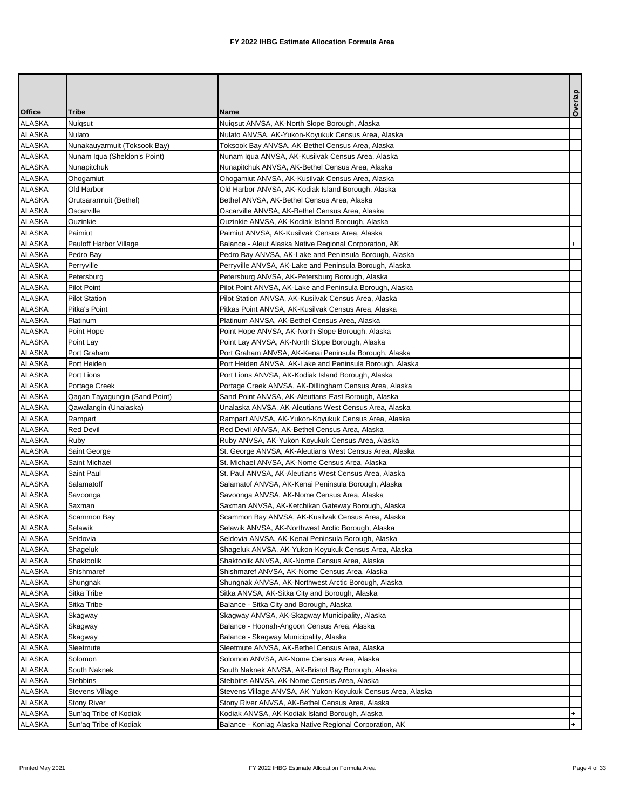|                                |                                                  |                                                                                                                 | Overlap    |
|--------------------------------|--------------------------------------------------|-----------------------------------------------------------------------------------------------------------------|------------|
| <b>Office</b>                  | <b>Tribe</b>                                     | <b>Name</b>                                                                                                     |            |
| <b>ALASKA</b>                  | Nuigsut                                          | Nuigsut ANVSA, AK-North Slope Borough, Alaska                                                                   |            |
| ALASKA                         | Nulato                                           | Nulato ANVSA, AK-Yukon-Koyukuk Census Area, Alaska                                                              |            |
| <b>ALASKA</b>                  | Nunakauyarmuit (Toksook Bay)                     | Toksook Bay ANVSA, AK-Bethel Census Area, Alaska                                                                |            |
| ALASKA                         | Nunam Iqua (Sheldon's Point)                     | Nunam Iqua ANVSA, AK-Kusilvak Census Area, Alaska                                                               |            |
| <b>ALASKA</b>                  | Nunapitchuk                                      | Nunapitchuk ANVSA, AK-Bethel Census Area, Alaska                                                                |            |
| <b>ALASKA</b>                  | Ohogamiut                                        | Ohogamiut ANVSA, AK-Kusilvak Census Area, Alaska                                                                |            |
| <b>ALASKA</b>                  | Old Harbor                                       | Old Harbor ANVSA, AK-Kodiak Island Borough, Alaska                                                              |            |
| <b>ALASKA</b>                  | Orutsararmuit (Bethel)                           | Bethel ANVSA, AK-Bethel Census Area, Alaska                                                                     |            |
| <b>ALASKA</b>                  | Oscarville                                       | Oscarville ANVSA, AK-Bethel Census Area, Alaska                                                                 |            |
| <b>ALASKA</b>                  | Ouzinkie                                         | Ouzinkie ANVSA, AK-Kodiak Island Borough, Alaska                                                                |            |
| ALASKA                         | Paimiut                                          | Paimiut ANVSA, AK-Kusilvak Census Area, Alaska                                                                  |            |
| <b>ALASKA</b>                  | Pauloff Harbor Village                           | Balance - Aleut Alaska Native Regional Corporation, AK                                                          |            |
| ALASKA                         | Pedro Bay                                        | Pedro Bay ANVSA, AK-Lake and Peninsula Borough, Alaska                                                          |            |
| <b>ALASKA</b>                  | Perryville                                       | Perryville ANVSA, AK-Lake and Peninsula Borough, Alaska                                                         |            |
| <b>ALASKA</b>                  | Petersburg                                       | Petersburg ANVSA, AK-Petersburg Borough, Alaska                                                                 |            |
| <b>ALASKA</b>                  | <b>Pilot Point</b>                               | Pilot Point ANVSA, AK-Lake and Peninsula Borough, Alaska                                                        |            |
| <b>ALASKA</b>                  | <b>Pilot Station</b>                             | Pilot Station ANVSA, AK-Kusilvak Census Area, Alaska                                                            |            |
| <b>ALASKA</b>                  | Pitka's Point                                    | Pitkas Point ANVSA, AK-Kusilvak Census Area, Alaska                                                             |            |
| <b>ALASKA</b>                  | Platinum                                         | Platinum ANVSA, AK-Bethel Census Area, Alaska                                                                   |            |
| ALASKA                         | Point Hope                                       | Point Hope ANVSA, AK-North Slope Borough, Alaska                                                                |            |
| <b>ALASKA</b>                  | Point Lay                                        | Point Lay ANVSA, AK-North Slope Borough, Alaska                                                                 |            |
| <b>ALASKA</b>                  | Port Graham                                      | Port Graham ANVSA, AK-Kenai Peninsula Borough, Alaska                                                           |            |
| <b>ALASKA</b>                  | Port Heiden                                      | Port Heiden ANVSA, AK-Lake and Peninsula Borough, Alaska                                                        |            |
| <b>ALASKA</b>                  | Port Lions                                       | Port Lions ANVSA, AK-Kodiak Island Borough, Alaska                                                              |            |
| <b>ALASKA</b>                  | Portage Creek                                    | Portage Creek ANVSA, AK-Dillingham Census Area, Alaska                                                          |            |
| <b>ALASKA</b>                  | Qagan Tayagungin (Sand Point)                    | Sand Point ANVSA, AK-Aleutians East Borough, Alaska                                                             |            |
| <b>ALASKA</b>                  | Qawalangin (Unalaska)                            | Unalaska ANVSA, AK-Aleutians West Census Area, Alaska                                                           |            |
| <b>ALASKA</b>                  | Rampart                                          | Rampart ANVSA, AK-Yukon-Koyukuk Census Area, Alaska                                                             |            |
| <b>ALASKA</b>                  | Red Devil                                        | Red Devil ANVSA, AK-Bethel Census Area, Alaska                                                                  |            |
| <b>ALASKA</b>                  | Ruby                                             | Ruby ANVSA, AK-Yukon-Koyukuk Census Area, Alaska                                                                |            |
| <b>ALASKA</b><br><b>ALASKA</b> | Saint George<br>Saint Michael                    | St. George ANVSA, AK-Aleutians West Census Area, Alaska                                                         |            |
| <b>ALASKA</b>                  | Saint Paul                                       | St. Michael ANVSA, AK-Nome Census Area, Alaska                                                                  |            |
| <b>ALASKA</b>                  | Salamatoff                                       | St. Paul ANVSA, AK-Aleutians West Census Area, Alaska<br>Salamatof ANVSA, AK-Kenai Peninsula Borough, Alaska    |            |
|                                |                                                  |                                                                                                                 |            |
| <b>ALASKA</b><br><b>ALASKA</b> | Savoonga<br>Saxman                               | Savoonga ANVSA, AK-Nome Census Area, Alaska<br>Saxman ANVSA, AK-Ketchikan Gateway Borough, Alaska               |            |
| <b>ALASKA</b>                  |                                                  |                                                                                                                 |            |
|                                | Scammon Bay<br>Selawik                           | Scammon Bay ANVSA, AK-Kusilvak Census Area, Alaska                                                              |            |
| <b>ALASKA</b>                  |                                                  | Selawik ANVSA, AK-Northwest Arctic Borough, Alaska                                                              |            |
| <b>ALASKA</b><br><b>ALASKA</b> | Seldovia                                         | Seldovia ANVSA, AK-Kenai Peninsula Borough, Alaska                                                              |            |
| <b>ALASKA</b>                  | Shageluk<br>Shaktoolik                           | Shageluk ANVSA, AK-Yukon-Koyukuk Census Area, Alaska<br>Shaktoolik ANVSA, AK-Nome Census Area, Alaska           |            |
| <b>ALASKA</b>                  | Shishmaref                                       | Shishmaref ANVSA, AK-Nome Census Area, Alaska                                                                   |            |
|                                |                                                  |                                                                                                                 |            |
| <b>ALASKA</b><br><b>ALASKA</b> | Shungnak<br>Sitka Tribe                          | Shungnak ANVSA, AK-Northwest Arctic Borough, Alaska<br>Sitka ANVSA, AK-Sitka City and Borough, Alaska           |            |
| <b>ALASKA</b>                  | Sitka Tribe                                      | Balance - Sitka City and Borough, Alaska                                                                        |            |
| <b>ALASKA</b>                  | Skagway                                          | Skagway ANVSA, AK-Skagway Municipality, Alaska                                                                  |            |
| ALASKA                         | Skagway                                          | Balance - Hoonah-Angoon Census Area, Alaska                                                                     |            |
| <b>ALASKA</b>                  |                                                  |                                                                                                                 |            |
| <b>ALASKA</b>                  | Skagway<br>Sleetmute                             | Balance - Skagway Municipality, Alaska<br>Sleetmute ANVSA, AK-Bethel Census Area, Alaska                        |            |
| <b>ALASKA</b>                  | Solomon                                          | Solomon ANVSA, AK-Nome Census Area, Alaska                                                                      |            |
| <b>ALASKA</b>                  |                                                  |                                                                                                                 |            |
|                                | South Naknek                                     | South Naknek ANVSA, AK-Bristol Bay Borough, Alaska                                                              |            |
| ALASKA<br><b>ALASKA</b>        | Stebbins                                         | Stebbins ANVSA, AK-Nome Census Area, Alaska                                                                     |            |
| ALASKA                         | Stevens Village<br><b>Stony River</b>            | Stevens Village ANVSA, AK-Yukon-Koyukuk Census Area, Alaska<br>Stony River ANVSA, AK-Bethel Census Area, Alaska |            |
|                                |                                                  |                                                                                                                 |            |
| <b>ALASKA</b><br>ALASKA        | Sun'aq Tribe of Kodiak<br>Sun'aq Tribe of Kodiak | Kodiak ANVSA, AK-Kodiak Island Borough, Alaska<br>Balance - Koniag Alaska Native Regional Corporation, AK       | $+$<br>$+$ |
|                                |                                                  |                                                                                                                 |            |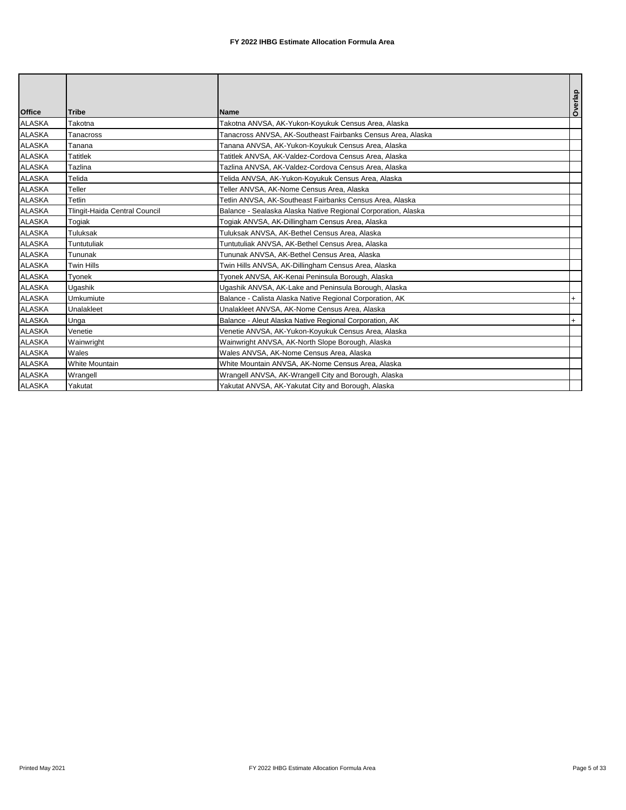| <b>Office</b> | <b>Tribe</b>                  | <b>Name</b>                                                   | Overlap   |
|---------------|-------------------------------|---------------------------------------------------------------|-----------|
| <b>ALASKA</b> | Takotna                       | Takotna ANVSA, AK-Yukon-Koyukuk Census Area, Alaska           |           |
| <b>ALASKA</b> | Tanacross                     | Tanacross ANVSA, AK-Southeast Fairbanks Census Area, Alaska   |           |
| <b>ALASKA</b> | Tanana                        | Tanana ANVSA, AK-Yukon-Koyukuk Census Area, Alaska            |           |
| <b>ALASKA</b> | <b>Tatitlek</b>               | Tatitlek ANVSA, AK-Valdez-Cordova Census Area, Alaska         |           |
| <b>ALASKA</b> | Tazlina                       | Tazlina ANVSA, AK-Valdez-Cordova Census Area, Alaska          |           |
| <b>ALASKA</b> | Telida                        | Telida ANVSA, AK-Yukon-Koyukuk Census Area, Alaska            |           |
| <b>ALASKA</b> | Teller                        | Teller ANVSA, AK-Nome Census Area, Alaska                     |           |
| <b>ALASKA</b> | Tetlin                        | Tetlin ANVSA, AK-Southeast Fairbanks Census Area, Alaska      |           |
| <b>ALASKA</b> | Tlingit-Haida Central Council | Balance - Sealaska Alaska Native Regional Corporation, Alaska |           |
| <b>ALASKA</b> | Togiak                        | Togiak ANVSA, AK-Dillingham Census Area, Alaska               |           |
| <b>ALASKA</b> | Tuluksak                      | Tuluksak ANVSA, AK-Bethel Census Area, Alaska                 |           |
| <b>ALASKA</b> | Tuntutuliak                   | Tuntutuliak ANVSA, AK-Bethel Census Area, Alaska              |           |
| <b>ALASKA</b> | Tununak                       | Tununak ANVSA, AK-Bethel Census Area, Alaska                  |           |
| <b>ALASKA</b> | Twin Hills                    | Twin Hills ANVSA, AK-Dillingham Census Area, Alaska           |           |
| <b>ALASKA</b> | Tyonek                        | Tyonek ANVSA, AK-Kenai Peninsula Borough, Alaska              |           |
| <b>ALASKA</b> | Ugashik                       | Ugashik ANVSA, AK-Lake and Peninsula Borough, Alaska          |           |
| <b>ALASKA</b> | Umkumiute                     | Balance - Calista Alaska Native Regional Corporation, AK      | $\ddot{}$ |
| <b>ALASKA</b> | Unalakleet                    | Unalakleet ANVSA, AK-Nome Census Area, Alaska                 |           |
| <b>ALASKA</b> | Unga                          | Balance - Aleut Alaska Native Regional Corporation, AK        | $\ddot{}$ |
| <b>ALASKA</b> | Venetie                       | Venetie ANVSA, AK-Yukon-Koyukuk Census Area, Alaska           |           |
| <b>ALASKA</b> | Wainwright                    | Wainwright ANVSA, AK-North Slope Borough, Alaska              |           |
| <b>ALASKA</b> | Wales                         | Wales ANVSA, AK-Nome Census Area, Alaska                      |           |
| <b>ALASKA</b> | <b>White Mountain</b>         | White Mountain ANVSA, AK-Nome Census Area, Alaska             |           |
| <b>ALASKA</b> | Wrangell                      | Wrangell ANVSA, AK-Wrangell City and Borough, Alaska          |           |
| <b>ALASKA</b> | Yakutat                       | Yakutat ANVSA, AK-Yakutat City and Borough, Alaska            |           |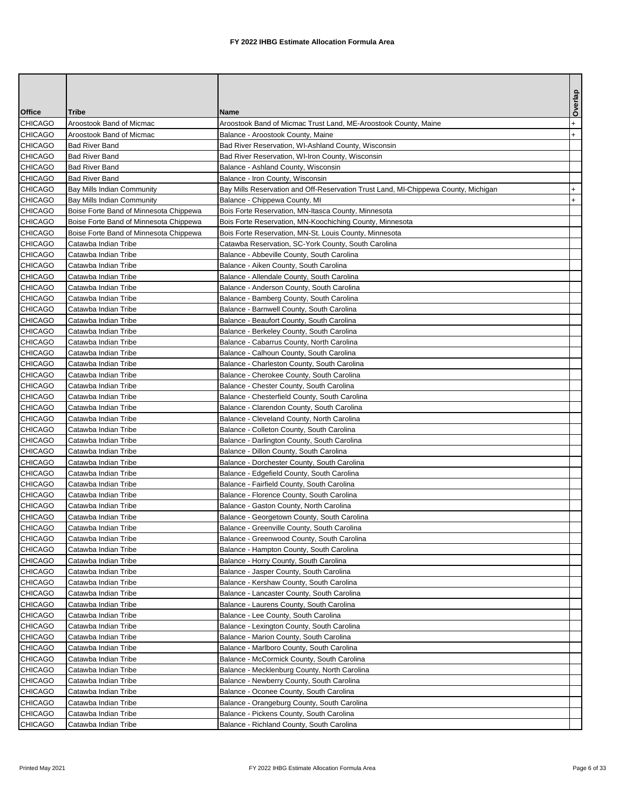|                    |                                              |                                                                                         | Overlap   |
|--------------------|----------------------------------------------|-----------------------------------------------------------------------------------------|-----------|
| <b>Office</b>      | Tribe                                        | Name                                                                                    |           |
| CHICAGO            | Aroostook Band of Micmac                     | Aroostook Band of Micmac Trust Land, ME-Aroostook County, Maine                         | $\ddot{}$ |
| CHICAGO            | Aroostook Band of Micmac                     | Balance - Aroostook County, Maine                                                       | $+$       |
| CHICAGO            | <b>Bad River Band</b>                        | Bad River Reservation, WI-Ashland County, Wisconsin                                     |           |
| CHICAGO            | <b>Bad River Band</b>                        | Bad River Reservation, WI-Iron County, Wisconsin                                        |           |
| CHICAGO            | <b>Bad River Band</b>                        | Balance - Ashland County, Wisconsin                                                     |           |
| CHICAGO            | <b>Bad River Band</b>                        | Balance - Iron County, Wisconsin                                                        |           |
| CHICAGO            | Bay Mills Indian Community                   | Bay Mills Reservation and Off-Reservation Trust Land, MI-Chippewa County, Michigan      | $\ddot{}$ |
| CHICAGO            | Bay Mills Indian Community                   | Balance - Chippewa County, MI                                                           | $+$       |
| CHICAGO            | Boise Forte Band of Minnesota Chippewa       | Bois Forte Reservation, MN-Itasca County, Minnesota                                     |           |
| CHICAGO            | Boise Forte Band of Minnesota Chippewa       | Bois Forte Reservation, MN-Koochiching County, Minnesota                                |           |
| CHICAGO            | Boise Forte Band of Minnesota Chippewa       | Bois Forte Reservation, MN-St. Louis County, Minnesota                                  |           |
| CHICAGO            | Catawba Indian Tribe                         | Catawba Reservation, SC-York County, South Carolina                                     |           |
| CHICAGO            | Catawba Indian Tribe                         | Balance - Abbeville County, South Carolina                                              |           |
| CHICAGO            | Catawba Indian Tribe                         | Balance - Aiken County, South Carolina                                                  |           |
| CHICAGO            | Catawba Indian Tribe                         | Balance - Allendale County, South Carolina                                              |           |
| CHICAGO            | Catawba Indian Tribe                         | Balance - Anderson County, South Carolina                                               |           |
| CHICAGO            | Catawba Indian Tribe                         | Balance - Bamberg County, South Carolina                                                |           |
| CHICAGO            | Catawba Indian Tribe                         | Balance - Barnwell County, South Carolina                                               |           |
| CHICAGO            | Catawba Indian Tribe                         | Balance - Beaufort County, South Carolina                                               |           |
| CHICAGO            | Catawba Indian Tribe                         | Balance - Berkeley County, South Carolina                                               |           |
| CHICAGO            | Catawba Indian Tribe                         | Balance - Cabarrus County, North Carolina                                               |           |
| CHICAGO            | Catawba Indian Tribe                         | Balance - Calhoun County, South Carolina                                                |           |
| CHICAGO            | Catawba Indian Tribe                         | Balance - Charleston County, South Carolina                                             |           |
| CHICAGO            | Catawba Indian Tribe                         | Balance - Cherokee County, South Carolina                                               |           |
| CHICAGO            | Catawba Indian Tribe                         | Balance - Chester County, South Carolina                                                |           |
| CHICAGO<br>CHICAGO | Catawba Indian Tribe                         | Balance - Chesterfield County, South Carolina                                           |           |
| CHICAGO            | Catawba Indian Tribe<br>Catawba Indian Tribe | Balance - Clarendon County, South Carolina                                              |           |
| CHICAGO            | Catawba Indian Tribe                         | Balance - Cleveland County, North Carolina<br>Balance - Colleton County, South Carolina |           |
| CHICAGO            | Catawba Indian Tribe                         | Balance - Darlington County, South Carolina                                             |           |
| CHICAGO            | Catawba Indian Tribe                         | Balance - Dillon County, South Carolina                                                 |           |
| CHICAGO            | Catawba Indian Tribe                         | Balance - Dorchester County, South Carolina                                             |           |
| CHICAGO            | Catawba Indian Tribe                         | Balance - Edgefield County, South Carolina                                              |           |
| CHICAGO            | Catawba Indian Tribe                         | Balance - Fairfield County, South Carolina                                              |           |
| CHICAGO            | Catawba Indian Tribe                         | Balance - Florence County, South Carolina                                               |           |
| CHICAGO            | Catawba Indian Tribe                         | Balance - Gaston County, North Carolina                                                 |           |
| <b>CHICAGO</b>     | Catawba Indian Tribe                         | Balance - Georgetown County, South Carolina                                             |           |
| CHICAGO            | Catawba Indian Tribe                         | Balance - Greenville County, South Carolina                                             |           |
| <b>CHICAGO</b>     | Catawba Indian Tribe                         | Balance - Greenwood County, South Carolina                                              |           |
| CHICAGO            | Catawba Indian Tribe                         | Balance - Hampton County, South Carolina                                                |           |
| CHICAGO            | Catawba Indian Tribe                         | Balance - Horry County, South Carolina                                                  |           |
| CHICAGO            | Catawba Indian Tribe                         | Balance - Jasper County, South Carolina                                                 |           |
| CHICAGO            | Catawba Indian Tribe                         | Balance - Kershaw County, South Carolina                                                |           |
| CHICAGO            | Catawba Indian Tribe                         | Balance - Lancaster County, South Carolina                                              |           |
| CHICAGO            | Catawba Indian Tribe                         | Balance - Laurens County, South Carolina                                                |           |
| CHICAGO            | Catawba Indian Tribe                         | Balance - Lee County, South Carolina                                                    |           |
| CHICAGO            | Catawba Indian Tribe                         | Balance - Lexington County, South Carolina                                              |           |
| CHICAGO            | Catawba Indian Tribe                         | Balance - Marion County, South Carolina                                                 |           |
| CHICAGO            | Catawba Indian Tribe                         | Balance - Marlboro County, South Carolina                                               |           |
| CHICAGO            | Catawba Indian Tribe                         | Balance - McCormick County, South Carolina                                              |           |
| CHICAGO            | Catawba Indian Tribe                         | Balance - Mecklenburg County, North Carolina                                            |           |
| CHICAGO            | Catawba Indian Tribe                         | Balance - Newberry County, South Carolina                                               |           |
| CHICAGO            | Catawba Indian Tribe                         | Balance - Oconee County, South Carolina                                                 |           |
| CHICAGO            | Catawba Indian Tribe                         | Balance - Orangeburg County, South Carolina                                             |           |
| CHICAGO            | Catawba Indian Tribe                         | Balance - Pickens County, South Carolina                                                |           |
| CHICAGO            | Catawba Indian Tribe                         | Balance - Richland County, South Carolina                                               |           |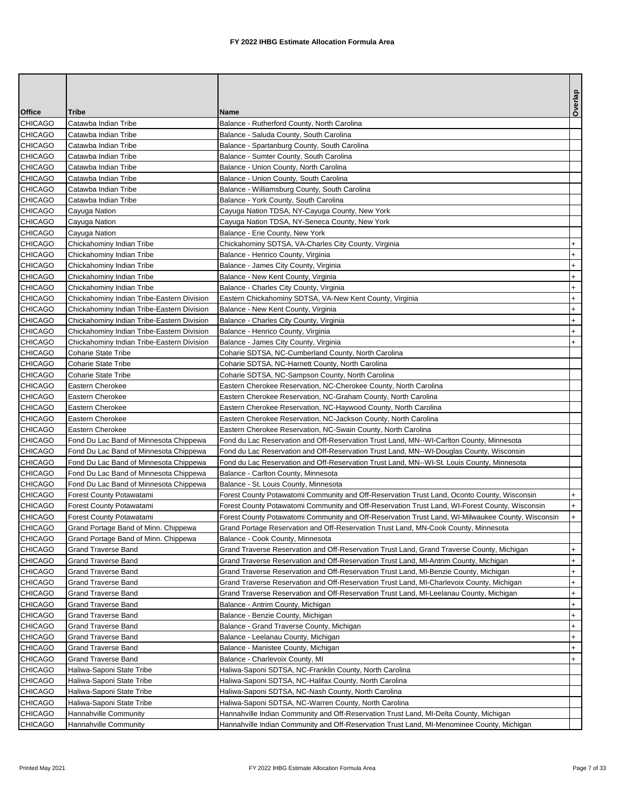|                    |                                                   |                                                                                                   | Overlap          |
|--------------------|---------------------------------------------------|---------------------------------------------------------------------------------------------------|------------------|
| <b>Office</b>      | Tribe                                             | <b>Name</b>                                                                                       |                  |
| CHICAGO            | Catawba Indian Tribe                              | Balance - Rutherford County, North Carolina                                                       |                  |
| <b>CHICAGO</b>     | Catawba Indian Tribe                              | Balance - Saluda County, South Carolina                                                           |                  |
| CHICAGO            | Catawba Indian Tribe                              | Balance - Spartanburg County, South Carolina                                                      |                  |
| CHICAGO            | Catawba Indian Tribe                              | Balance - Sumter County, South Carolina                                                           |                  |
| CHICAGO            | Catawba Indian Tribe                              | Balance - Union County, North Carolina                                                            |                  |
| CHICAGO            | Catawba Indian Tribe                              | Balance - Union County, South Carolina                                                            |                  |
| CHICAGO            | Catawba Indian Tribe                              | Balance - Williamsburg County, South Carolina                                                     |                  |
| CHICAGO            | Catawba Indian Tribe                              | Balance - York County, South Carolina                                                             |                  |
| CHICAGO<br>CHICAGO | Cayuga Nation                                     | Cayuga Nation TDSA, NY-Cayuga County, New York                                                    |                  |
| <b>CHICAGO</b>     | Cayuga Nation<br>Cayuga Nation                    | Cayuga Nation TDSA, NY-Seneca County, New York<br>Balance - Erie County, New York                 |                  |
| CHICAGO            | Chickahominy Indian Tribe                         | Chickahominy SDTSA, VA-Charles City County, Virginia                                              | $\ddot{}$        |
| CHICAGO            | Chickahominy Indian Tribe                         | Balance - Henrico County, Virginia                                                                | $\ddot{}$        |
| CHICAGO            | Chickahominy Indian Tribe                         | Balance - James City County, Virginia                                                             | $+$              |
| <b>CHICAGO</b>     | Chickahominy Indian Tribe                         | Balance - New Kent County, Virginia                                                               | $+$              |
| <b>CHICAGO</b>     | Chickahominy Indian Tribe                         | Balance - Charles City County, Virginia                                                           | $\ddot{}$        |
| CHICAGO            | Chickahominy Indian Tribe-Eastern Division        | Eastern Chickahominy SDTSA, VA-New Kent County, Virginia                                          | $\ddot{}$        |
| <b>CHICAGO</b>     | Chickahominy Indian Tribe-Eastern Division        | Balance - New Kent County, Virginia                                                               | $\ddot{}$        |
| CHICAGO            | Chickahominy Indian Tribe-Eastern Division        | Balance - Charles City County, Virginia                                                           | $+$              |
| <b>CHICAGO</b>     | Chickahominy Indian Tribe-Eastern Division        | Balance - Henrico County, Virginia                                                                | $\ddot{}$        |
| CHICAGO            | Chickahominy Indian Tribe-Eastern Division        | Balance - James City County, Virginia                                                             | $+$              |
| CHICAGO            | <b>Coharie State Tribe</b>                        | Coharie SDTSA, NC-Cumberland County, North Carolina                                               |                  |
| CHICAGO            | <b>Coharie State Tribe</b>                        | Coharie SDTSA, NC-Harnett County, North Carolina                                                  |                  |
| <b>CHICAGO</b>     | <b>Coharie State Tribe</b>                        | Coharie SDTSA, NC-Sampson County, North Carolina                                                  |                  |
| <b>CHICAGO</b>     | Eastern Cherokee                                  | Eastern Cherokee Reservation, NC-Cherokee County, North Carolina                                  |                  |
| CHICAGO            | Eastern Cherokee                                  | Eastern Cherokee Reservation, NC-Graham County, North Carolina                                    |                  |
| <b>CHICAGO</b>     | Eastern Cherokee                                  | Eastern Cherokee Reservation, NC-Haywood County, North Carolina                                   |                  |
| CHICAGO            | Eastern Cherokee                                  | Eastern Cherokee Reservation, NC-Jackson County, North Carolina                                   |                  |
| CHICAGO            | Eastern Cherokee                                  | Eastern Cherokee Reservation, NC-Swain County, North Carolina                                     |                  |
| CHICAGO            | Fond Du Lac Band of Minnesota Chippewa            | Fond du Lac Reservation and Off-Reservation Trust Land, MN--WI-Carlton County, Minnesota          |                  |
| CHICAGO            | Fond Du Lac Band of Minnesota Chippewa            | Fond du Lac Reservation and Off-Reservation Trust Land, MN--WI-Douglas County, Wisconsin          |                  |
| <b>CHICAGO</b>     | Fond Du Lac Band of Minnesota Chippewa            | Fond du Lac Reservation and Off-Reservation Trust Land, MN--WI-St. Louis County, Minnesota        |                  |
| <b>CHICAGO</b>     | Fond Du Lac Band of Minnesota Chippewa            | Balance - Carlton County, Minnesota                                                               |                  |
| <b>CHICAGO</b>     | Fond Du Lac Band of Minnesota Chippewa            | Balance - St. Louis County, Minnesota                                                             |                  |
| <b>CHICAGO</b>     | Forest County Potawatami                          | Forest County Potawatomi Community and Off-Reservation Trust Land, Oconto County, Wisconsin       | $+$              |
| <b>CHICAGO</b>     | Forest County Potawatami                          | Forest County Potawatomi Community and Off-Reservation Trust Land, WI-Forest County, Wisconsin    | $+$              |
| <b>CHICAGO</b>     | Forest County Potawatami                          | Forest County Potawatomi Community and Off-Reservation Trust Land, WI-Milwaukee County, Wisconsin | $+$              |
| <b>CHICAGO</b>     | Grand Portage Band of Minn. Chippewa              | Grand Portage Reservation and Off-Reservation Trust Land, MN-Cook County, Minnesota               |                  |
| CHICAGO            | Grand Portage Band of Minn. Chippewa              | Balance - Cook County, Minnesota                                                                  |                  |
| CHICAGO            | <b>Grand Traverse Band</b>                        | Grand Traverse Reservation and Off-Reservation Trust Land, Grand Traverse County, Michigan        | $+$              |
| CHICAGO            | <b>Grand Traverse Band</b>                        | Grand Traverse Reservation and Off-Reservation Trust Land, MI-Antrim County, Michigan             | $\ddot{}$        |
| CHICAGO            | Grand Traverse Band                               | Grand Traverse Reservation and Off-Reservation Trust Land, MI-Benzie County, Michigan             | $+$              |
| CHICAGO            | <b>Grand Traverse Band</b>                        | Grand Traverse Reservation and Off-Reservation Trust Land, MI-Charlevoix County, Michigan         | $\ddot{}$        |
| CHICAGO            | Grand Traverse Band                               | Grand Traverse Reservation and Off-Reservation Trust Land, MI-Leelanau County, Michigan           | $\ddot{}$        |
| CHICAGO            | Grand Traverse Band                               | Balance - Antrim County, Michigan                                                                 | $\ddot{}$        |
| CHICAGO            | Grand Traverse Band                               | Balance - Benzie County, Michigan                                                                 | $+$              |
| CHICAGO<br>CHICAGO | Grand Traverse Band                               | Balance - Grand Traverse County, Michigan                                                         | $+$<br>$\ddot{}$ |
| CHICAGO            | Grand Traverse Band<br><b>Grand Traverse Band</b> | Balance - Leelanau County, Michigan                                                               |                  |
| CHICAGO            | <b>Grand Traverse Band</b>                        | Balance - Manistee County, Michigan<br>Balance - Charlevoix County, MI                            | $+$<br>$+$       |
| CHICAGO            | Haliwa-Saponi State Tribe                         | Haliwa-Saponi SDTSA, NC-Franklin County, North Carolina                                           |                  |
| CHICAGO            | Haliwa-Saponi State Tribe                         | Haliwa-Saponi SDTSA, NC-Halifax County, North Carolina                                            |                  |
| CHICAGO            | Haliwa-Saponi State Tribe                         | Haliwa-Saponi SDTSA, NC-Nash County, North Carolina                                               |                  |
| CHICAGO            | Haliwa-Saponi State Tribe                         | Haliwa-Saponi SDTSA, NC-Warren County, North Carolina                                             |                  |
| CHICAGO            | Hannahville Community                             | Hannahville Indian Community and Off-Reservation Trust Land, MI-Delta County, Michigan            |                  |
| <b>CHICAGO</b>     | Hannahville Community                             | Hannahville Indian Community and Off-Reservation Trust Land, MI-Menominee County, Michigan        |                  |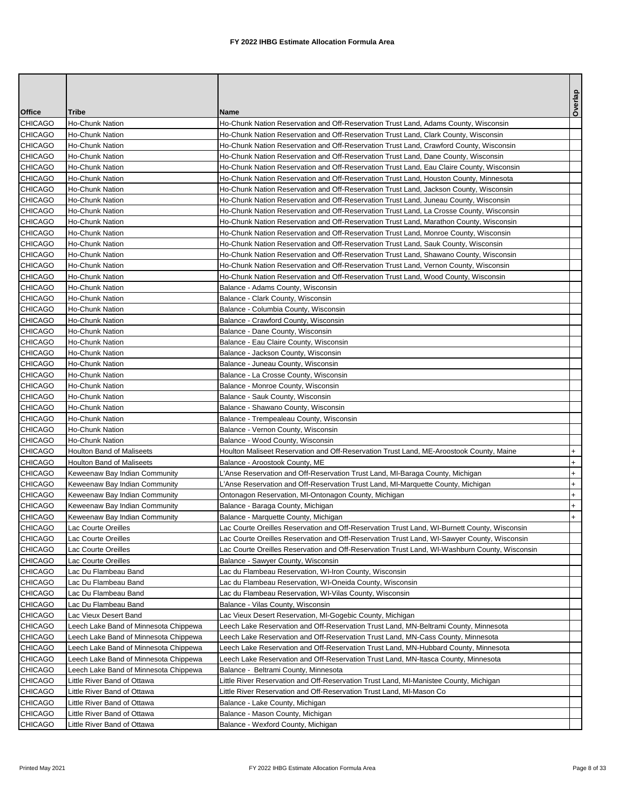|                |                                       |                                                                                               | Overlap   |
|----------------|---------------------------------------|-----------------------------------------------------------------------------------------------|-----------|
| Office         | Tribe                                 | Name                                                                                          |           |
| CHICAGO        | <b>Ho-Chunk Nation</b>                | Ho-Chunk Nation Reservation and Off-Reservation Trust Land, Adams County, Wisconsin           |           |
| <b>CHICAGO</b> | Ho-Chunk Nation                       | Ho-Chunk Nation Reservation and Off-Reservation Trust Land, Clark County, Wisconsin           |           |
| CHICAGO        | Ho-Chunk Nation                       | Ho-Chunk Nation Reservation and Off-Reservation Trust Land, Crawford County, Wisconsin        |           |
| <b>CHICAGO</b> | Ho-Chunk Nation                       | Ho-Chunk Nation Reservation and Off-Reservation Trust Land, Dane County, Wisconsin            |           |
| <b>CHICAGO</b> | Ho-Chunk Nation                       | Ho-Chunk Nation Reservation and Off-Reservation Trust Land, Eau Claire County, Wisconsin      |           |
| CHICAGO        | <b>Ho-Chunk Nation</b>                | Ho-Chunk Nation Reservation and Off-Reservation Trust Land, Houston County, Minnesota         |           |
| CHICAGO        | Ho-Chunk Nation                       | Ho-Chunk Nation Reservation and Off-Reservation Trust Land, Jackson County, Wisconsin         |           |
| CHICAGO        | <b>Ho-Chunk Nation</b>                | Ho-Chunk Nation Reservation and Off-Reservation Trust Land, Juneau County, Wisconsin          |           |
| <b>CHICAGO</b> | Ho-Chunk Nation                       | Ho-Chunk Nation Reservation and Off-Reservation Trust Land, La Crosse County, Wisconsin       |           |
| CHICAGO        | <b>Ho-Chunk Nation</b>                | Ho-Chunk Nation Reservation and Off-Reservation Trust Land, Marathon County, Wisconsin        |           |
| <b>CHICAGO</b> | Ho-Chunk Nation                       | Ho-Chunk Nation Reservation and Off-Reservation Trust Land, Monroe County, Wisconsin          |           |
| CHICAGO        | Ho-Chunk Nation                       | Ho-Chunk Nation Reservation and Off-Reservation Trust Land, Sauk County, Wisconsin            |           |
| CHICAGO        | Ho-Chunk Nation                       | Ho-Chunk Nation Reservation and Off-Reservation Trust Land, Shawano County, Wisconsin         |           |
| <b>CHICAGO</b> | Ho-Chunk Nation                       | Ho-Chunk Nation Reservation and Off-Reservation Trust Land, Vernon County, Wisconsin          |           |
| CHICAGO        | <b>Ho-Chunk Nation</b>                | Ho-Chunk Nation Reservation and Off-Reservation Trust Land, Wood County, Wisconsin            |           |
| CHICAGO        | Ho-Chunk Nation                       | Balance - Adams County, Wisconsin                                                             |           |
| CHICAGO        | <b>Ho-Chunk Nation</b>                | Balance - Clark County, Wisconsin                                                             |           |
| <b>CHICAGO</b> | <b>Ho-Chunk Nation</b>                | Balance - Columbia County, Wisconsin                                                          |           |
| <b>CHICAGO</b> | <b>Ho-Chunk Nation</b>                | Balance - Crawford County, Wisconsin                                                          |           |
| <b>CHICAGO</b> | Ho-Chunk Nation                       | Balance - Dane County, Wisconsin                                                              |           |
| CHICAGO        | <b>Ho-Chunk Nation</b>                | Balance - Eau Claire County, Wisconsin                                                        |           |
| CHICAGO        | <b>Ho-Chunk Nation</b>                | Balance - Jackson County, Wisconsin                                                           |           |
| <b>CHICAGO</b> | Ho-Chunk Nation                       | Balance - Juneau County, Wisconsin                                                            |           |
| CHICAGO        | <b>Ho-Chunk Nation</b>                | Balance - La Crosse County, Wisconsin                                                         |           |
| <b>CHICAGO</b> | Ho-Chunk Nation                       | Balance - Monroe County, Wisconsin                                                            |           |
| <b>CHICAGO</b> | <b>Ho-Chunk Nation</b>                | Balance - Sauk County, Wisconsin                                                              |           |
| <b>CHICAGO</b> | <b>Ho-Chunk Nation</b>                | Balance - Shawano County, Wisconsin                                                           |           |
| <b>CHICAGO</b> | <b>Ho-Chunk Nation</b>                | Balance - Trempealeau County, Wisconsin                                                       |           |
| CHICAGO        | Ho-Chunk Nation                       | Balance - Vernon County, Wisconsin                                                            |           |
| <b>CHICAGO</b> | <b>Ho-Chunk Nation</b>                | Balance - Wood County, Wisconsin                                                              |           |
| CHICAGO        | Houlton Band of Maliseets             | Houlton Maliseet Reservation and Off-Reservation Trust Land, ME-Aroostook County, Maine       | $\ddot{}$ |
| CHICAGO        | Houlton Band of Maliseets             | Balance - Aroostook County, ME                                                                | $+$       |
| CHICAGO        | Keweenaw Bay Indian Community         | L'Anse Reservation and Off-Reservation Trust Land, MI-Baraga County, Michigan                 | $\ddot{}$ |
| <b>CHICAGO</b> | Keweenaw Bay Indian Community         | L'Anse Reservation and Off-Reservation Trust Land, MI-Marquette County, Michigan              | $\ddot{}$ |
| CHICAGO        | Keweenaw Bay Indian Community         | Ontonagon Reservation, MI-Ontonagon County, Michigan                                          | $^{+}$    |
| <b>CHICAGO</b> | Keweenaw Bay Indian Community         | Balance - Baraga County, Michigan                                                             | $\ddot{}$ |
| <b>CHICAGO</b> | Keweenaw Bay Indian Community         | Balance - Marquette County, Michigan                                                          | $+$       |
| <b>CHICAGO</b> | Lac Courte Oreilles                   | Lac Courte Oreilles Reservation and Off-Reservation Trust Land, WI-Burnett County, Wisconsin  |           |
| CHICAGO        | Lac Courte Oreilles                   | Lac Courte Oreilles Reservation and Off-Reservation Trust Land, WI-Sawyer County, Wisconsin   |           |
| <b>CHICAGO</b> | Lac Courte Oreilles                   | Lac Courte Oreilles Reservation and Off-Reservation Trust Land, WI-Washburn County, Wisconsin |           |
| CHICAGO        | Lac Courte Oreilles                   | Balance - Sawyer County, Wisconsin                                                            |           |
| CHICAGO        | Lac Du Flambeau Band                  | Lac du Flambeau Reservation, WI-Iron County, Wisconsin                                        |           |
| CHICAGO        | Lac Du Flambeau Band                  | Lac du Flambeau Reservation, WI-Oneida County, Wisconsin                                      |           |
| CHICAGO        | Lac Du Flambeau Band                  | Lac du Flambeau Reservation, WI-Vilas County, Wisconsin                                       |           |
| CHICAGO        | Lac Du Flambeau Band                  | Balance - Vilas County, Wisconsin                                                             |           |
| CHICAGO        | Lac Vieux Desert Band                 | Lac Vieux Desert Reservation, MI-Gogebic County, Michigan                                     |           |
| CHICAGO        | Leech Lake Band of Minnesota Chippewa | Leech Lake Reservation and Off-Reservation Trust Land, MN-Beltrami County, Minnesota          |           |
| CHICAGO        | Leech Lake Band of Minnesota Chippewa | Leech Lake Reservation and Off-Reservation Trust Land, MN-Cass County, Minnesota              |           |
| CHICAGO        | Leech Lake Band of Minnesota Chippewa | Leech Lake Reservation and Off-Reservation Trust Land, MN-Hubbard County, Minnesota           |           |
| CHICAGO        | Leech Lake Band of Minnesota Chippewa | Leech Lake Reservation and Off-Reservation Trust Land, MN-Itasca County, Minnesota            |           |
| CHICAGO        | Leech Lake Band of Minnesota Chippewa | Balance - Beltrami County, Minnesota                                                          |           |
| CHICAGO        | Little River Band of Ottawa           | Little River Reservation and Off-Reservation Trust Land, MI-Manistee County, Michigan         |           |
| CHICAGO        | Little River Band of Ottawa           | Little River Reservation and Off-Reservation Trust Land, MI-Mason Co                          |           |
| CHICAGO        | Little River Band of Ottawa           | Balance - Lake County, Michigan                                                               |           |
| CHICAGO        | Little River Band of Ottawa           | Balance - Mason County, Michigan                                                              |           |
| CHICAGO        | Little River Band of Ottawa           | Balance - Wexford County, Michigan                                                            |           |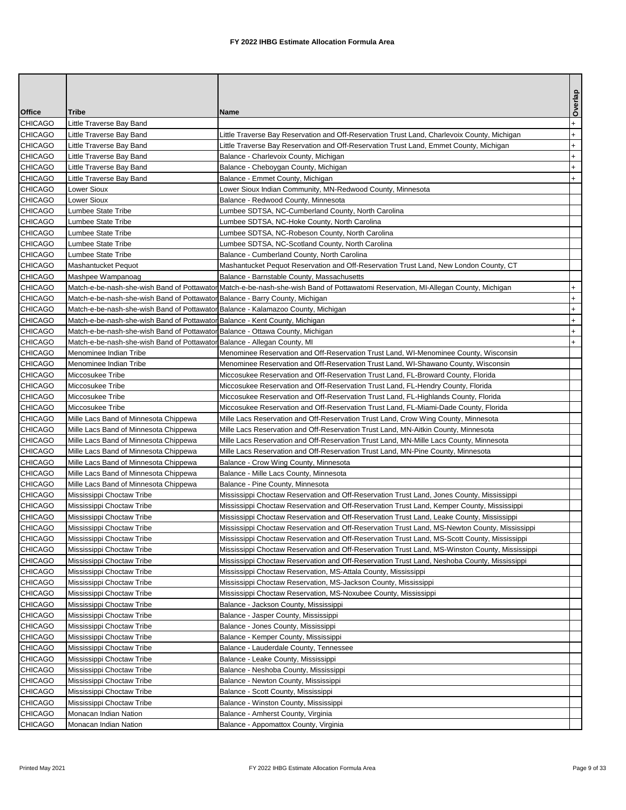|                    |                                                                                  |                                                                                                                                                                                               | Overlap   |
|--------------------|----------------------------------------------------------------------------------|-----------------------------------------------------------------------------------------------------------------------------------------------------------------------------------------------|-----------|
| Office             | Tribe                                                                            | Name                                                                                                                                                                                          |           |
| CHICAGO            | Little Traverse Bay Band                                                         |                                                                                                                                                                                               | $\ddot{}$ |
| CHICAGO            | Little Traverse Bay Band                                                         | Little Traverse Bay Reservation and Off-Reservation Trust Land, Charlevoix County, Michigan                                                                                                   | $\ddot{}$ |
| CHICAGO            | Little Traverse Bay Band                                                         | Little Traverse Bay Reservation and Off-Reservation Trust Land, Emmet County, Michigan                                                                                                        | $^{+}$    |
| <b>CHICAGO</b>     | Little Traverse Bay Band                                                         | Balance - Charlevoix County, Michigan                                                                                                                                                         | $\ddot{}$ |
| CHICAGO            | Little Traverse Bay Band                                                         | Balance - Cheboygan County, Michigan                                                                                                                                                          | $\ddot{}$ |
| CHICAGO            | Little Traverse Bay Band                                                         | Balance - Emmet County, Michigan                                                                                                                                                              | $\ddot{}$ |
| CHICAGO            | Lower Sioux                                                                      | Lower Sioux Indian Community, MN-Redwood County, Minnesota                                                                                                                                    |           |
| CHICAGO            | <b>Lower Sioux</b>                                                               | Balance - Redwood County, Minnesota                                                                                                                                                           |           |
| CHICAGO            | Lumbee State Tribe                                                               | Lumbee SDTSA, NC-Cumberland County, North Carolina                                                                                                                                            |           |
| CHICAGO            | Lumbee State Tribe                                                               | Lumbee SDTSA, NC-Hoke County, North Carolina                                                                                                                                                  |           |
| CHICAGO            | Lumbee State Tribe                                                               | Lumbee SDTSA, NC-Robeson County, North Carolina                                                                                                                                               |           |
| CHICAGO            | Lumbee State Tribe                                                               | Lumbee SDTSA, NC-Scotland County, North Carolina                                                                                                                                              |           |
| CHICAGO<br>CHICAGO | Lumbee State Tribe                                                               | Balance - Cumberland County, North Carolina                                                                                                                                                   |           |
| CHICAGO            | Mashantucket Pequot<br>Mashpee Wampanoag                                         | Mashantucket Pequot Reservation and Off-Reservation Trust Land, New London County, CT<br>Balance - Barnstable County, Massachusetts                                                           |           |
| CHICAGO            |                                                                                  | Match-e-be-nash-she-wish Band of Pottawator Match-e-be-nash-she-wish Band of Pottawatomi Reservation, MI-Allegan County, Michigan                                                             | $+$       |
| CHICAGO            | Match-e-be-nash-she-wish Band of Pottawaton Balance - Barry County, Michigan     |                                                                                                                                                                                               | $^{+}$    |
| CHICAGO            | Match-e-be-nash-she-wish Band of Pottawator Balance - Kalamazoo County, Michigan |                                                                                                                                                                                               | $\ddot{}$ |
| CHICAGO            | Match-e-be-nash-she-wish Band of Pottawator Balance - Kent County, Michigan      |                                                                                                                                                                                               | $\ddot{}$ |
| CHICAGO            | Match-e-be-nash-she-wish Band of Pottawator Balance - Ottawa County, Michigan    |                                                                                                                                                                                               | $\ddot{}$ |
| CHICAGO            | Match-e-be-nash-she-wish Band of Pottawator Balance - Allegan County, MI         |                                                                                                                                                                                               | $+$       |
| CHICAGO            | Menominee Indian Tribe                                                           | Menominee Reservation and Off-Reservation Trust Land, WI-Menominee County, Wisconsin                                                                                                          |           |
| CHICAGO            | Menominee Indian Tribe                                                           | Menominee Reservation and Off-Reservation Trust Land, WI-Shawano County, Wisconsin                                                                                                            |           |
| CHICAGO            | Miccosukee Tribe                                                                 | Miccosukee Reservation and Off-Reservation Trust Land, FL-Broward County, Florida                                                                                                             |           |
| CHICAGO            | Miccosukee Tribe                                                                 | Miccosukee Reservation and Off-Reservation Trust Land, FL-Hendry County, Florida                                                                                                              |           |
| CHICAGO            | Miccosukee Tribe                                                                 | Miccosukee Reservation and Off-Reservation Trust Land, FL-Highlands County, Florida                                                                                                           |           |
| CHICAGO            | Miccosukee Tribe                                                                 | Miccosukee Reservation and Off-Reservation Trust Land, FL-Miami-Dade County, Florida                                                                                                          |           |
| CHICAGO            | Mille Lacs Band of Minnesota Chippewa                                            | Mille Lacs Reservation and Off-Reservation Trust Land, Crow Wing County, Minnesota                                                                                                            |           |
| CHICAGO            | Mille Lacs Band of Minnesota Chippewa                                            | Mille Lacs Reservation and Off-Reservation Trust Land, MN-Aitkin County, Minnesota                                                                                                            |           |
| CHICAGO            | Mille Lacs Band of Minnesota Chippewa                                            | Mille Lacs Reservation and Off-Reservation Trust Land, MN-Mille Lacs County, Minnesota                                                                                                        |           |
| CHICAGO            | Mille Lacs Band of Minnesota Chippewa                                            | Mille Lacs Reservation and Off-Reservation Trust Land, MN-Pine County, Minnesota                                                                                                              |           |
| CHICAGO            | Mille Lacs Band of Minnesota Chippewa                                            | Balance - Crow Wing County, Minnesota                                                                                                                                                         |           |
| CHICAGO            | Mille Lacs Band of Minnesota Chippewa                                            | Balance - Mille Lacs County, Minnesota                                                                                                                                                        |           |
| CHICAGO            | Mille Lacs Band of Minnesota Chippewa                                            | Balance - Pine County, Minnesota                                                                                                                                                              |           |
| CHICAGO            | Mississippi Choctaw Tribe                                                        | Mississippi Choctaw Reservation and Off-Reservation Trust Land, Jones County, Mississippi                                                                                                     |           |
| <b>CHICAGO</b>     | Mississippi Choctaw Tribe                                                        | Mississippi Choctaw Reservation and Off-Reservation Trust Land, Kemper County, Mississippi                                                                                                    |           |
| <b>CHICAGO</b>     | Mississippi Choctaw Tribe                                                        | Mississippi Choctaw Reservation and Off-Reservation Trust Land, Leake County, Mississippi                                                                                                     |           |
| <b>CHICAGO</b>     | Mississippi Choctaw Tribe                                                        | Mississippi Choctaw Reservation and Off-Reservation Trust Land, MS-Newton County, Mississippi                                                                                                 |           |
| <b>CHICAGO</b>     | Mississippi Choctaw Tribe                                                        | Mississippi Choctaw Reservation and Off-Reservation Trust Land, MS-Scott County, Mississippi                                                                                                  |           |
| CHICAGO<br>CHICAGO | Mississippi Choctaw Tribe<br>Mississippi Choctaw Tribe                           | Mississippi Choctaw Reservation and Off-Reservation Trust Land, MS-Winston County, Mississippi<br>Mississippi Choctaw Reservation and Off-Reservation Trust Land, Neshoba County, Mississippi |           |
| CHICAGO            | Mississippi Choctaw Tribe                                                        | Mississippi Choctaw Reservation, MS-Attala County, Mississippi                                                                                                                                |           |
| CHICAGO            | Mississippi Choctaw Tribe                                                        | Mississippi Choctaw Reservation, MS-Jackson County, Mississippi                                                                                                                               |           |
| CHICAGO            | Mississippi Choctaw Tribe                                                        | Mississippi Choctaw Reservation, MS-Noxubee County, Mississippi                                                                                                                               |           |
| CHICAGO            | Mississippi Choctaw Tribe                                                        | Balance - Jackson County, Mississippi                                                                                                                                                         |           |
| CHICAGO            | Mississippi Choctaw Tribe                                                        | Balance - Jasper County, Mississippi                                                                                                                                                          |           |
| CHICAGO            | Mississippi Choctaw Tribe                                                        | Balance - Jones County, Mississippi                                                                                                                                                           |           |
| CHICAGO            | Mississippi Choctaw Tribe                                                        | Balance - Kemper County, Mississippi                                                                                                                                                          |           |
| CHICAGO            | Mississippi Choctaw Tribe                                                        | Balance - Lauderdale County, Tennessee                                                                                                                                                        |           |
| CHICAGO            | Mississippi Choctaw Tribe                                                        | Balance - Leake County, Mississippi                                                                                                                                                           |           |
| CHICAGO            | Mississippi Choctaw Tribe                                                        | Balance - Neshoba County, Mississippi                                                                                                                                                         |           |
| CHICAGO            | Mississippi Choctaw Tribe                                                        | Balance - Newton County, Mississippi                                                                                                                                                          |           |
| CHICAGO            | Mississippi Choctaw Tribe                                                        | Balance - Scott County, Mississippi                                                                                                                                                           |           |
| CHICAGO            | Mississippi Choctaw Tribe                                                        | Balance - Winston County, Mississippi                                                                                                                                                         |           |
| CHICAGO            | Monacan Indian Nation                                                            | Balance - Amherst County, Virginia                                                                                                                                                            |           |
| <b>CHICAGO</b>     | Monacan Indian Nation                                                            | Balance - Appomattox County, Virginia                                                                                                                                                         |           |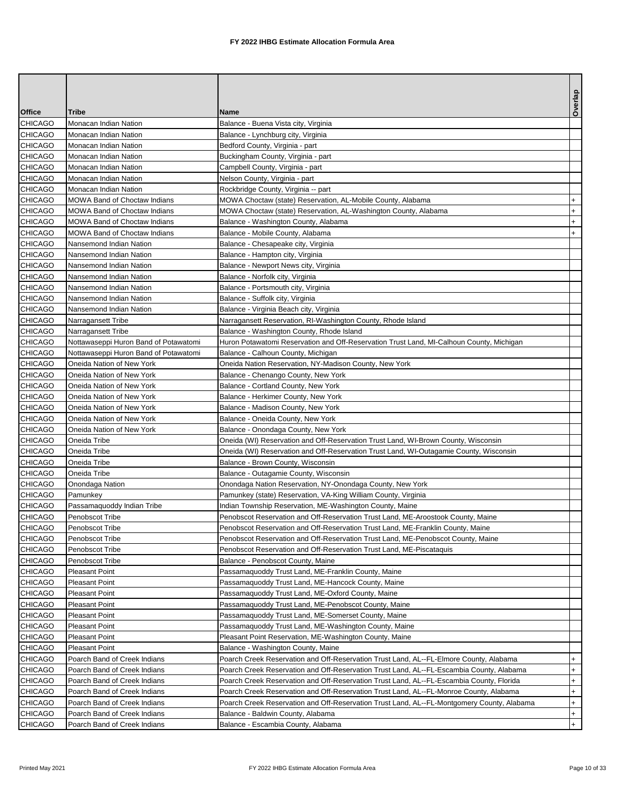|                |                                       |                                                                                            | Overlap   |
|----------------|---------------------------------------|--------------------------------------------------------------------------------------------|-----------|
| <b>Office</b>  | Tribe                                 | Name                                                                                       |           |
| CHICAGO        | Monacan Indian Nation                 | Balance - Buena Vista city, Virginia                                                       |           |
| CHICAGO        | Monacan Indian Nation                 | Balance - Lynchburg city, Virginia                                                         |           |
| <b>CHICAGO</b> | Monacan Indian Nation                 | Bedford County, Virginia - part                                                            |           |
| <b>CHICAGO</b> | Monacan Indian Nation                 | Buckingham County, Virginia - part                                                         |           |
| <b>CHICAGO</b> | Monacan Indian Nation                 | Campbell County, Virginia - part                                                           |           |
| <b>CHICAGO</b> | Monacan Indian Nation                 | Nelson County, Virginia - part                                                             |           |
| CHICAGO        | Monacan Indian Nation                 | Rockbridge County, Virginia -- part                                                        |           |
| <b>CHICAGO</b> | <b>MOWA Band of Choctaw Indians</b>   | MOWA Choctaw (state) Reservation, AL-Mobile County, Alabama                                | $+$       |
| <b>CHICAGO</b> | <b>MOWA Band of Choctaw Indians</b>   | MOWA Choctaw (state) Reservation, AL-Washington County, Alabama                            | $+$       |
| CHICAGO        | <b>MOWA Band of Choctaw Indians</b>   | Balance - Washington County, Alabama                                                       | $+$       |
| CHICAGO        | MOWA Band of Choctaw Indians          | Balance - Mobile County, Alabama                                                           | $\ddot{}$ |
| CHICAGO        | Nansemond Indian Nation               | Balance - Chesapeake city, Virginia                                                        |           |
| <b>CHICAGO</b> | Nansemond Indian Nation               | Balance - Hampton city, Virginia                                                           |           |
| <b>CHICAGO</b> | Nansemond Indian Nation               | Balance - Newport News city, Virginia                                                      |           |
| CHICAGO        | Nansemond Indian Nation               | Balance - Norfolk city, Virginia                                                           |           |
| CHICAGO        | Nansemond Indian Nation               | Balance - Portsmouth city, Virginia                                                        |           |
| CHICAGO        | Nansemond Indian Nation               | Balance - Suffolk city, Virginia                                                           |           |
| <b>CHICAGO</b> | Nansemond Indian Nation               | Balance - Virginia Beach city, Virginia                                                    |           |
| CHICAGO        | Narragansett Tribe                    | Narragansett Reservation, RI-Washington County, Rhode Island                               |           |
| <b>CHICAGO</b> | Narragansett Tribe                    | Balance - Washington County, Rhode Island                                                  |           |
| <b>CHICAGO</b> | Nottawaseppi Huron Band of Potawatomi | Huron Potawatomi Reservation and Off-Reservation Trust Land, MI-Calhoun County, Michigan   |           |
| CHICAGO        | Nottawaseppi Huron Band of Potawatomi | Balance - Calhoun County, Michigan                                                         |           |
| <b>CHICAGO</b> | Oneida Nation of New York             | Oneida Nation Reservation, NY-Madison County, New York                                     |           |
| <b>CHICAGO</b> | Oneida Nation of New York             | Balance - Chenango County, New York                                                        |           |
| CHICAGO        | Oneida Nation of New York             | Balance - Cortland County, New York                                                        |           |
| <b>CHICAGO</b> | Oneida Nation of New York             | Balance - Herkimer County, New York                                                        |           |
| CHICAGO        | Oneida Nation of New York             | Balance - Madison County, New York                                                         |           |
| <b>CHICAGO</b> | Oneida Nation of New York             | Balance - Oneida County, New York                                                          |           |
| CHICAGO        | Oneida Nation of New York             | Balance - Onondaga County, New York                                                        |           |
| CHICAGO        | Oneida Tribe                          | Oneida (WI) Reservation and Off-Reservation Trust Land, WI-Brown County, Wisconsin         |           |
| CHICAGO        | Oneida Tribe                          | Oneida (WI) Reservation and Off-Reservation Trust Land, WI-Outagamie County, Wisconsin     |           |
| <b>CHICAGO</b> | Oneida Tribe                          | Balance - Brown County, Wisconsin                                                          |           |
| <b>CHICAGO</b> | Oneida Tribe                          | Balance - Outagamie County, Wisconsin                                                      |           |
| CHICAGO        | Onondaga Nation                       | Onondaga Nation Reservation, NY-Onondaga County, New York                                  |           |
| CHICAGO        | Pamunkey                              | Pamunkey (state) Reservation, VA-King William County, Virginia                             |           |
| CHICAGO        | Passamaquoddy Indian Tribe            | Indian Township Reservation, ME-Washington County, Maine                                   |           |
| <b>CHICAGO</b> | Penobscot Tribe                       | Penobscot Reservation and Off-Reservation Trust Land, ME-Aroostook County, Maine           |           |
| <b>CHICAGO</b> | Penobscot Tribe                       | Penobscot Reservation and Off-Reservation Trust Land, ME-Franklin County, Maine            |           |
| CHICAGO        | Penobscot Tribe                       | Penobscot Reservation and Off-Reservation Trust Land, ME-Penobscot County, Maine           |           |
| CHICAGO        | Penobscot Tribe                       | Penobscot Reservation and Off-Reservation Trust Land, ME-Piscataquis                       |           |
| CHICAGO        | Penobscot Tribe                       | Balance - Penobscot County, Maine                                                          |           |
| CHICAGO        | <b>Pleasant Point</b>                 | Passamaquoddy Trust Land, ME-Franklin County, Maine                                        |           |
| CHICAGO        | <b>Pleasant Point</b>                 | Passamaquoddy Trust Land, ME-Hancock County, Maine                                         |           |
| CHICAGO        | <b>Pleasant Point</b>                 | Passamaquoddy Trust Land, ME-Oxford County, Maine                                          |           |
| <b>CHICAGO</b> | <b>Pleasant Point</b>                 | Passamaquoddy Trust Land, ME-Penobscot County, Maine                                       |           |
| CHICAGO        | <b>Pleasant Point</b>                 | Passamaquoddy Trust Land, ME-Somerset County, Maine                                        |           |
| CHICAGO        | <b>Pleasant Point</b>                 | Passamaquoddy Trust Land, ME-Washington County, Maine                                      |           |
| CHICAGO        | Pleasant Point                        | Pleasant Point Reservation, ME-Washington County, Maine                                    |           |
| CHICAGO        | <b>Pleasant Point</b>                 | Balance - Washington County, Maine                                                         |           |
| CHICAGO        | Poarch Band of Creek Indians          | Poarch Creek Reservation and Off-Reservation Trust Land, AL--FL-Elmore County, Alabama     | $+$       |
| CHICAGO        | Poarch Band of Creek Indians          | Poarch Creek Reservation and Off-Reservation Trust Land, AL--FL-Escambia County, Alabama   | $+$       |
| CHICAGO        | Poarch Band of Creek Indians          | Poarch Creek Reservation and Off-Reservation Trust Land, AL--FL-Escambia County, Florida   | $\ddot{}$ |
| CHICAGO        | Poarch Band of Creek Indians          | Poarch Creek Reservation and Off-Reservation Trust Land, AL--FL-Monroe County, Alabama     | $\ddot{}$ |
| <b>CHICAGO</b> | Poarch Band of Creek Indians          | Poarch Creek Reservation and Off-Reservation Trust Land, AL--FL-Montgomery County, Alabama | $\ddot{}$ |
| CHICAGO        | Poarch Band of Creek Indians          | Balance - Baldwin County, Alabama                                                          | $+$       |
| CHICAGO        | Poarch Band of Creek Indians          | Balance - Escambia County, Alabama                                                         | $+$       |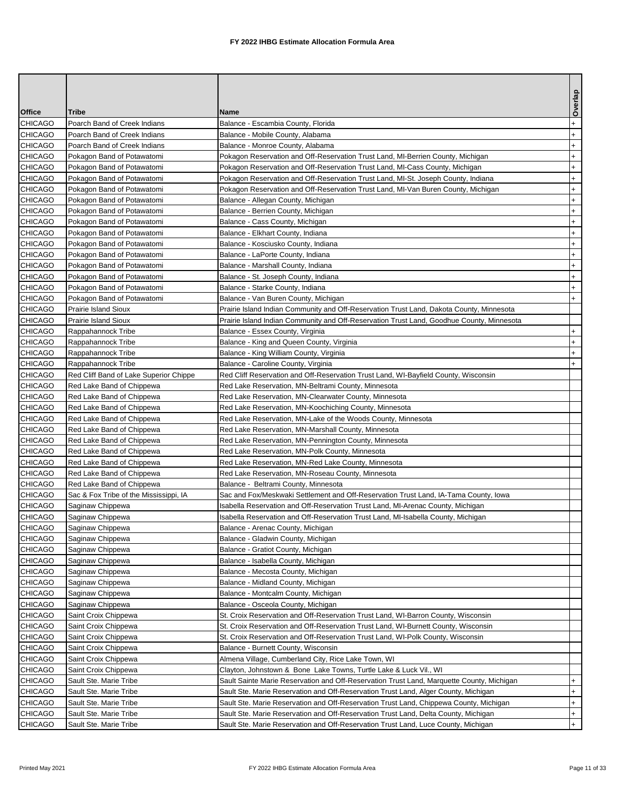|                |                                        |                                                                                           | Overlap   |
|----------------|----------------------------------------|-------------------------------------------------------------------------------------------|-----------|
| <b>Office</b>  | Tribe                                  | <b>Name</b>                                                                               |           |
| CHICAGO        | Poarch Band of Creek Indians           | Balance - Escambia County, Florida                                                        | $\ddot{}$ |
| CHICAGO        | Poarch Band of Creek Indians           | Balance - Mobile County, Alabama                                                          | $+$       |
| CHICAGO        | Poarch Band of Creek Indians           | Balance - Monroe County, Alabama                                                          | $\ddot{}$ |
| CHICAGO        | Pokagon Band of Potawatomi             | Pokagon Reservation and Off-Reservation Trust Land, MI-Berrien County, Michigan           | $\ddot{}$ |
| CHICAGO        | Pokagon Band of Potawatomi             | Pokagon Reservation and Off-Reservation Trust Land, MI-Cass County, Michigan              | $+$       |
| CHICAGO        | Pokagon Band of Potawatomi             | Pokagon Reservation and Off-Reservation Trust Land, MI-St. Joseph County, Indiana         | $\ddot{}$ |
| CHICAGO        | Pokagon Band of Potawatomi             | Pokagon Reservation and Off-Reservation Trust Land, MI-Van Buren County, Michigan         | $\ddot{}$ |
| CHICAGO        | Pokagon Band of Potawatomi             | Balance - Allegan County, Michigan                                                        | $\ddot{}$ |
| CHICAGO        | Pokagon Band of Potawatomi             | Balance - Berrien County, Michigan                                                        | $+$       |
| CHICAGO        | Pokagon Band of Potawatomi             | Balance - Cass County, Michigan                                                           | $\ddot{}$ |
| CHICAGO        | Pokagon Band of Potawatomi             | Balance - Elkhart County, Indiana                                                         | $\ddot{}$ |
| CHICAGO        | Pokagon Band of Potawatomi             | Balance - Kosciusko County, Indiana                                                       | $+$       |
| CHICAGO        | Pokagon Band of Potawatomi             | Balance - LaPorte County, Indiana                                                         | $\ddot{}$ |
| CHICAGO        | Pokagon Band of Potawatomi             | Balance - Marshall County, Indiana                                                        | $+$       |
| CHICAGO        | Pokagon Band of Potawatomi             | Balance - St. Joseph County, Indiana                                                      | $\ddot{}$ |
| CHICAGO        | Pokagon Band of Potawatomi             | Balance - Starke County, Indiana                                                          | $\ddot{}$ |
| CHICAGO        | Pokagon Band of Potawatomi             | Balance - Van Buren County, Michigan                                                      | $+$       |
| CHICAGO        | <b>Prairie Island Sioux</b>            | Prairie Island Indian Community and Off-Reservation Trust Land, Dakota County, Minnesota  |           |
| CHICAGO        | <b>Prairie Island Sioux</b>            | Prairie Island Indian Community and Off-Reservation Trust Land, Goodhue County, Minnesota |           |
| CHICAGO        | Rappahannock Tribe                     | Balance - Essex County, Virginia                                                          | $+$       |
| CHICAGO        | Rappahannock Tribe                     | Balance - King and Queen County, Virginia                                                 | $^{+}$    |
| <b>CHICAGO</b> | Rappahannock Tribe                     | Balance - King William County, Virginia                                                   | $+$       |
| <b>CHICAGO</b> | Rappahannock Tribe                     | Balance - Caroline County, Virginia                                                       | $+$       |
| <b>CHICAGO</b> | Red Cliff Band of Lake Superior Chippe | Red Cliff Reservation and Off-Reservation Trust Land, WI-Bayfield County, Wisconsin       |           |
| CHICAGO        | Red Lake Band of Chippewa              | Red Lake Reservation, MN-Beltrami County, Minnesota                                       |           |
| CHICAGO        | Red Lake Band of Chippewa              | Red Lake Reservation, MN-Clearwater County, Minnesota                                     |           |
| CHICAGO        | Red Lake Band of Chippewa              | Red Lake Reservation, MN-Koochiching County, Minnesota                                    |           |
| CHICAGO        | Red Lake Band of Chippewa              | Red Lake Reservation, MN-Lake of the Woods County, Minnesota                              |           |
| CHICAGO        | Red Lake Band of Chippewa              | Red Lake Reservation, MN-Marshall County, Minnesota                                       |           |
| CHICAGO        | Red Lake Band of Chippewa              | Red Lake Reservation, MN-Pennington County, Minnesota                                     |           |
| CHICAGO        | Red Lake Band of Chippewa              | Red Lake Reservation, MN-Polk County, Minnesota                                           |           |
| CHICAGO        | Red Lake Band of Chippewa              | Red Lake Reservation, MN-Red Lake County, Minnesota                                       |           |
| <b>CHICAGO</b> | Red Lake Band of Chippewa              | Red Lake Reservation, MN-Roseau County, Minnesota                                         |           |
| CHICAGO        | Red Lake Band of Chippewa              | Balance - Beltrami County, Minnesota                                                      |           |
| CHICAGO        | Sac & Fox Tribe of the Mississippi, IA | Sac and Fox/Meskwaki Settlement and Off-Reservation Trust Land, IA-Tama County, Iowa      |           |
| CHICAGO        | Saginaw Chippewa                       | Isabella Reservation and Off-Reservation Trust Land, MI-Arenac County, Michigan           |           |
| CHICAGO        | Saginaw Chippewa                       | Isabella Reservation and Off-Reservation Trust Land, MI-Isabella County, Michigan         |           |
| <b>CHICAGO</b> | Saginaw Chippewa                       | Balance - Arenac County, Michigan                                                         |           |
| CHICAGO        | Saginaw Chippewa                       | Balance - Gladwin County, Michigan                                                        |           |
| CHICAGO        | Saginaw Chippewa                       | Balance - Gratiot County, Michigan                                                        |           |
| CHICAGO        | Saginaw Chippewa                       | Balance - Isabella County, Michigan                                                       |           |
| CHICAGO        | Saginaw Chippewa                       | Balance - Mecosta County, Michigan                                                        |           |
| CHICAGO        | Saginaw Chippewa                       | Balance - Midland County, Michigan                                                        |           |
| CHICAGO        | Saginaw Chippewa                       | Balance - Montcalm County, Michigan                                                       |           |
| CHICAGO        | Saginaw Chippewa                       | Balance - Osceola County, Michigan                                                        |           |
| CHICAGO        | Saint Croix Chippewa                   | St. Croix Reservation and Off-Reservation Trust Land, WI-Barron County, Wisconsin         |           |
| CHICAGO        | Saint Croix Chippewa                   | St. Croix Reservation and Off-Reservation Trust Land, WI-Burnett County, Wisconsin        |           |
| CHICAGO        | Saint Croix Chippewa                   | St. Croix Reservation and Off-Reservation Trust Land, WI-Polk County, Wisconsin           |           |
| CHICAGO        | Saint Croix Chippewa                   | Balance - Burnett County, Wisconsin                                                       |           |
| CHICAGO        | Saint Croix Chippewa                   | Almena Village, Cumberland City, Rice Lake Town, WI                                       |           |
| CHICAGO        | Saint Croix Chippewa                   | Clayton, Johnstown & Bone Lake Towns, Turtle Lake & Luck Vil., WI                         |           |
| CHICAGO        | Sault Ste. Marie Tribe                 | Sault Sainte Marie Reservation and Off-Reservation Trust Land, Marquette County, Michigan | $+$       |
| CHICAGO        | Sault Ste. Marie Tribe                 | Sault Ste. Marie Reservation and Off-Reservation Trust Land, Alger County, Michigan       | $+$       |
| CHICAGO        | Sault Ste. Marie Tribe                 | Sault Ste. Marie Reservation and Off-Reservation Trust Land, Chippewa County, Michigan    | $+$       |
| CHICAGO        | Sault Ste. Marie Tribe                 | Sault Ste. Marie Reservation and Off-Reservation Trust Land, Delta County, Michigan       | $+$       |
| CHICAGO        | Sault Ste. Marie Tribe                 | Sault Ste. Marie Reservation and Off-Reservation Trust Land, Luce County, Michigan        | $+$       |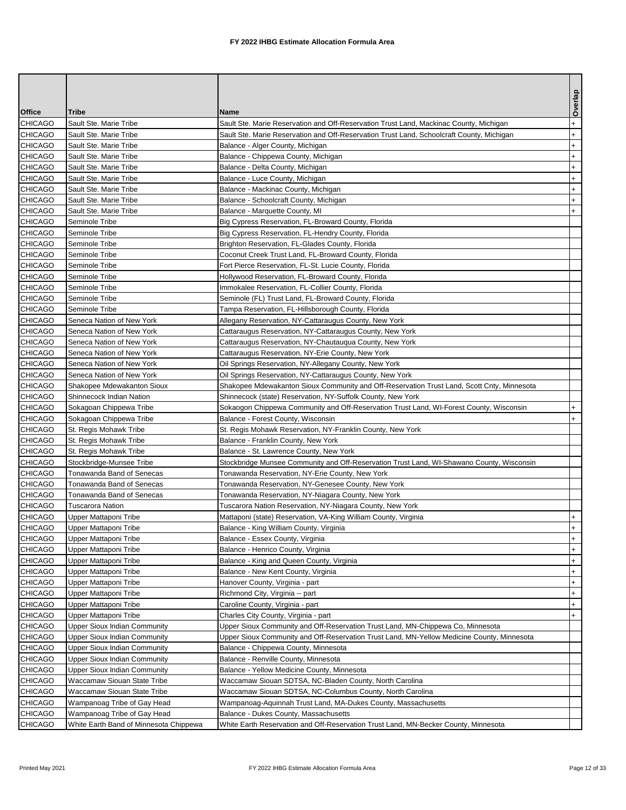|                |                                        |                                                                                            | Overlap   |
|----------------|----------------------------------------|--------------------------------------------------------------------------------------------|-----------|
| <b>Office</b>  | Tribe                                  | Name                                                                                       |           |
| CHICAGO        | Sault Ste. Marie Tribe                 | Sault Ste. Marie Reservation and Off-Reservation Trust Land, Mackinac County, Michigan     | $\ddot{}$ |
| CHICAGO        | Sault Ste. Marie Tribe                 | Sault Ste. Marie Reservation and Off-Reservation Trust Land, Schoolcraft County, Michigan  | $\ddot{}$ |
| <b>CHICAGO</b> | Sault Ste. Marie Tribe                 | Balance - Alger County, Michigan                                                           | $\ddot{}$ |
| CHICAGO        | Sault Ste. Marie Tribe                 | Balance - Chippewa County, Michigan                                                        | $^{+}$    |
| CHICAGO        | Sault Ste. Marie Tribe                 | Balance - Delta County, Michigan                                                           | $\ddot{}$ |
| CHICAGO        | Sault Ste. Marie Tribe                 | Balance - Luce County, Michigan                                                            | $^{+}$    |
| CHICAGO        | Sault Ste. Marie Tribe                 | Balance - Mackinac County, Michigan                                                        | $+$       |
| CHICAGO        | Sault Ste. Marie Tribe                 | Balance - Schoolcraft County, Michigan                                                     | $+$       |
| <b>CHICAGO</b> | Sault Ste. Marie Tribe                 | Balance - Marquette County, MI                                                             | $+$       |
| CHICAGO        | Seminole Tribe                         | Big Cypress Reservation, FL-Broward County, Florida                                        |           |
| CHICAGO        | Seminole Tribe                         | Big Cypress Reservation, FL-Hendry County, Florida                                         |           |
| CHICAGO        | Seminole Tribe                         | Brighton Reservation, FL-Glades County, Florida                                            |           |
| CHICAGO        | Seminole Tribe                         | Coconut Creek Trust Land, FL-Broward County, Florida                                       |           |
| CHICAGO        | Seminole Tribe                         | Fort Pierce Reservation, FL-St. Lucie County, Florida                                      |           |
| CHICAGO        | Seminole Tribe                         | Hollywood Reservation, FL-Broward County, Florida                                          |           |
| CHICAGO        | Seminole Tribe                         | Immokalee Reservation, FL-Collier County, Florida                                          |           |
| CHICAGO        | Seminole Tribe                         | Seminole (FL) Trust Land, FL-Broward County, Florida                                       |           |
| CHICAGO        | Seminole Tribe                         | Tampa Reservation, FL-Hillsborough County, Florida                                         |           |
| CHICAGO        | Seneca Nation of New York              | Allegany Reservation, NY-Cattaraugus County, New York                                      |           |
| CHICAGO        | Seneca Nation of New York              | Cattaraugus Reservation, NY-Cattaraugus County, New York                                   |           |
| CHICAGO        | Seneca Nation of New York              | Cattaraugus Reservation, NY-Chautaugua County, New York                                    |           |
| CHICAGO        | Seneca Nation of New York              | Cattaraugus Reservation, NY-Erie County, New York                                          |           |
| CHICAGO        | Seneca Nation of New York              | Oil Springs Reservation, NY-Allegany County, New York                                      |           |
| CHICAGO        | Seneca Nation of New York              | Oil Springs Reservation, NY-Cattaraugus County, New York                                   |           |
| CHICAGO        | Shakopee Mdewakanton Sioux             | Shakopee Mdewakanton Sioux Community and Off-Reservation Trust Land, Scott Cnty, Minnesota |           |
| CHICAGO        | Shinnecock Indian Nation               | Shinnecock (state) Reservation, NY-Suffolk County, New York                                |           |
| CHICAGO        | Sokagoan Chippewa Tribe                | Sokaogon Chippewa Community and Off-Reservation Trust Land, WI-Forest County, Wisconsin    | $+$       |
| CHICAGO        | Sokagoan Chippewa Tribe                | Balance - Forest County, Wisconsin                                                         | $\ddot{}$ |
| CHICAGO        | St. Regis Mohawk Tribe                 | St. Regis Mohawk Reservation, NY-Franklin County, New York                                 |           |
| CHICAGO        | St. Regis Mohawk Tribe                 | Balance - Franklin County, New York                                                        |           |
| CHICAGO        | St. Regis Mohawk Tribe                 | Balance - St. Lawrence County, New York                                                    |           |
| CHICAGO        | Stockbridge-Munsee Tribe               | Stockbridge Munsee Community and Off-Reservation Trust Land, WI-Shawano County, Wisconsin  |           |
| CHICAGO        | Tonawanda Band of Senecas              | Tonawanda Reservation, NY-Erie County, New York                                            |           |
| CHICAGO        | Tonawanda Band of Senecas              | Tonawanda Reservation, NY-Genesee County, New York                                         |           |
| <b>CHICAGO</b> | Tonawanda Band of Senecas              | Tonawanda Reservation, NY-Niagara County, New York                                         |           |
| CHICAGO        | <b>Tuscarora Nation</b>                | Tuscarora Nation Reservation, NY-Niagara County, New York                                  |           |
| <b>CHICAGO</b> | Upper Mattaponi Tribe                  | Mattaponi (state) Reservation, VA-King William County, Virginia                            | $\ddot{}$ |
| CHICAGO        | Upper Mattaponi Tribe                  | Balance - King William County, Virginia                                                    | $+$       |
| <b>CHICAGO</b> | Upper Mattaponi Tribe                  | Balance - Essex County, Virginia                                                           | $\ddot{}$ |
| CHICAGO        | Upper Mattaponi Tribe                  | Balance - Henrico County, Virginia                                                         | $+$       |
| CHICAGO        | Upper Mattaponi Tribe                  | Balance - King and Queen County, Virginia                                                  | $+$       |
| CHICAGO        | Upper Mattaponi Tribe                  | Balance - New Kent County, Virginia                                                        | $+$       |
| CHICAGO        | Upper Mattaponi Tribe                  | Hanover County, Virginia - part                                                            | $+$       |
| CHICAGO        | Upper Mattaponi Tribe                  | Richmond City, Virginia -- part                                                            | $\ddot{}$ |
| CHICAGO        | Upper Mattaponi Tribe                  | Caroline County, Virginia - part                                                           | $+$       |
| CHICAGO        | Upper Mattaponi Tribe                  | Charles City County, Virginia - part                                                       | $+$       |
| CHICAGO        | <b>Upper Sioux Indian Community</b>    | Upper Sioux Community and Off-Reservation Trust Land, MN-Chippewa Co, Minnesota            |           |
| CHICAGO        | Upper Sioux Indian Community           | Upper Sioux Community and Off-Reservation Trust Land, MN-Yellow Medicine County, Minnesota |           |
| CHICAGO        | Upper Sioux Indian Community           | Balance - Chippewa County, Minnesota                                                       |           |
| CHICAGO        | <b>Upper Sioux Indian Community</b>    | Balance - Renville County, Minnesota                                                       |           |
| CHICAGO        | Upper Sioux Indian Community           | Balance - Yellow Medicine County, Minnesota                                                |           |
| CHICAGO        | Waccamaw Siouan State Tribe            | Waccamaw Siouan SDTSA, NC-Bladen County, North Carolina                                    |           |
| CHICAGO        | Waccamaw Siouan State Tribe            | Waccamaw Siouan SDTSA, NC-Columbus County, North Carolina                                  |           |
| CHICAGO        | Wampanoag Tribe of Gay Head            | Wampanoag-Aquinnah Trust Land, MA-Dukes County, Massachusetts                              |           |
| CHICAGO        | Wampanoag Tribe of Gay Head            | Balance - Dukes County, Massachusetts                                                      |           |
| CHICAGO        | White Earth Band of Minnesota Chippewa | White Earth Reservation and Off-Reservation Trust Land, MN-Becker County, Minnesota        |           |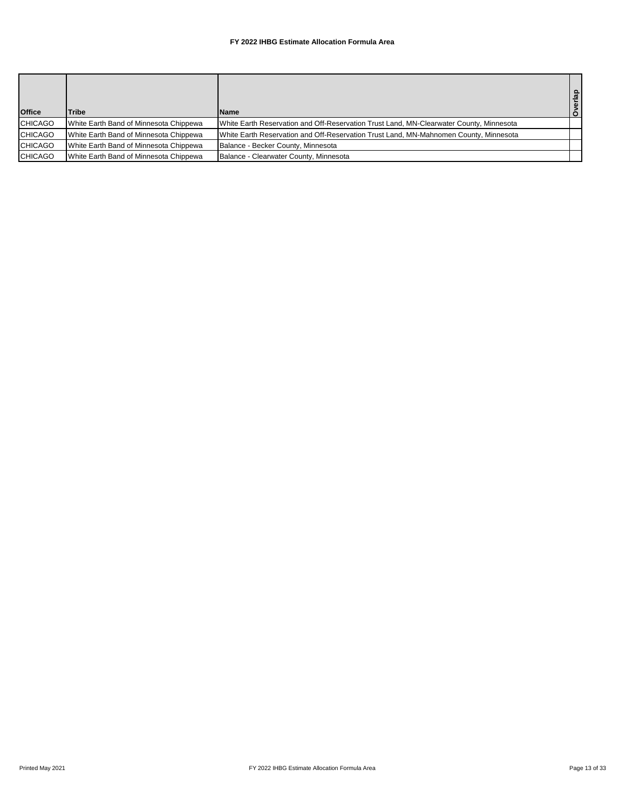| <b>Office</b>  | <b>Tribe</b>                           | <b>Name</b>                                                                             | Overlap |
|----------------|----------------------------------------|-----------------------------------------------------------------------------------------|---------|
| <b>CHICAGO</b> | White Earth Band of Minnesota Chippewa | White Earth Reservation and Off-Reservation Trust Land, MN-Clearwater County, Minnesota |         |
| <b>CHICAGO</b> | White Earth Band of Minnesota Chippewa | White Earth Reservation and Off-Reservation Trust Land, MN-Mahnomen County, Minnesota   |         |
| <b>CHICAGO</b> | White Earth Band of Minnesota Chippewa | Balance - Becker County, Minnesota                                                      |         |
| <b>CHICAGO</b> | White Earth Band of Minnesota Chippewa | Balance - Clearwater County, Minnesota                                                  |         |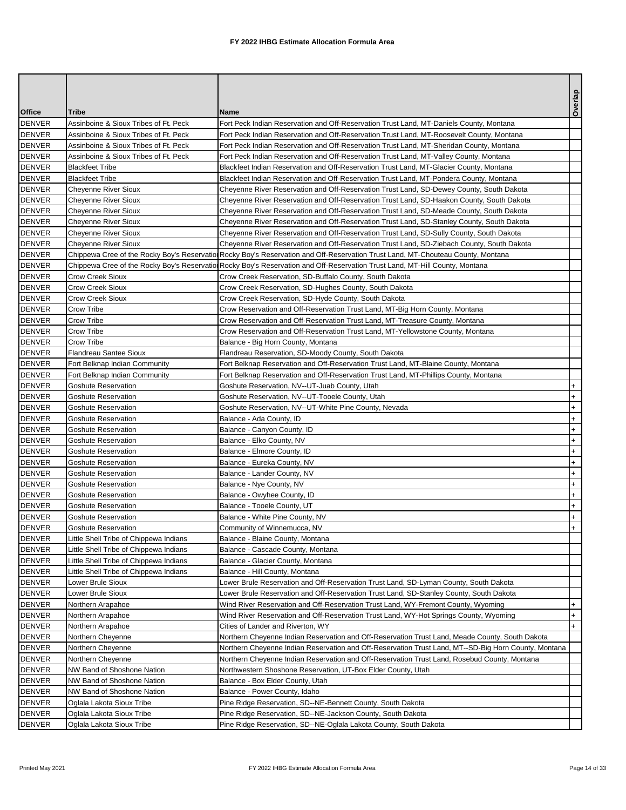|                                |                                                            |                                                                                                                                                                                                                                                                  | Overlap   |
|--------------------------------|------------------------------------------------------------|------------------------------------------------------------------------------------------------------------------------------------------------------------------------------------------------------------------------------------------------------------------|-----------|
| <b>Office</b>                  | Tribe                                                      | <b>Name</b>                                                                                                                                                                                                                                                      |           |
| <b>DENVER</b>                  | Assinboine & Sioux Tribes of Ft. Peck                      | Fort Peck Indian Reservation and Off-Reservation Trust Land, MT-Daniels County, Montana                                                                                                                                                                          |           |
| DENVER                         | Assinboine & Sioux Tribes of Ft. Peck                      | Fort Peck Indian Reservation and Off-Reservation Trust Land, MT-Roosevelt County, Montana                                                                                                                                                                        |           |
| <b>DENVER</b>                  | Assinboine & Sioux Tribes of Ft. Peck                      | Fort Peck Indian Reservation and Off-Reservation Trust Land, MT-Sheridan County, Montana                                                                                                                                                                         |           |
| <b>DENVER</b>                  | Assinboine & Sioux Tribes of Ft. Peck                      | Fort Peck Indian Reservation and Off-Reservation Trust Land, MT-Valley County, Montana                                                                                                                                                                           |           |
| DENVER                         | <b>Blackfeet Tribe</b>                                     | Blackfeet Indian Reservation and Off-Reservation Trust Land, MT-Glacier County, Montana                                                                                                                                                                          |           |
| DENVER                         | <b>Blackfeet Tribe</b>                                     | Blackfeet Indian Reservation and Off-Reservation Trust Land, MT-Pondera County, Montana<br>Cheyenne River Reservation and Off-Reservation Trust Land, SD-Dewey County, South Dakota                                                                              |           |
| DENVER                         | <b>Cheyenne River Sioux</b><br><b>Cheyenne River Sioux</b> |                                                                                                                                                                                                                                                                  |           |
| <b>DENVER</b><br><b>DENVER</b> |                                                            | Cheyenne River Reservation and Off-Reservation Trust Land, SD-Haakon County, South Dakota<br>Cheyenne River Reservation and Off-Reservation Trust Land, SD-Meade County, South Dakota                                                                            |           |
|                                | Cheyenne River Sioux                                       |                                                                                                                                                                                                                                                                  |           |
| DENVER                         | <b>Cheyenne River Sioux</b>                                | Cheyenne River Reservation and Off-Reservation Trust Land, SD-Stanley County, South Dakota                                                                                                                                                                       |           |
| DENVER<br><b>DENVER</b>        | Cheyenne River Sioux                                       | Cheyenne River Reservation and Off-Reservation Trust Land, SD-Sully County, South Dakota                                                                                                                                                                         |           |
| DENVER                         | <b>Cheyenne River Sioux</b>                                | Cheyenne River Reservation and Off-Reservation Trust Land, SD-Ziebach County, South Dakota                                                                                                                                                                       |           |
| <b>DENVER</b>                  |                                                            | Chippewa Cree of the Rocky Boy's Reservation Rocky Boy's Reservation and Off-Reservation Trust Land, MT-Chouteau County, Montana<br>Chippewa Cree of the Rocky Boy's Reservation Rocky Boy's Reservation and Off-Reservation Trust Land, MT-Hill County, Montana |           |
| DENVER                         | <b>Crow Creek Sioux</b>                                    | Crow Creek Reservation, SD-Buffalo County, South Dakota                                                                                                                                                                                                          |           |
| DENVER                         | <b>Crow Creek Sioux</b>                                    | Crow Creek Reservation, SD-Hughes County, South Dakota                                                                                                                                                                                                           |           |
| <b>DENVER</b>                  | <b>Crow Creek Sioux</b>                                    | Crow Creek Reservation, SD-Hyde County, South Dakota                                                                                                                                                                                                             |           |
|                                |                                                            | Crow Reservation and Off-Reservation Trust Land, MT-Big Horn County, Montana                                                                                                                                                                                     |           |
| DENVER<br><b>DENVER</b>        | Crow Tribe<br>Crow Tribe                                   | Crow Reservation and Off-Reservation Trust Land, MT-Treasure County, Montana                                                                                                                                                                                     |           |
|                                |                                                            |                                                                                                                                                                                                                                                                  |           |
| DENVER<br>DENVER               | Crow Tribe<br>Crow Tribe                                   | Crow Reservation and Off-Reservation Trust Land, MT-Yellowstone County, Montana<br>Balance - Big Horn County, Montana                                                                                                                                            |           |
| <b>DENVER</b>                  | <b>Flandreau Santee Sioux</b>                              | Flandreau Reservation, SD-Moody County, South Dakota                                                                                                                                                                                                             |           |
| <b>DENVER</b>                  | Fort Belknap Indian Community                              | Fort Belknap Reservation and Off-Reservation Trust Land, MT-Blaine County, Montana                                                                                                                                                                               |           |
| DENVER                         | Fort Belknap Indian Community                              | Fort Belknap Reservation and Off-Reservation Trust Land, MT-Phillips County, Montana                                                                                                                                                                             |           |
| DENVER                         | <b>Goshute Reservation</b>                                 | Goshute Reservation, NV--UT-Juab County, Utah                                                                                                                                                                                                                    | $+$       |
| <b>DENVER</b>                  | Goshute Reservation                                        | Goshute Reservation, NV--UT-Tooele County, Utah                                                                                                                                                                                                                  | $\ddot{}$ |
| <b>DENVER</b>                  | Goshute Reservation                                        | Goshute Reservation, NV--UT-White Pine County, Nevada                                                                                                                                                                                                            | $\ddot{}$ |
| <b>DENVER</b>                  | Goshute Reservation                                        | Balance - Ada County, ID                                                                                                                                                                                                                                         | $\ddot{}$ |
| <b>DENVER</b>                  | <b>Goshute Reservation</b>                                 | Balance - Canyon County, ID                                                                                                                                                                                                                                      | $\ddot{}$ |
| DENVER                         | <b>Goshute Reservation</b>                                 | Balance - Elko County, NV                                                                                                                                                                                                                                        | $^{+}$    |
| DENVER                         | Goshute Reservation                                        | Balance - Elmore County, ID                                                                                                                                                                                                                                      | $\ddot{}$ |
| <b>DENVER</b>                  | Goshute Reservation                                        | Balance - Eureka County, NV                                                                                                                                                                                                                                      | $+$       |
| DENVER                         | <b>Goshute Reservation</b>                                 | Balance - Lander County, NV                                                                                                                                                                                                                                      | $+$       |
| DENVER                         | Goshute Reservation                                        | Balance - Nye County, NV                                                                                                                                                                                                                                         | $\ddot{}$ |
| DENVER                         | <b>Goshute Reservation</b>                                 | Balance - Owyhee County, ID                                                                                                                                                                                                                                      | $\ddot{}$ |
| <b>DENVER</b>                  | <b>Goshute Reservation</b>                                 | Balance - Tooele County, UT                                                                                                                                                                                                                                      | $\ddot{}$ |
| <b>DENVER</b>                  | <b>Goshute Reservation</b>                                 | Balance - White Pine County, NV                                                                                                                                                                                                                                  | $+$       |
| <b>DENVER</b>                  | <b>Goshute Reservation</b>                                 | Community of Winnemucca, NV                                                                                                                                                                                                                                      | $+$       |
| <b>DENVER</b>                  | Little Shell Tribe of Chippewa Indians                     | Balance - Blaine County, Montana                                                                                                                                                                                                                                 |           |
| DENVER                         | Little Shell Tribe of Chippewa Indians                     | Balance - Cascade County, Montana                                                                                                                                                                                                                                |           |
| DENVER                         | Little Shell Tribe of Chippewa Indians                     | Balance - Glacier County, Montana                                                                                                                                                                                                                                |           |
| DENVER                         | Little Shell Tribe of Chippewa Indians                     | Balance - Hill County, Montana                                                                                                                                                                                                                                   |           |
| DENVER                         | Lower Brule Sioux                                          | Lower Brule Reservation and Off-Reservation Trust Land, SD-Lyman County, South Dakota                                                                                                                                                                            |           |
| DENVER                         | Lower Brule Sioux                                          | Lower Brule Reservation and Off-Reservation Trust Land, SD-Stanley County, South Dakota                                                                                                                                                                          |           |
| <b>DENVER</b>                  | Northern Arapahoe                                          | Wind River Reservation and Off-Reservation Trust Land, WY-Fremont County, Wyoming                                                                                                                                                                                | $\ddot{}$ |
| DENVER                         | Northern Arapahoe                                          | Wind River Reservation and Off-Reservation Trust Land, WY-Hot Springs County, Wyoming                                                                                                                                                                            | $+$       |
| DENVER                         | Northern Arapahoe                                          | Cities of Lander and Riverton, WY                                                                                                                                                                                                                                | $\ddot{}$ |
| DENVER                         | Northern Cheyenne                                          | Northern Cheyenne Indian Reservation and Off-Reservation Trust Land, Meade County, South Dakota                                                                                                                                                                  |           |
| DENVER                         | Northern Cheyenne                                          | Northern Cheyenne Indian Reservation and Off-Reservation Trust Land, MT--SD-Big Horn County, Montana                                                                                                                                                             |           |
| DENVER                         | Northern Cheyenne                                          | Northern Cheyenne Indian Reservation and Off-Reservation Trust Land, Rosebud County, Montana                                                                                                                                                                     |           |
| DENVER                         | NW Band of Shoshone Nation                                 | Northwestern Shoshone Reservation, UT-Box Elder County, Utah                                                                                                                                                                                                     |           |
| DENVER                         | NW Band of Shoshone Nation                                 | Balance - Box Elder County, Utah                                                                                                                                                                                                                                 |           |
| DENVER                         | NW Band of Shoshone Nation                                 | Balance - Power County, Idaho                                                                                                                                                                                                                                    |           |
| <b>DENVER</b>                  | Oglala Lakota Sioux Tribe                                  | Pine Ridge Reservation, SD--NE-Bennett County, South Dakota                                                                                                                                                                                                      |           |
| DENVER                         | Oglala Lakota Sioux Tribe                                  | Pine Ridge Reservation, SD--NE-Jackson County, South Dakota                                                                                                                                                                                                      |           |
| DENVER                         | Oglala Lakota Sioux Tribe                                  | Pine Ridge Reservation, SD--NE-Oglala Lakota County, South Dakota                                                                                                                                                                                                |           |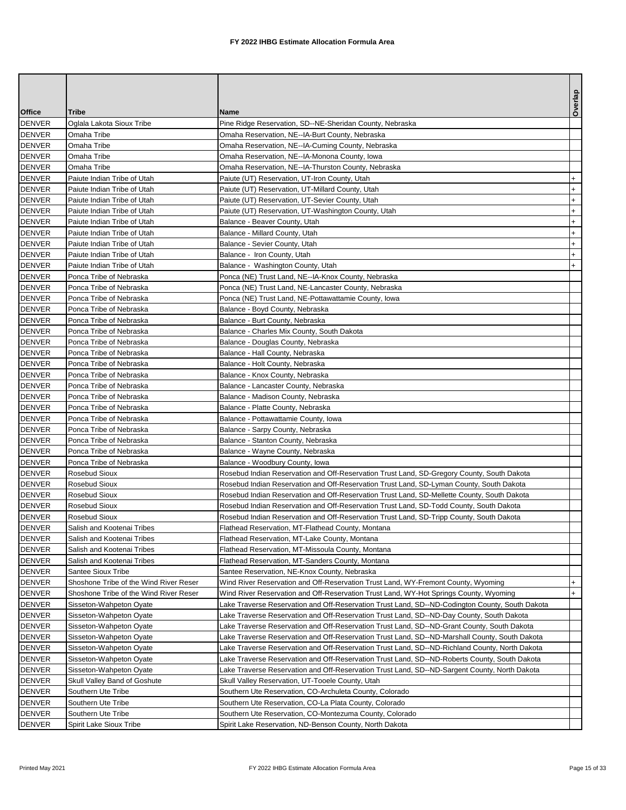|               |                                        |                                                                                                 | Overlap   |
|---------------|----------------------------------------|-------------------------------------------------------------------------------------------------|-----------|
| <b>Office</b> | Tribe                                  | <b>Name</b>                                                                                     |           |
| <b>DENVER</b> | Oglala Lakota Sioux Tribe              | Pine Ridge Reservation, SD--NE-Sheridan County, Nebraska                                        |           |
| <b>DENVER</b> | Omaha Tribe                            | Omaha Reservation, NE--IA-Burt County, Nebraska                                                 |           |
| <b>DENVER</b> | Omaha Tribe                            | Omaha Reservation, NE--IA-Cuming County, Nebraska                                               |           |
| <b>DENVER</b> | Omaha Tribe                            | Omaha Reservation, NE--IA-Monona County, Iowa                                                   |           |
| DENVER        | Omaha Tribe                            | Omaha Reservation, NE--IA-Thurston County, Nebraska                                             |           |
| DENVER        | Paiute Indian Tribe of Utah            | Paiute (UT) Reservation, UT-Iron County, Utah                                                   | $+$       |
| DENVER        | Paiute Indian Tribe of Utah            | Paiute (UT) Reservation, UT-Millard County, Utah                                                | $\ddot{}$ |
| <b>DENVER</b> | Paiute Indian Tribe of Utah            | Paiute (UT) Reservation, UT-Sevier County, Utah                                                 | $\ddot{}$ |
| DENVER        | Paiute Indian Tribe of Utah            | Paiute (UT) Reservation, UT-Washington County, Utah                                             | $+$       |
| DENVER        | Paiute Indian Tribe of Utah            | Balance - Beaver County, Utah                                                                   | $\ddot{}$ |
| DENVER        | Paiute Indian Tribe of Utah            | Balance - Millard County, Utah                                                                  | $+$       |
| <b>DENVER</b> | Paiute Indian Tribe of Utah            | Balance - Sevier County, Utah                                                                   | $+$       |
| <b>DENVER</b> | Paiute Indian Tribe of Utah            | Balance - Iron County, Utah                                                                     | $+$       |
| DENVER        | Paiute Indian Tribe of Utah            | Balance - Washington County, Utah                                                               | $+$       |
| DENVER        | Ponca Tribe of Nebraska                | Ponca (NE) Trust Land, NE--IA-Knox County, Nebraska                                             |           |
| DENVER        | Ponca Tribe of Nebraska                | Ponca (NE) Trust Land, NE-Lancaster County, Nebraska                                            |           |
| <b>DENVER</b> | Ponca Tribe of Nebraska                | Ponca (NE) Trust Land, NE-Pottawattamie County, Iowa                                            |           |
| DENVER        | Ponca Tribe of Nebraska                | Balance - Boyd County, Nebraska                                                                 |           |
| DENVER        | Ponca Tribe of Nebraska                | Balance - Burt County, Nebraska                                                                 |           |
| <b>DENVER</b> | Ponca Tribe of Nebraska                | Balance - Charles Mix County, South Dakota                                                      |           |
| <b>DENVER</b> | Ponca Tribe of Nebraska                | Balance - Douglas County, Nebraska                                                              |           |
| <b>DENVER</b> | Ponca Tribe of Nebraska                | Balance - Hall County, Nebraska                                                                 |           |
| DENVER        | Ponca Tribe of Nebraska                | Balance - Holt County, Nebraska                                                                 |           |
| DENVER        | Ponca Tribe of Nebraska                | Balance - Knox County, Nebraska                                                                 |           |
| DENVER        | Ponca Tribe of Nebraska                | Balance - Lancaster County, Nebraska                                                            |           |
| <b>DENVER</b> | Ponca Tribe of Nebraska                | Balance - Madison County, Nebraska                                                              |           |
| <b>DENVER</b> | Ponca Tribe of Nebraska                | Balance - Platte County, Nebraska                                                               |           |
| DENVER        | Ponca Tribe of Nebraska                | Balance - Pottawattamie County, Iowa                                                            |           |
| DENVER        | Ponca Tribe of Nebraska                | Balance - Sarpy County, Nebraska                                                                |           |
| <b>DENVER</b> | Ponca Tribe of Nebraska                | Balance - Stanton County, Nebraska                                                              |           |
| <b>DENVER</b> | Ponca Tribe of Nebraska                | Balance - Wayne County, Nebraska                                                                |           |
| <b>DENVER</b> | Ponca Tribe of Nebraska                | Balance - Woodbury County, Iowa                                                                 |           |
| DENVER        | <b>Rosebud Sioux</b>                   | Rosebud Indian Reservation and Off-Reservation Trust Land, SD-Gregory County, South Dakota      |           |
| DENVER        | Rosebud Sioux                          | Rosebud Indian Reservation and Off-Reservation Trust Land, SD-Lyman County, South Dakota        |           |
| <b>DENVER</b> | <b>Rosebud Sioux</b>                   | Rosebud Indian Reservation and Off-Reservation Trust Land, SD-Mellette County, South Dakota     |           |
| <b>DENVER</b> | <b>Rosebud Sioux</b>                   | Rosebud Indian Reservation and Off-Reservation Trust Land, SD-Todd County, South Dakota         |           |
| <b>DENVER</b> | Rosebud Sioux                          | Rosebud Indian Reservation and Off-Reservation Trust Land, SD-Tripp County, South Dakota        |           |
| <b>DENVER</b> | Salish and Kootenai Tribes             | Flathead Reservation, MT-Flathead County, Montana                                               |           |
| <b>DENVER</b> | Salish and Kootenai Tribes             | Flathead Reservation, MT-Lake County, Montana                                                   |           |
| DENVER        | Salish and Kootenai Tribes             | Flathead Reservation, MT-Missoula County, Montana                                               |           |
| <b>DENVER</b> | Salish and Kootenai Tribes             | Flathead Reservation, MT-Sanders County, Montana                                                |           |
| DENVER        | Santee Sioux Tribe                     | Santee Reservation, NE-Knox County, Nebraska                                                    |           |
| DENVER        | Shoshone Tribe of the Wind River Reser | Wind River Reservation and Off-Reservation Trust Land, WY-Fremont County, Wyoming               | $+$       |
| DENVER        | Shoshone Tribe of the Wind River Reser | Wind River Reservation and Off-Reservation Trust Land, WY-Hot Springs County, Wyoming           | $+$       |
| DENVER        | Sisseton-Wahpeton Oyate                | Lake Traverse Reservation and Off-Reservation Trust Land, SD--ND-Codington County, South Dakota |           |
| DENVER        | Sisseton-Wahpeton Oyate                | Lake Traverse Reservation and Off-Reservation Trust Land, SD--ND-Day County, South Dakota       |           |
| DENVER        | Sisseton-Wahpeton Oyate                | Lake Traverse Reservation and Off-Reservation Trust Land, SD--ND-Grant County, South Dakota     |           |
| DENVER        | Sisseton-Wahpeton Oyate                | Lake Traverse Reservation and Off-Reservation Trust Land, SD--ND-Marshall County, South Dakota  |           |
| <b>DENVER</b> | Sisseton-Wahpeton Oyate                | Lake Traverse Reservation and Off-Reservation Trust Land, SD--ND-Richland County, North Dakota  |           |
| DENVER        | Sisseton-Wahpeton Oyate                | Lake Traverse Reservation and Off-Reservation Trust Land, SD--ND-Roberts County, South Dakota   |           |
| DENVER        | Sisseton-Wahpeton Oyate                | Lake Traverse Reservation and Off-Reservation Trust Land, SD--ND-Sargent County, North Dakota   |           |
| DENVER        | Skull Valley Band of Goshute           | Skull Valley Reservation, UT-Tooele County, Utah                                                |           |
| DENVER        | Southern Ute Tribe                     | Southern Ute Reservation, CO-Archuleta County, Colorado                                         |           |
| DENVER        | Southern Ute Tribe                     | Southern Ute Reservation, CO-La Plata County, Colorado                                          |           |
| DENVER        | Southern Ute Tribe                     | Southern Ute Reservation, CO-Montezuma County, Colorado                                         |           |
| DENVER        | Spirit Lake Sioux Tribe                | Spirit Lake Reservation, ND-Benson County, North Dakota                                         |           |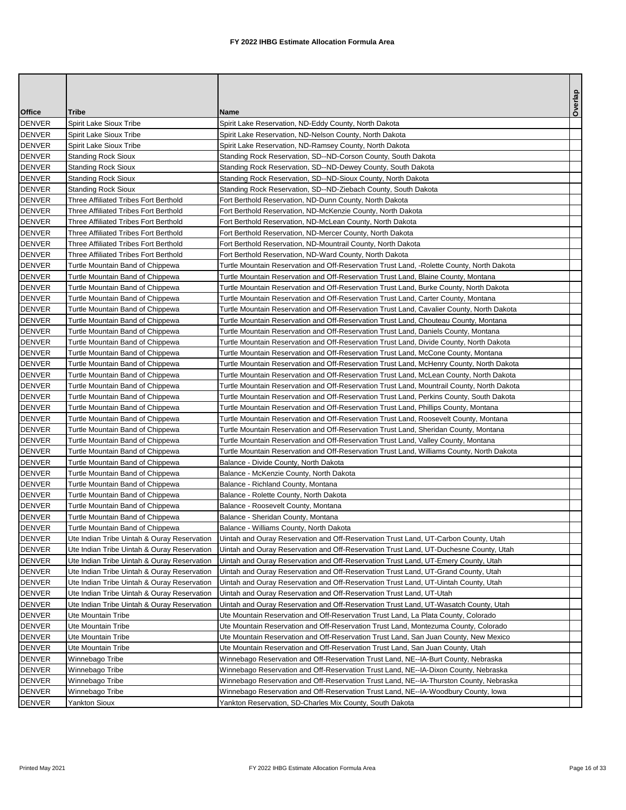|               |                                             |                                                                                            | Overlap |
|---------------|---------------------------------------------|--------------------------------------------------------------------------------------------|---------|
| <b>Office</b> | Tribe                                       | <b>Name</b>                                                                                |         |
| <b>DENVER</b> | Spirit Lake Sioux Tribe                     | Spirit Lake Reservation, ND-Eddy County, North Dakota                                      |         |
| DENVER        | Spirit Lake Sioux Tribe                     | Spirit Lake Reservation, ND-Nelson County, North Dakota                                    |         |
| DENVER        | Spirit Lake Sioux Tribe                     | Spirit Lake Reservation, ND-Ramsey County, North Dakota                                    |         |
| <b>DENVER</b> | <b>Standing Rock Sioux</b>                  | Standing Rock Reservation, SD--ND-Corson County, South Dakota                              |         |
| DENVER        | Standing Rock Sioux                         | Standing Rock Reservation, SD--ND-Dewey County, South Dakota                               |         |
| DENVER        | <b>Standing Rock Sioux</b>                  | Standing Rock Reservation, SD--ND-Sioux County, North Dakota                               |         |
| <b>DENVER</b> | <b>Standing Rock Sioux</b>                  | Standing Rock Reservation, SD--ND-Ziebach County, South Dakota                             |         |
| <b>DENVER</b> | Three Affiliated Tribes Fort Berthold       | Fort Berthold Reservation, ND-Dunn County, North Dakota                                    |         |
| DENVER        | Three Affiliated Tribes Fort Berthold       | Fort Berthold Reservation, ND-McKenzie County, North Dakota                                |         |
| DENVER        | Three Affiliated Tribes Fort Berthold       | Fort Berthold Reservation, ND-McLean County, North Dakota                                  |         |
| DENVER        | Three Affiliated Tribes Fort Berthold       | Fort Berthold Reservation, ND-Mercer County, North Dakota                                  |         |
| <b>DENVER</b> | Three Affiliated Tribes Fort Berthold       | Fort Berthold Reservation, ND-Mountrail County, North Dakota                               |         |
| DENVER        | Three Affiliated Tribes Fort Berthold       | Fort Berthold Reservation, ND-Ward County, North Dakota                                    |         |
| DENVER        | Turtle Mountain Band of Chippewa            | Turtle Mountain Reservation and Off-Reservation Trust Land, -Rolette County, North Dakota  |         |
| DENVER        | Turtle Mountain Band of Chippewa            | Turtle Mountain Reservation and Off-Reservation Trust Land, Blaine County, Montana         |         |
| DENVER        | Turtle Mountain Band of Chippewa            | Turtle Mountain Reservation and Off-Reservation Trust Land, Burke County, North Dakota     |         |
| <b>DENVER</b> | Turtle Mountain Band of Chippewa            | Turtle Mountain Reservation and Off-Reservation Trust Land, Carter County, Montana         |         |
| DENVER        | Turtle Mountain Band of Chippewa            | Turtle Mountain Reservation and Off-Reservation Trust Land, Cavalier County, North Dakota  |         |
| DENVER        | Turtle Mountain Band of Chippewa            | Turtle Mountain Reservation and Off-Reservation Trust Land, Chouteau County, Montana       |         |
| <b>DENVER</b> | Turtle Mountain Band of Chippewa            | Turtle Mountain Reservation and Off-Reservation Trust Land, Daniels County, Montana        |         |
| DENVER        | Turtle Mountain Band of Chippewa            | Turtle Mountain Reservation and Off-Reservation Trust Land, Divide County, North Dakota    |         |
| DENVER        | Turtle Mountain Band of Chippewa            | Turtle Mountain Reservation and Off-Reservation Trust Land, McCone County, Montana         |         |
| DENVER        | Turtle Mountain Band of Chippewa            | Turtle Mountain Reservation and Off-Reservation Trust Land, McHenry County, North Dakota   |         |
| DENVER        | Turtle Mountain Band of Chippewa            | Turtle Mountain Reservation and Off-Reservation Trust Land, McLean County, North Dakota    |         |
| DENVER        | Turtle Mountain Band of Chippewa            | Turtle Mountain Reservation and Off-Reservation Trust Land, Mountrail County, North Dakota |         |
| <b>DENVER</b> | Turtle Mountain Band of Chippewa            | Turtle Mountain Reservation and Off-Reservation Trust Land, Perkins County, South Dakota   |         |
| <b>DENVER</b> | Turtle Mountain Band of Chippewa            | Turtle Mountain Reservation and Off-Reservation Trust Land, Phillips County, Montana       |         |
| DENVER        | Turtle Mountain Band of Chippewa            | Turtle Mountain Reservation and Off-Reservation Trust Land, Roosevelt County, Montana      |         |
| DENVER        | Turtle Mountain Band of Chippewa            | Turtle Mountain Reservation and Off-Reservation Trust Land, Sheridan County, Montana       |         |
| <b>DENVER</b> | Turtle Mountain Band of Chippewa            | Turtle Mountain Reservation and Off-Reservation Trust Land, Valley County, Montana         |         |
| <b>DENVER</b> | Turtle Mountain Band of Chippewa            | Turtle Mountain Reservation and Off-Reservation Trust Land, Williams County, North Dakota  |         |
| <b>DENVER</b> | Turtle Mountain Band of Chippewa            | Balance - Divide County, North Dakota                                                      |         |
| DENVER        | Turtle Mountain Band of Chippewa            | Balance - McKenzie County, North Dakota                                                    |         |
| DENVER        | Turtle Mountain Band of Chippewa            | Balance - Richland County, Montana                                                         |         |
| <b>DENVER</b> | Turtle Mountain Band of Chippewa            | Balance - Rolette County, North Dakota                                                     |         |
| DENVER        | Turtle Mountain Band of Chippewa            | Balance - Roosevelt County, Montana                                                        |         |
| <b>DENVER</b> | Turtle Mountain Band of Chippewa            | Balance - Sheridan County, Montana                                                         |         |
| <b>DENVER</b> | Turtle Mountain Band of Chippewa            | Balance - Williams County, North Dakota                                                    |         |
| <b>DENVER</b> | Ute Indian Tribe Uintah & Ouray Reservation | Uintah and Ouray Reservation and Off-Reservation Trust Land, UT-Carbon County, Utah        |         |
| DENVER        | Ute Indian Tribe Uintah & Ouray Reservation | Uintah and Ouray Reservation and Off-Reservation Trust Land, UT-Duchesne County, Utah      |         |
| <b>DENVER</b> | Ute Indian Tribe Uintah & Ouray Reservation | Uintah and Ouray Reservation and Off-Reservation Trust Land, UT-Emery County, Utah         |         |
| DENVER        | Ute Indian Tribe Uintah & Ouray Reservation | Uintah and Ouray Reservation and Off-Reservation Trust Land, UT-Grand County, Utah         |         |
| DENVER        | Ute Indian Tribe Uintah & Ouray Reservation | Uintah and Ouray Reservation and Off-Reservation Trust Land, UT-Uintah County, Utah        |         |
| DENVER        | Ute Indian Tribe Uintah & Ouray Reservation | Uintah and Ouray Reservation and Off-Reservation Trust Land, UT-Utah                       |         |
| DENVER        | Ute Indian Tribe Uintah & Ouray Reservation | Uintah and Ouray Reservation and Off-Reservation Trust Land, UT-Wasatch County, Utah       |         |
| DENVER        | Ute Mountain Tribe                          | Ute Mountain Reservation and Off-Reservation Trust Land, La Plata County, Colorado         |         |
| DENVER        | Ute Mountain Tribe                          | Ute Mountain Reservation and Off-Reservation Trust Land, Montezuma County, Colorado        |         |
| DENVER        | Ute Mountain Tribe                          | Ute Mountain Reservation and Off-Reservation Trust Land, San Juan County, New Mexico       |         |
| <b>DENVER</b> | Ute Mountain Tribe                          | Ute Mountain Reservation and Off-Reservation Trust Land, San Juan County, Utah             |         |
| DENVER        | Winnebago Tribe                             | Winnebago Reservation and Off-Reservation Trust Land, NE--IA-Burt County, Nebraska         |         |
| DENVER        | Winnebago Tribe                             | Winnebago Reservation and Off-Reservation Trust Land, NE--IA-Dixon County, Nebraska        |         |
| DENVER        | Winnebago Tribe                             | Winnebago Reservation and Off-Reservation Trust Land, NE--IA-Thurston County, Nebraska     |         |
| <b>DENVER</b> | Winnebago Tribe                             | Winnebago Reservation and Off-Reservation Trust Land, NE--IA-Woodbury County, lowa         |         |
| <b>DENVER</b> | Yankton Sioux                               | Yankton Reservation, SD-Charles Mix County, South Dakota                                   |         |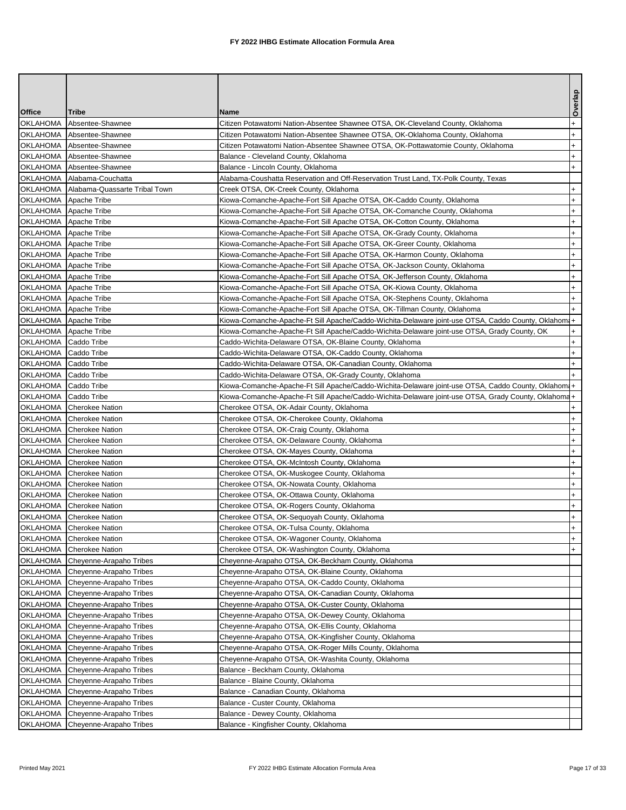|                                                |                                                    |                                                                                                                                                                                 | Overlap                |
|------------------------------------------------|----------------------------------------------------|---------------------------------------------------------------------------------------------------------------------------------------------------------------------------------|------------------------|
| <b>Office</b>                                  | Tribe                                              | <b>Name</b>                                                                                                                                                                     |                        |
| OKLAHOMA                                       | Absentee-Shawnee                                   | Citizen Potawatomi Nation-Absentee Shawnee OTSA, OK-Cleveland County, Oklahoma                                                                                                  | $^{+}$                 |
| <b>OKLAHOMA</b>                                | Absentee-Shawnee                                   | Citizen Potawatomi Nation-Absentee Shawnee OTSA, OK-Oklahoma County, Oklahoma                                                                                                   | $+$                    |
| <b>OKLAHOMA</b>                                | Absentee-Shawnee                                   | Citizen Potawatomi Nation-Absentee Shawnee OTSA, OK-Pottawatomie County, Oklahoma                                                                                               | $+$                    |
| <b>OKLAHOMA</b>                                | Absentee-Shawnee                                   | Balance - Cleveland County, Oklahoma                                                                                                                                            | $+$                    |
| OKLAHOMA                                       | Absentee-Shawnee                                   | Balance - Lincoln County, Oklahoma                                                                                                                                              | $\ddot{}$              |
|                                                | OKLAHOMA   Alabama-Couchatta                       | Alabama-Coushatta Reservation and Off-Reservation Trust Land, TX-Polk County, Texas                                                                                             |                        |
| <b>OKLAHOMA</b>                                | Alabama-Quassarte Tribal Town                      | Creek OTSA, OK-Creek County, Oklahoma                                                                                                                                           | $\ddot{}$              |
| OKLAHOMA Apache Tribe                          |                                                    | Kiowa-Comanche-Apache-Fort Sill Apache OTSA, OK-Caddo County, Oklahoma                                                                                                          | $+$                    |
| OKLAHOMA                                       | Apache Tribe                                       | Kiowa-Comanche-Apache-Fort Sill Apache OTSA, OK-Comanche County, Oklahoma                                                                                                       | $\ddot{}$              |
| OKLAHOMA Apache Tribe                          |                                                    | Kiowa-Comanche-Apache-Fort Sill Apache OTSA, OK-Cotton County, Oklahoma                                                                                                         | $\ddot{}$              |
| OKLAHOMA Apache Tribe                          |                                                    | Kiowa-Comanche-Apache-Fort Sill Apache OTSA, OK-Grady County, Oklahoma                                                                                                          | $\ddot{}$              |
| OKLAHOMA Apache Tribe                          |                                                    | Kiowa-Comanche-Apache-Fort Sill Apache OTSA, OK-Greer County, Oklahoma                                                                                                          | $\ddot{}$              |
| OKLAHOMA Apache Tribe                          |                                                    | Kiowa-Comanche-Apache-Fort Sill Apache OTSA, OK-Harmon County, Oklahoma                                                                                                         | $+$                    |
| OKLAHOMA Apache Tribe<br>OKLAHOMA Apache Tribe |                                                    | Kiowa-Comanche-Apache-Fort Sill Apache OTSA, OK-Jackson County, Oklahoma                                                                                                        | $\ddot{}$              |
|                                                |                                                    | Kiowa-Comanche-Apache-Fort Sill Apache OTSA, OK-Jefferson County, Oklahoma                                                                                                      | $\ddot{}$<br>$\ddot{}$ |
| OKLAHOMA<br>OKLAHOMA Apache Tribe              | Apache Tribe                                       | Kiowa-Comanche-Apache-Fort Sill Apache OTSA, OK-Kiowa County, Oklahoma                                                                                                          | $+$                    |
| OKLAHOMA Apache Tribe                          |                                                    | Kiowa-Comanche-Apache-Fort Sill Apache OTSA, OK-Stephens County, Oklahoma                                                                                                       |                        |
| OKLAHOMA Apache Tribe                          |                                                    | Kiowa-Comanche-Apache-Fort Sill Apache OTSA, OK-Tillman County, Oklahoma<br>Kiowa-Comanche-Apache-Ft Sill Apache/Caddo-Wichita-Delaware joint-use OTSA, Caddo County, Oklahomi+ |                        |
| OKLAHOMA Apache Tribe                          |                                                    | Kiowa-Comanche-Apache-Ft Sill Apache/Caddo-Wichita-Delaware joint-use OTSA, Grady County, OK                                                                                    | $+$                    |
| OKLAHOMA   Caddo Tribe                         |                                                    | Caddo-Wichita-Delaware OTSA, OK-Blaine County, Oklahoma                                                                                                                         | $+$                    |
| OKLAHOMA   Caddo Tribe                         |                                                    | Caddo-Wichita-Delaware OTSA, OK-Caddo County, Oklahoma                                                                                                                          | $+$                    |
| OKLAHOMA                                       | Caddo Tribe                                        | Caddo-Wichita-Delaware OTSA, OK-Canadian County, Oklahoma                                                                                                                       | $\ddot{}$              |
| OKLAHOMA   Caddo Tribe                         |                                                    | Caddo-Wichita-Delaware OTSA, OK-Grady County, Oklahoma                                                                                                                          | $+$                    |
| <b>OKLAHOMA</b>                                | Caddo Tribe                                        | Kiowa-Comanche-Apache-Ft Sill Apache/Caddo-Wichita-Delaware joint-use OTSA, Caddo County, Oklahomi+                                                                             |                        |
| OKLAHOMA Caddo Tribe                           |                                                    | Kiowa-Comanche-Apache-Ft Sill Apache/Caddo-Wichita-Delaware joint-use OTSA, Grady County, Oklahoma+                                                                             |                        |
|                                                | OKLAHOMA Cherokee Nation                           | Cherokee OTSA, OK-Adair County, Oklahoma                                                                                                                                        | $\ddot{}$              |
|                                                | OKLAHOMA Cherokee Nation                           | Cherokee OTSA, OK-Cherokee County, Oklahoma                                                                                                                                     | $\ddot{}$              |
| <b>OKLAHOMA</b>                                | Cherokee Nation                                    | Cherokee OTSA, OK-Craig County, Oklahoma                                                                                                                                        | $\ddot{}$              |
|                                                | OKLAHOMA Cherokee Nation                           | Cherokee OTSA, OK-Delaware County, Oklahoma                                                                                                                                     | $\ddot{}$              |
|                                                | OKLAHOMA Cherokee Nation                           | Cherokee OTSA, OK-Mayes County, Oklahoma                                                                                                                                        | $\ddot{}$              |
| OKLAHOMA                                       | Cherokee Nation                                    | Cherokee OTSA, OK-McIntosh County, Oklahoma                                                                                                                                     | $\ddot{}$              |
|                                                | OKLAHOMA Cherokee Nation                           | Cherokee OTSA, OK-Muskogee County, Oklahoma                                                                                                                                     | $\ddot{}$              |
| <b>OKLAHOMA</b>                                | Cherokee Nation                                    | Cherokee OTSA, OK-Nowata County, Oklahoma                                                                                                                                       | $\ddot{}$              |
| <b>OKLAHOMA</b>                                | <b>Cherokee Nation</b>                             | Cherokee OTSA, OK-Ottawa County, Oklahoma                                                                                                                                       | $+$                    |
| <b>OKLAHOMA</b>                                | Cherokee Nation                                    | Cherokee OTSA, OK-Rogers County, Oklahoma                                                                                                                                       | $\ddot{}$              |
| OKLAHOMA                                       | <b>Cherokee Nation</b>                             | Cherokee OTSA, OK-Sequoyah County, Oklahoma                                                                                                                                     | $\ddot{}$              |
| <b>OKLAHOMA</b>                                | Cherokee Nation                                    | Cherokee OTSA, OK-Tulsa County, Oklahoma                                                                                                                                        | $+$                    |
| <b>OKLAHOMA</b>                                | <b>Cherokee Nation</b>                             | Cherokee OTSA, OK-Wagoner County, Oklahoma                                                                                                                                      | $+$                    |
| <b>OKLAHOMA</b>                                | <b>Cherokee Nation</b>                             | Cherokee OTSA, OK-Washington County, Oklahoma                                                                                                                                   | $+$                    |
| OKLAHOMA                                       | Cheyenne-Arapaho Tribes                            | Cheyenne-Arapaho OTSA, OK-Beckham County, Oklahoma                                                                                                                              |                        |
| OKLAHOMA                                       | Cheyenne-Arapaho Tribes                            | Cheyenne-Arapaho OTSA, OK-Blaine County, Oklahoma                                                                                                                               |                        |
| <b>OKLAHOMA</b>                                | Cheyenne-Arapaho Tribes                            | Cheyenne-Arapaho OTSA, OK-Caddo County, Oklahoma                                                                                                                                |                        |
| <b>OKLAHOMA</b>                                | Cheyenne-Arapaho Tribes                            | Cheyenne-Arapaho OTSA, OK-Canadian County, Oklahoma                                                                                                                             |                        |
| <b>OKLAHOMA</b>                                | Cheyenne-Arapaho Tribes                            | Cheyenne-Arapaho OTSA, OK-Custer County, Oklahoma                                                                                                                               |                        |
| OKLAHOMA                                       | Cheyenne-Arapaho Tribes                            | Cheyenne-Arapaho OTSA, OK-Dewey County, Oklahoma                                                                                                                                |                        |
| OKLAHOMA                                       | Cheyenne-Arapaho Tribes                            | Cheyenne-Arapaho OTSA, OK-Ellis County, Oklahoma                                                                                                                                |                        |
| OKLAHOMA                                       | Cheyenne-Arapaho Tribes                            | Cheyenne-Arapaho OTSA, OK-Kingfisher County, Oklahoma                                                                                                                           |                        |
| <b>OKLAHOMA</b>                                | Cheyenne-Arapaho Tribes                            | Cheyenne-Arapaho OTSA, OK-Roger Mills County, Oklahoma                                                                                                                          |                        |
| <b>OKLAHOMA</b>                                | Cheyenne-Arapaho Tribes                            | Cheyenne-Arapaho OTSA, OK-Washita County, Oklahoma                                                                                                                              |                        |
| OKLAHOMA                                       | Cheyenne-Arapaho Tribes                            | Balance - Beckham County, Oklahoma                                                                                                                                              |                        |
| OKLAHOMA                                       | Cheyenne-Arapaho Tribes                            | Balance - Blaine County, Oklahoma                                                                                                                                               |                        |
| <b>OKLAHOMA</b><br>OKLAHOMA                    | Cheyenne-Arapaho Tribes                            | Balance - Canadian County, Oklahoma                                                                                                                                             |                        |
| <b>OKLAHOMA</b>                                | Cheyenne-Arapaho Tribes<br>Cheyenne-Arapaho Tribes | Balance - Custer County, Oklahoma<br>Balance - Dewey County, Oklahoma                                                                                                           |                        |
| <b>OKLAHOMA</b>                                | Cheyenne-Arapaho Tribes                            | Balance - Kingfisher County, Oklahoma                                                                                                                                           |                        |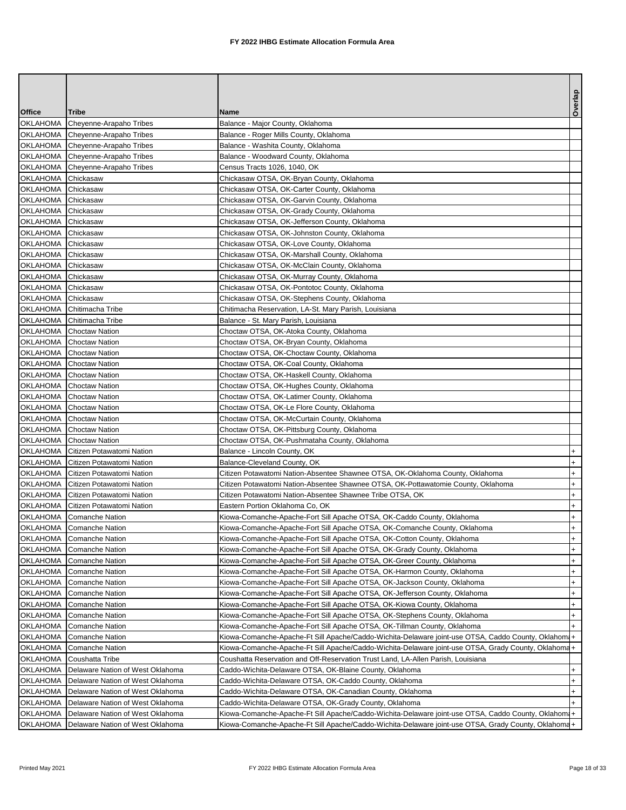|                    |                                                    |                                                                                                     | Overlap   |
|--------------------|----------------------------------------------------|-----------------------------------------------------------------------------------------------------|-----------|
| <b>Office</b>      | <b>Tribe</b>                                       | Name                                                                                                |           |
| <b>OKLAHOMA</b>    | Cheyenne-Arapaho Tribes                            | Balance - Major County, Oklahoma                                                                    |           |
|                    | OKLAHOMA Cheyenne-Arapaho Tribes                   | Balance - Roger Mills County, Oklahoma                                                              |           |
|                    | OKLAHOMA Cheyenne-Arapaho Tribes                   | Balance - Washita County, Oklahoma                                                                  |           |
|                    | OKLAHOMA Cheyenne-Arapaho Tribes                   | Balance - Woodward County, Oklahoma                                                                 |           |
|                    | OKLAHOMA Cheyenne-Arapaho Tribes                   | Census Tracts 1026, 1040, OK                                                                        |           |
| OKLAHOMA Chickasaw |                                                    | Chickasaw OTSA, OK-Bryan County, Oklahoma                                                           |           |
| <b>OKLAHOMA</b>    | Chickasaw                                          | Chickasaw OTSA, OK-Carter County, Oklahoma                                                          |           |
| OKLAHOMA Chickasaw |                                                    | Chickasaw OTSA, OK-Garvin County, Oklahoma                                                          |           |
| <b>OKLAHOMA</b>    | Chickasaw                                          | Chickasaw OTSA, OK-Grady County, Oklahoma                                                           |           |
| OKLAHOMA Chickasaw |                                                    | Chickasaw OTSA, OK-Jefferson County, Oklahoma                                                       |           |
| OKLAHOMA Chickasaw |                                                    | Chickasaw OTSA, OK-Johnston County, Oklahoma                                                        |           |
| OKLAHOMA Chickasaw |                                                    | Chickasaw OTSA, OK-Love County, Oklahoma                                                            |           |
| OKLAHOMA Chickasaw |                                                    | Chickasaw OTSA, OK-Marshall County, Oklahoma                                                        |           |
| OKLAHOMA Chickasaw |                                                    | Chickasaw OTSA, OK-McClain County, Oklahoma                                                         |           |
| OKLAHOMA Chickasaw |                                                    | Chickasaw OTSA, OK-Murray County, Oklahoma                                                          |           |
| OKLAHOMA Chickasaw |                                                    | Chickasaw OTSA, OK-Pontotoc County, Oklahoma                                                        |           |
| OKLAHOMA Chickasaw |                                                    | Chickasaw OTSA, OK-Stephens County, Oklahoma                                                        |           |
|                    | OKLAHOMA Chitimacha Tribe                          | Chitimacha Reservation, LA-St. Mary Parish, Louisiana                                               |           |
|                    | OKLAHOMA Chitimacha Tribe                          | Balance - St. Mary Parish, Louisiana                                                                |           |
|                    | OKLAHOMA Choctaw Nation                            | Choctaw OTSA, OK-Atoka County, Oklahoma                                                             |           |
|                    | OKLAHOMA Choctaw Nation                            | Choctaw OTSA, OK-Bryan County, Oklahoma                                                             |           |
|                    | OKLAHOMA Choctaw Nation                            | Choctaw OTSA, OK-Choctaw County, Oklahoma<br>Choctaw OTSA, OK-Coal County, Oklahoma                 |           |
|                    | OKLAHOMA Choctaw Nation<br>OKLAHOMA Choctaw Nation | Choctaw OTSA, OK-Haskell County, Oklahoma                                                           |           |
|                    | OKLAHOMA Choctaw Nation                            | Choctaw OTSA, OK-Hughes County, Oklahoma                                                            |           |
|                    | OKLAHOMA Choctaw Nation                            | Choctaw OTSA, OK-Latimer County, Oklahoma                                                           |           |
|                    | OKLAHOMA Choctaw Nation                            | Choctaw OTSA, OK-Le Flore County, Oklahoma                                                          |           |
|                    | OKLAHOMA Choctaw Nation                            | Choctaw OTSA, OK-McCurtain County, Oklahoma                                                         |           |
|                    | OKLAHOMA Choctaw Nation                            | Choctaw OTSA, OK-Pittsburg County, Oklahoma                                                         |           |
|                    | OKLAHOMA Choctaw Nation                            | Choctaw OTSA, OK-Pushmataha County, Oklahoma                                                        |           |
| <b>OKLAHOMA</b>    | Citizen Potawatomi Nation                          | Balance - Lincoln County, OK                                                                        | $+$       |
| OKLAHOMA           | Citizen Potawatomi Nation                          | Balance-Cleveland County, OK                                                                        | $+$       |
|                    | OKLAHOMA   Citizen Potawatomi Nation               | Citizen Potawatomi Nation-Absentee Shawnee OTSA, OK-Oklahoma County, Oklahoma                       | $+$       |
|                    | OKLAHOMA   Citizen Potawatomi Nation               | Citizen Potawatomi Nation-Absentee Shawnee OTSA, OK-Pottawatomie County, Oklahoma                   | $\ddot{}$ |
|                    | OKLAHOMA   Citizen Potawatomi Nation               | Citizen Potawatomi Nation-Absentee Shawnee Tribe OTSA, OK                                           | $+$       |
|                    | OKLAHOMA   Citizen Potawatomi Nation               | Eastern Portion Oklahoma Co, OK                                                                     | $\ddot{}$ |
|                    | OKLAHOMA Comanche Nation                           | Kiowa-Comanche-Apache-Fort Sill Apache OTSA, OK-Caddo County, Oklahoma                              | $+$       |
|                    | OKLAHOMA Comanche Nation                           | Kiowa-Comanche-Apache-Fort Sill Apache OTSA, OK-Comanche County, Oklahoma                           | $+$       |
|                    | OKLAHOMA Comanche Nation                           | Kiowa-Comanche-Apache-Fort Sill Apache OTSA, OK-Cotton County, Oklahoma                             | $+$       |
| OKLAHOMA           | <b>Comanche Nation</b>                             | Kiowa-Comanche-Apache-Fort Sill Apache OTSA, OK-Grady County, Oklahoma                              | $+$       |
| <b>OKLAHOMA</b>    | <b>Comanche Nation</b>                             | Kiowa-Comanche-Apache-Fort Sill Apache OTSA, OK-Greer County, Oklahoma                              | $+$       |
| OKLAHOMA           | <b>Comanche Nation</b>                             | Kiowa-Comanche-Apache-Fort Sill Apache OTSA, OK-Harmon County, Oklahoma                             | $+$       |
| OKLAHOMA           | <b>Comanche Nation</b>                             | Kiowa-Comanche-Apache-Fort Sill Apache OTSA, OK-Jackson County, Oklahoma                            | $\ddot{}$ |
| OKLAHOMA           | Comanche Nation                                    | Kiowa-Comanche-Apache-Fort Sill Apache OTSA, OK-Jefferson County, Oklahoma                          | $+$       |
| OKLAHOMA           | <b>Comanche Nation</b>                             | Kiowa-Comanche-Apache-Fort Sill Apache OTSA, OK-Kiowa County, Oklahoma                              | $\ddot{}$ |
| OKLAHOMA           | <b>Comanche Nation</b>                             | Kiowa-Comanche-Apache-Fort Sill Apache OTSA, OK-Stephens County, Oklahoma                           | $+$       |
| OKLAHOMA           | <b>Comanche Nation</b>                             | Kiowa-Comanche-Apache-Fort Sill Apache OTSA, OK-Tillman County, Oklahoma                            |           |
| <b>OKLAHOMA</b>    | <b>Comanche Nation</b>                             | Kiowa-Comanche-Apache-Ft Sill Apache/Caddo-Wichita-Delaware joint-use OTSA, Caddo County, Oklahom   |           |
| OKLAHOMA           | <b>Comanche Nation</b>                             | Kiowa-Comanche-Apache-Ft Sill Apache/Caddo-Wichita-Delaware joint-use OTSA, Grady County, Oklahoma+ |           |
| <b>OKLAHOMA</b>    | Coushatta Tribe                                    | Coushatta Reservation and Off-Reservation Trust Land, LA-Allen Parish, Louisiana                    |           |
| OKLAHOMA           | Delaware Nation of West Oklahoma                   | Caddo-Wichita-Delaware OTSA, OK-Blaine County, Oklahoma                                             | $+$       |
| OKLAHOMA           | Delaware Nation of West Oklahoma                   | Caddo-Wichita-Delaware OTSA, OK-Caddo County, Oklahoma                                              | $\ddot{}$ |
| <b>OKLAHOMA</b>    | Delaware Nation of West Oklahoma                   | Caddo-Wichita-Delaware OTSA, OK-Canadian County, Oklahoma                                           | $+$       |
| OKLAHOMA           | Delaware Nation of West Oklahoma                   | Caddo-Wichita-Delaware OTSA, OK-Grady County, Oklahoma                                              |           |
| <b>OKLAHOMA</b>    | Delaware Nation of West Oklahoma                   | Kiowa-Comanche-Apache-Ft Sill Apache/Caddo-Wichita-Delaware joint-use OTSA, Caddo County, Oklahom   |           |
|                    | OKLAHOMA   Delaware Nation of West Oklahoma        | Kiowa-Comanche-Apache-Ft Sill Apache/Caddo-Wichita-Delaware joint-use OTSA, Grady County, Oklahoma+ |           |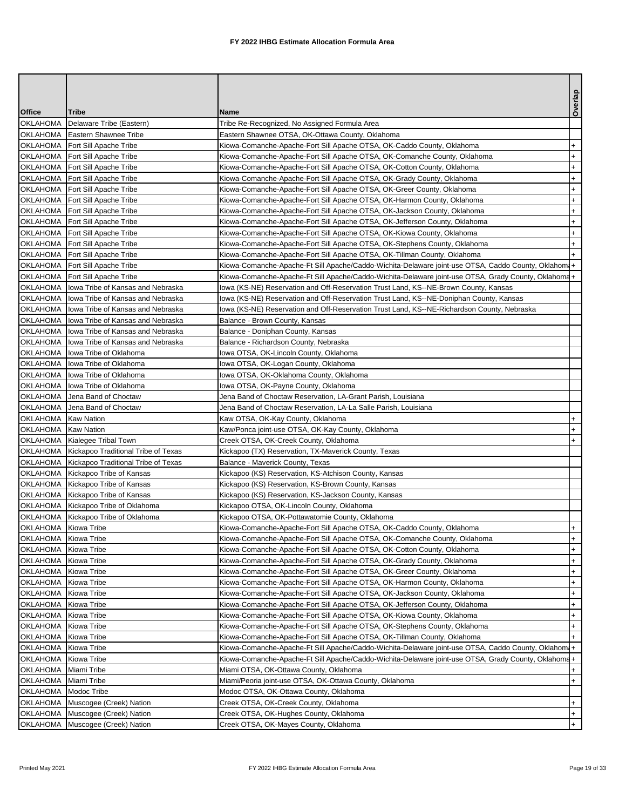|                       |                                                |                                                                                                     | Overlap   |
|-----------------------|------------------------------------------------|-----------------------------------------------------------------------------------------------------|-----------|
| <b>Office</b>         | Tribe                                          | Name                                                                                                |           |
| OKLAHOMA              | Delaware Tribe (Eastern)                       | Tribe Re-Recognized, No Assigned Formula Area                                                       |           |
|                       | OKLAHOMA   Eastern Shawnee Tribe               | Eastern Shawnee OTSA, OK-Ottawa County, Oklahoma                                                    |           |
|                       | OKLAHOMA   Fort Sill Apache Tribe              | Kiowa-Comanche-Apache-Fort Sill Apache OTSA, OK-Caddo County, Oklahoma                              | $\ddot{}$ |
| OKLAHOMA              | Fort Sill Apache Tribe                         | Kiowa-Comanche-Apache-Fort Sill Apache OTSA, OK-Comanche County, Oklahoma                           | $+$       |
| OKLAHOMA              | Fort Sill Apache Tribe                         | Kiowa-Comanche-Apache-Fort Sill Apache OTSA, OK-Cotton County, Oklahoma                             | $\ddot{}$ |
| OKLAHOMA              | Fort Sill Apache Tribe                         | Kiowa-Comanche-Apache-Fort Sill Apache OTSA, OK-Grady County, Oklahoma                              | $^{+}$    |
|                       | OKLAHOMA   Fort Sill Apache Tribe              | Kiowa-Comanche-Apache-Fort Sill Apache OTSA, OK-Greer County, Oklahoma                              | $^{+}$    |
| OKLAHOMA              | Fort Sill Apache Tribe                         | Kiowa-Comanche-Apache-Fort Sill Apache OTSA, OK-Harmon County, Oklahoma                             | $+$       |
|                       | OKLAHOMA   Fort Sill Apache Tribe              | Kiowa-Comanche-Apache-Fort Sill Apache OTSA, OK-Jackson County, Oklahoma                            | $\ddot{}$ |
|                       | OKLAHOMA   Fort Sill Apache Tribe              | Kiowa-Comanche-Apache-Fort Sill Apache OTSA, OK-Jefferson County, Oklahoma                          | $\ddot{}$ |
|                       | OKLAHOMA   Fort Sill Apache Tribe              | Kiowa-Comanche-Apache-Fort Sill Apache OTSA, OK-Kiowa County, Oklahoma                              | $\ddot{}$ |
|                       | OKLAHOMA   Fort Sill Apache Tribe              | Kiowa-Comanche-Apache-Fort Sill Apache OTSA, OK-Stephens County, Oklahoma                           | $\ddot{}$ |
| OKLAHOMA              | Fort Sill Apache Tribe                         | Kiowa-Comanche-Apache-Fort Sill Apache OTSA, OK-Tillman County, Oklahoma                            |           |
|                       | OKLAHOMA   Fort Sill Apache Tribe              | Kiowa-Comanche-Apache-Ft Sill Apache/Caddo-Wichita-Delaware joint-use OTSA, Caddo County, Oklahom.  |           |
| OKLAHOMA              | Fort Sill Apache Tribe                         | Kiowa-Comanche-Apache-Ft Sill Apache/Caddo-Wichita-Delaware joint-use OTSA, Grady County, Oklahoma+ |           |
|                       | OKLAHOMA   lowa Tribe of Kansas and Nebraska   | lowa (KS-NE) Reservation and Off-Reservation Trust Land, KS--NE-Brown County, Kansas                |           |
| <b>OKLAHOMA</b>       | lowa Tribe of Kansas and Nebraska              | lowa (KS-NE) Reservation and Off-Reservation Trust Land, KS--NE-Doniphan County, Kansas             |           |
| OKLAHOMA              | Iowa Tribe of Kansas and Nebraska              | lowa (KS-NE) Reservation and Off-Reservation Trust Land, KS--NE-Richardson County, Nebraska         |           |
|                       | OKLAHOMA   lowa Tribe of Kansas and Nebraska   | Balance - Brown County, Kansas                                                                      |           |
|                       | OKLAHOMA   lowa Tribe of Kansas and Nebraska   | Balance - Doniphan County, Kansas                                                                   |           |
| OKLAHOMA              | Iowa Tribe of Kansas and Nebraska              | Balance - Richardson County, Nebraska                                                               |           |
| OKLAHOMA              | lowa Tribe of Oklahoma                         | lowa OTSA, OK-Lincoln County, Oklahoma                                                              |           |
| <b>OKLAHOMA</b>       | lowa Tribe of Oklahoma                         | lowa OTSA, OK-Logan County, Oklahoma                                                                |           |
| OKLAHOMA              | lowa Tribe of Oklahoma                         | lowa OTSA, OK-Oklahoma County, Oklahoma                                                             |           |
|                       | OKLAHOMA lowa Tribe of Oklahoma                | lowa OTSA, OK-Payne County, Oklahoma                                                                |           |
| <b>OKLAHOMA</b>       | Jena Band of Choctaw                           | Jena Band of Choctaw Reservation, LA-Grant Parish, Louisiana                                        |           |
| OKLAHOMA              | Jena Band of Choctaw                           | Jena Band of Choctaw Reservation, LA-La Salle Parish, Louisiana                                     |           |
| OKLAHOMA              | <b>Kaw Nation</b>                              | Kaw OTSA, OK-Kay County, Oklahoma                                                                   | $\ddot{}$ |
| OKLAHOMA   Kaw Nation |                                                | Kaw/Ponca joint-use OTSA, OK-Kay County, Oklahoma                                                   | $\ddot{}$ |
|                       | OKLAHOMA Kialegee Tribal Town                  | Creek OTSA, OK-Creek County, Oklahoma                                                               | $\ddot{}$ |
|                       | OKLAHOMA   Kickapoo Traditional Tribe of Texas | Kickapoo (TX) Reservation, TX-Maverick County, Texas                                                |           |
| OKLAHOMA              | Kickapoo Traditional Tribe of Texas            | Balance - Maverick County, Texas                                                                    |           |
|                       | OKLAHOMA Kickapoo Tribe of Kansas              | Kickapoo (KS) Reservation, KS-Atchison County, Kansas                                               |           |
|                       | OKLAHOMA   Kickapoo Tribe of Kansas            | Kickapoo (KS) Reservation, KS-Brown County, Kansas                                                  |           |
|                       | OKLAHOMA   Kickapoo Tribe of Kansas            | Kickapoo (KS) Reservation, KS-Jackson County, Kansas                                                |           |
|                       | OKLAHOMA   Kickapoo Tribe of Oklahoma          | Kickapoo OTSA, OK-Lincoln County, Oklahoma                                                          |           |
|                       | OKLAHOMA   Kickapoo Tribe of Oklahoma          | Kickapoo OTSA, OK-Pottawatomie County, Oklahoma                                                     |           |
| OKLAHOMA Kiowa Tribe  |                                                | Kiowa-Comanche-Apache-Fort Sill Apache OTSA, OK-Caddo County, Oklahoma                              | $+$       |
| OKLAHOMA Kiowa Tribe  |                                                | Kiowa-Comanche-Apache-Fort Sill Apache OTSA, OK-Comanche County, Oklahoma                           | $^{+}$    |
| OKLAHOMA Kiowa Tribe  |                                                | Kiowa-Comanche-Apache-Fort Sill Apache OTSA, OK-Cotton County, Oklahoma                             | $+$       |
| OKLAHOMA              | Kiowa Tribe                                    | Kiowa-Comanche-Apache-Fort Sill Apache OTSA, OK-Grady County, Oklahoma                              | $+$       |
| OKLAHOMA Kiowa Tribe  |                                                | Kiowa-Comanche-Apache-Fort Sill Apache OTSA, OK-Greer County, Oklahoma                              | $+$       |
| OKLAHOMA Kiowa Tribe  |                                                | Kiowa-Comanche-Apache-Fort Sill Apache OTSA, OK-Harmon County, Oklahoma                             | $\ddot{}$ |
| OKLAHOMA              | Kiowa Tribe                                    | Kiowa-Comanche-Apache-Fort Sill Apache OTSA, OK-Jackson County, Oklahoma                            | $\ddot{}$ |
| OKLAHOMA              | Kiowa Tribe                                    | Kiowa-Comanche-Apache-Fort Sill Apache OTSA, OK-Jefferson County, Oklahoma                          | $+$       |
| OKLAHOMA              | Kiowa Tribe                                    | Kiowa-Comanche-Apache-Fort Sill Apache OTSA, OK-Kiowa County, Oklahoma                              | $\ddot{}$ |
| OKLAHOMA              | Kiowa Tribe                                    | Kiowa-Comanche-Apache-Fort Sill Apache OTSA, OK-Stephens County, Oklahoma                           | $+$       |
| OKLAHOMA              | Kiowa Tribe                                    | Kiowa-Comanche-Apache-Fort Sill Apache OTSA, OK-Tillman County, Oklahoma                            | $+$       |
| <b>OKLAHOMA</b>       | Kiowa Tribe                                    | Kiowa-Comanche-Apache-Ft Sill Apache/Caddo-Wichita-Delaware joint-use OTSA, Caddo County, Oklahom.  |           |
| OKLAHOMA              | Kiowa Tribe                                    | Kiowa-Comanche-Apache-Ft Sill Apache/Caddo-Wichita-Delaware joint-use OTSA, Grady County, Oklahoma+ |           |
| OKLAHOMA              | Miami Tribe                                    | Miami OTSA, OK-Ottawa County, Oklahoma                                                              | $\ddot{}$ |
| OKLAHOMA              | Miami Tribe                                    | Miami/Peoria joint-use OTSA, OK-Ottawa County, Oklahoma                                             | $+$       |
| OKLAHOMA              | Modoc Tribe                                    | Modoc OTSA, OK-Ottawa County, Oklahoma                                                              |           |
|                       | OKLAHOMA Muscogee (Creek) Nation               | Creek OTSA, OK-Creek County, Oklahoma                                                               | $+$       |
|                       | OKLAHOMA Muscogee (Creek) Nation               | Creek OTSA, OK-Hughes County, Oklahoma                                                              | $^{+}$    |
|                       | OKLAHOMA Muscogee (Creek) Nation               | Creek OTSA, OK-Mayes County, Oklahoma                                                               | $+$       |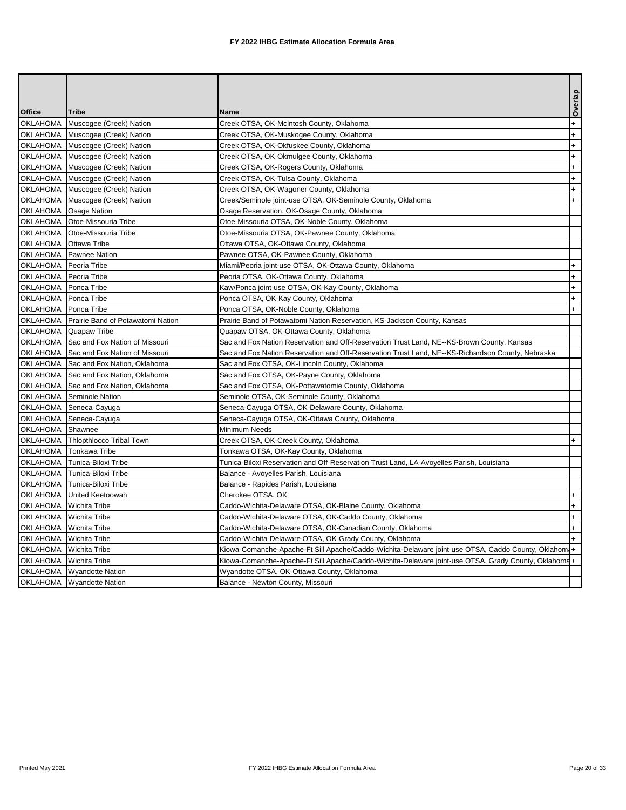|                        |                                              |                                                                                                     | Overlap    |
|------------------------|----------------------------------------------|-----------------------------------------------------------------------------------------------------|------------|
| <b>Office</b>          | <b>Tribe</b>                                 | <b>Name</b>                                                                                         |            |
| <b>OKLAHOMA</b>        | Muscogee (Creek) Nation                      | Creek OTSA, OK-McIntosh County, Oklahoma                                                            | $\ddot{}$  |
|                        | OKLAHOMA Muscogee (Creek) Nation             | Creek OTSA, OK-Muskogee County, Oklahoma                                                            | $\ddot{}$  |
|                        | OKLAHOMA Muscogee (Creek) Nation             | Creek OTSA, OK-Okfuskee County, Oklahoma                                                            | $+$        |
|                        | OKLAHOMA Muscogee (Creek) Nation             | Creek OTSA, OK-Okmulgee County, Oklahoma                                                            | $\ddot{}$  |
| <b>OKLAHOMA</b>        | Muscogee (Creek) Nation                      | Creek OTSA, OK-Rogers County, Oklahoma                                                              | $\ddot{}$  |
|                        | OKLAHOMA Muscogee (Creek) Nation             | Creek OTSA, OK-Tulsa County, Oklahoma                                                               | $\ddot{}$  |
|                        | OKLAHOMA Muscogee (Creek) Nation             | Creek OTSA, OK-Wagoner County, Oklahoma                                                             | $\ddot{}$  |
| OKLAHOMA               | Muscogee (Creek) Nation                      | Creek/Seminole joint-use OTSA, OK-Seminole County, Oklahoma                                         | $\ddot{+}$ |
| <b>OKLAHOMA</b>        | <b>Osage Nation</b>                          | Osage Reservation, OK-Osage County, Oklahoma                                                        |            |
|                        | OKLAHOMA Otoe-Missouria Tribe                | Otoe-Missouria OTSA, OK-Noble County, Oklahoma                                                      |            |
|                        | OKLAHOMA Otoe-Missouria Tribe                | Otoe-Missouria OTSA, OK-Pawnee County, Oklahoma                                                     |            |
| OKLAHOMA Ottawa Tribe  |                                              | Ottawa OTSA, OK-Ottawa County, Oklahoma                                                             |            |
|                        | OKLAHOMA   Pawnee Nation                     | Pawnee OTSA, OK-Pawnee County, Oklahoma                                                             |            |
| OKLAHOMA Peoria Tribe  |                                              | Miami/Peoria joint-use OTSA, OK-Ottawa County, Oklahoma                                             | $\ddot{}$  |
| OKLAHOMA Peoria Tribe  |                                              | Peoria OTSA, OK-Ottawa County, Oklahoma                                                             | $+$        |
| OKLAHOMA   Ponca Tribe |                                              | Kaw/Ponca joint-use OTSA, OK-Kay County, Oklahoma                                                   | $\ddot{}$  |
| OKLAHOMA Ponca Tribe   |                                              | Ponca OTSA, OK-Kay County, Oklahoma                                                                 | $\ddot{}$  |
| OKLAHOMA Ponca Tribe   |                                              | Ponca OTSA, OK-Noble County, Oklahoma                                                               | $+$        |
|                        | OKLAHOMA   Prairie Band of Potawatomi Nation | Prairie Band of Potawatomi Nation Reservation, KS-Jackson County, Kansas                            |            |
|                        | OKLAHOMA Quapaw Tribe                        | Quapaw OTSA, OK-Ottawa County, Oklahoma                                                             |            |
|                        | OKLAHOMA Sac and Fox Nation of Missouri      | Sac and Fox Nation Reservation and Off-Reservation Trust Land, NE--KS-Brown County, Kansas          |            |
|                        | OKLAHOMA Sac and Fox Nation of Missouri      | Sac and Fox Nation Reservation and Off-Reservation Trust Land, NE--KS-Richardson County, Nebraska   |            |
|                        | OKLAHOMA Sac and Fox Nation, Oklahoma        | Sac and Fox OTSA, OK-Lincoln County, Oklahoma                                                       |            |
|                        | OKLAHOMA Sac and Fox Nation, Oklahoma        | Sac and Fox OTSA, OK-Payne County, Oklahoma                                                         |            |
|                        | OKLAHOMA Sac and Fox Nation, Oklahoma        | Sac and Fox OTSA, OK-Pottawatomie County, Oklahoma                                                  |            |
|                        | OKLAHOMA Seminole Nation                     | Seminole OTSA, OK-Seminole County, Oklahoma                                                         |            |
|                        | OKLAHOMA Seneca-Cayuga                       | Seneca-Cayuga OTSA, OK-Delaware County, Oklahoma                                                    |            |
|                        | OKLAHOMA Seneca-Cayuga                       | Seneca-Cayuga OTSA, OK-Ottawa County, Oklahoma                                                      |            |
| OKLAHOMA Shawnee       |                                              | Minimum Needs                                                                                       |            |
|                        | OKLAHOMA   Thlopthlocco Tribal Town          | Creek OTSA, OK-Creek County, Oklahoma                                                               | $+$        |
|                        | OKLAHOMA Tonkawa Tribe                       | Tonkawa OTSA, OK-Kay County, Oklahoma                                                               |            |
|                        | OKLAHOMA Tunica-Biloxi Tribe                 | Tunica-Biloxi Reservation and Off-Reservation Trust Land, LA-Avoyelles Parish, Louisiana            |            |
|                        | OKLAHOMA Tunica-Biloxi Tribe                 | Balance - Avoyelles Parish, Louisiana                                                               |            |
|                        | OKLAHOMA Tunica-Biloxi Tribe                 | Balance - Rapides Parish, Louisiana                                                                 |            |
|                        | OKLAHOMA United Keetoowah                    | Cherokee OTSA, OK                                                                                   | $+$        |
|                        | OKLAHOMA Wichita Tribe                       | Caddo-Wichita-Delaware OTSA, OK-Blaine County, Oklahoma                                             | $\ddot{}$  |
|                        | OKLAHOMA Wichita Tribe                       | Caddo-Wichita-Delaware OTSA, OK-Caddo County, Oklahoma                                              | $\ddot{}$  |
|                        | OKLAHOMA Wichita Tribe                       | Caddo-Wichita-Delaware OTSA, OK-Canadian County, Oklahoma                                           | $+$        |
|                        | OKLAHOMA Wichita Tribe                       | Caddo-Wichita-Delaware OTSA, OK-Grady County, Oklahoma                                              |            |
|                        | OKLAHOMA Wichita Tribe                       | Kiowa-Comanche-Apache-Ft Sill Apache/Caddo-Wichita-Delaware joint-use OTSA, Caddo County, Oklahom   |            |
|                        | OKLAHOMA Wichita Tribe                       | Kiowa-Comanche-Apache-Ft Sill Apache/Caddo-Wichita-Delaware joint-use OTSA, Grady County, Oklahoma+ |            |
|                        | OKLAHOMA Wyandotte Nation                    | Wyandotte OTSA, OK-Ottawa County, Oklahoma                                                          |            |
|                        | OKLAHOMA Wyandotte Nation                    | Balance - Newton County, Missouri                                                                   |            |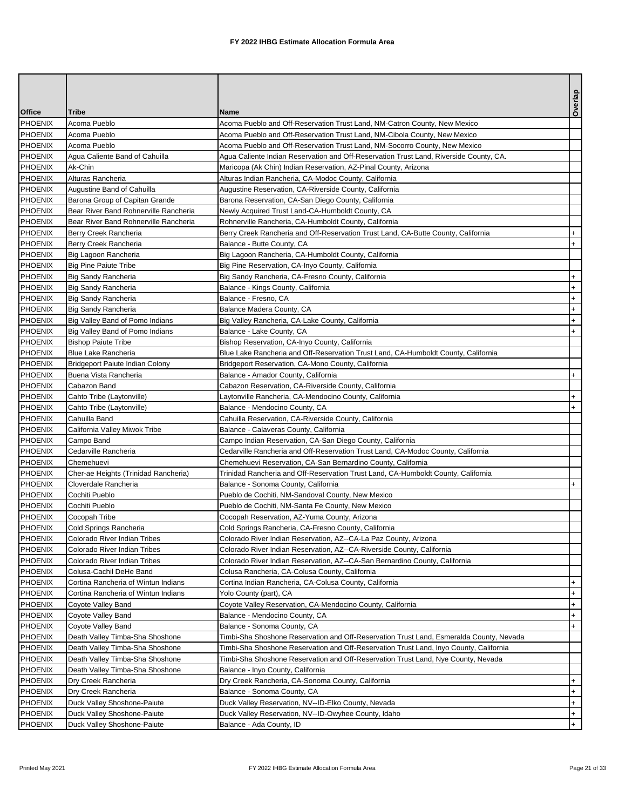|                |                                       |                                                                                         | Overlap   |
|----------------|---------------------------------------|-----------------------------------------------------------------------------------------|-----------|
| <b>Office</b>  | Tribe                                 | <b>Name</b>                                                                             |           |
| PHOENIX        | Acoma Pueblo                          | Acoma Pueblo and Off-Reservation Trust Land, NM-Catron County, New Mexico               |           |
| <b>PHOENIX</b> | Acoma Pueblo                          | Acoma Pueblo and Off-Reservation Trust Land, NM-Cibola County, New Mexico               |           |
| <b>PHOENIX</b> | Acoma Pueblo                          | Acoma Pueblo and Off-Reservation Trust Land, NM-Socorro County, New Mexico              |           |
| <b>PHOENIX</b> | Agua Caliente Band of Cahuilla        | Agua Caliente Indian Reservation and Off-Reservation Trust Land, Riverside County, CA.  |           |
| <b>PHOENIX</b> | Ak-Chin                               | Maricopa (Ak Chin) Indian Reservation, AZ-Pinal County, Arizona                         |           |
| <b>PHOENIX</b> | Alturas Rancheria                     | Alturas Indian Rancheria, CA-Modoc County, California                                   |           |
| <b>PHOENIX</b> | Augustine Band of Cahuilla            | Augustine Reservation, CA-Riverside County, California                                  |           |
| <b>PHOENIX</b> | Barona Group of Capitan Grande        | Barona Reservation, CA-San Diego County, California                                     |           |
| <b>PHOENIX</b> | Bear River Band Rohnerville Rancheria | Newly Acquired Trust Land-CA-Humboldt County, CA                                        |           |
| <b>PHOENIX</b> | Bear River Band Rohnerville Rancheria | Rohnerville Rancheria, CA-Humboldt County, California                                   |           |
| <b>PHOENIX</b> | Berry Creek Rancheria                 | Berry Creek Rancheria and Off-Reservation Trust Land, CA-Butte County, California       | $\ddot{}$ |
| <b>PHOENIX</b> | Berry Creek Rancheria                 | Balance - Butte County, CA                                                              | $+$       |
| <b>PHOENIX</b> | Big Lagoon Rancheria                  | Big Lagoon Rancheria, CA-Humboldt County, California                                    |           |
| <b>PHOENIX</b> | <b>Big Pine Paiute Tribe</b>          | Big Pine Reservation, CA-Inyo County, California                                        |           |
| <b>PHOENIX</b> | Big Sandy Rancheria                   | Big Sandy Rancheria, CA-Fresno County, California                                       | $\ddot{}$ |
| <b>PHOENIX</b> | Big Sandy Rancheria                   | Balance - Kings County, California                                                      | $\ddot{}$ |
| <b>PHOENIX</b> | <b>Big Sandy Rancheria</b>            | Balance - Fresno, CA                                                                    | $\ddot{}$ |
| <b>PHOENIX</b> | <b>Big Sandy Rancheria</b>            | Balance Madera County, CA                                                               | $+$       |
| <b>PHOENIX</b> | Big Valley Band of Pomo Indians       | Big Valley Rancheria, CA-Lake County, California                                        | $\ddot{}$ |
| <b>PHOENIX</b> | Big Valley Band of Pomo Indians       | Balance - Lake County, CA                                                               | $+$       |
| <b>PHOENIX</b> | <b>Bishop Paiute Tribe</b>            | Bishop Reservation, CA-Inyo County, California                                          |           |
| <b>PHOENIX</b> | <b>Blue Lake Rancheria</b>            | Blue Lake Rancheria and Off-Reservation Trust Land, CA-Humboldt County, California      |           |
| <b>PHOENIX</b> | Bridgeport Paiute Indian Colony       | Bridgeport Reservation, CA-Mono County, California                                      |           |
| <b>PHOENIX</b> | Buena Vista Rancheria                 | Balance - Amador County, California                                                     | $+$       |
| <b>PHOENIX</b> | Cabazon Band                          | Cabazon Reservation, CA-Riverside County, California                                    |           |
| <b>PHOENIX</b> | Cahto Tribe (Laytonville)             | Laytonville Rancheria, CA-Mendocino County, California                                  | $\ddot{}$ |
| <b>PHOENIX</b> | Cahto Tribe (Laytonville)             | Balance - Mendocino County, CA                                                          | $+$       |
| <b>PHOENIX</b> | Cahuilla Band                         | Cahuilla Reservation, CA-Riverside County, California                                   |           |
| <b>PHOENIX</b> | California Valley Miwok Tribe         | Balance - Calaveras County, California                                                  |           |
| <b>PHOENIX</b> | Campo Band                            | Campo Indian Reservation, CA-San Diego County, California                               |           |
| PHOENIX        | Cedarville Rancheria                  | Cedarville Rancheria and Off-Reservation Trust Land, CA-Modoc County, California        |           |
| <b>PHOENIX</b> | Chemehuevi                            | Chemehuevi Reservation, CA-San Bernardino County, California                            |           |
| <b>PHOENIX</b> | Cher-ae Heights (Trinidad Rancheria)  | Trinidad Rancheria and Off-Reservation Trust Land, CA-Humboldt County, California       |           |
| <b>PHOENIX</b> | Cloverdale Rancheria                  | Balance - Sonoma County, California                                                     | $+$       |
| PHOENIX        | Cochiti Pueblo                        | Pueblo de Cochiti, NM-Sandoval County, New Mexico                                       |           |
| <b>PHOENIX</b> | Cochiti Pueblo                        | Pueblo de Cochiti, NM-Santa Fe County, New Mexico                                       |           |
| <b>PHOENIX</b> | Cocopah Tribe                         | Cocopah Reservation, AZ-Yuma County, Arizona                                            |           |
| <b>PHOENIX</b> | Cold Springs Rancheria                | Cold Springs Rancheria, CA-Fresno County, California                                    |           |
| PHOENIX        | Colorado River Indian Tribes          | Colorado River Indian Reservation, AZ--CA-La Paz County, Arizona                        |           |
| <b>PHOENIX</b> | Colorado River Indian Tribes          | Colorado River Indian Reservation, AZ--CA-Riverside County, California                  |           |
| <b>PHOENIX</b> | Colorado River Indian Tribes          | Colorado River Indian Reservation, AZ--CA-San Bernardino County, California             |           |
| <b>PHOENIX</b> | Colusa-Cachil DeHe Band               | Colusa Rancheria, CA-Colusa County, California                                          |           |
| PHOENIX        | Cortina Rancheria of Wintun Indians   | Cortina Indian Rancheria, CA-Colusa County, California                                  | $+$       |
| <b>PHOENIX</b> | Cortina Rancheria of Wintun Indians   | Yolo County (part), CA                                                                  | $^{+}$    |
| <b>PHOENIX</b> | Coyote Valley Band                    | Coyote Valley Reservation, CA-Mendocino County, California                              | $+$       |
| PHOENIX        | Coyote Valley Band                    | Balance - Mendocino County, CA                                                          | $+$       |
| <b>PHOENIX</b> | Coyote Valley Band                    | Balance - Sonoma County, CA                                                             | $+$       |
| PHOENIX        | Death Valley Timba-Sha Shoshone       | Timbi-Sha Shoshone Reservation and Off-Reservation Trust Land, Esmeralda County, Nevada |           |
| PHOENIX        | Death Valley Timba-Sha Shoshone       | Timbi-Sha Shoshone Reservation and Off-Reservation Trust Land, Inyo County, California  |           |
| PHOENIX        | Death Valley Timba-Sha Shoshone       | Timbi-Sha Shoshone Reservation and Off-Reservation Trust Land, Nye County, Nevada       |           |
| PHOENIX        | Death Valley Timba-Sha Shoshone       | Balance - Inyo County, California                                                       |           |
| PHOENIX        | Dry Creek Rancheria                   | Dry Creek Rancheria, CA-Sonoma County, California                                       | $\ddot{}$ |
| <b>PHOENIX</b> | Dry Creek Rancheria                   | Balance - Sonoma County, CA                                                             | $\ddot{}$ |
| PHOENIX        | Duck Valley Shoshone-Paiute           | Duck Valley Reservation, NV--ID-Elko County, Nevada                                     | $+$       |
| PHOENIX        | Duck Valley Shoshone-Paiute           | Duck Valley Reservation, NV--ID-Owyhee County, Idaho                                    | $+$       |
| <b>PHOENIX</b> | Duck Valley Shoshone-Paiute           | Balance - Ada County, ID                                                                | $+$       |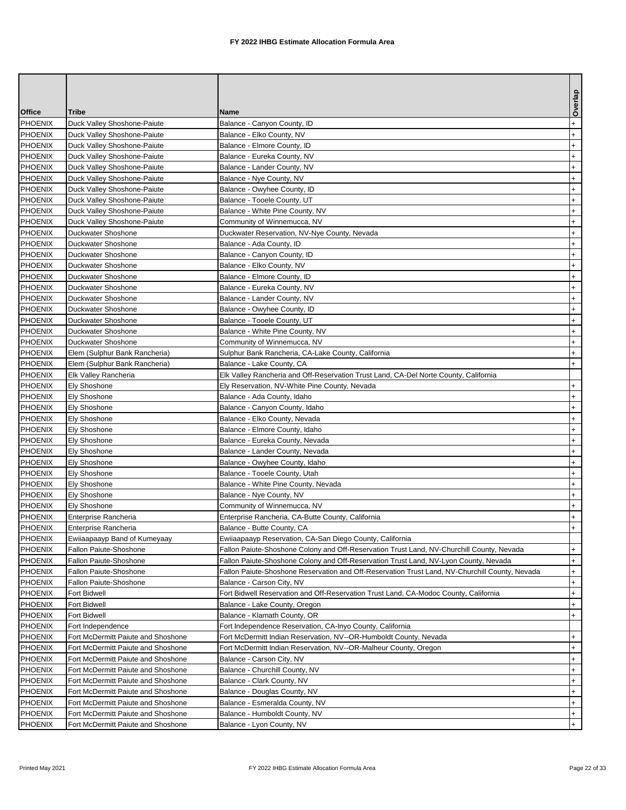|                           |                                                         |                                                                                                                                | Overlap          |
|---------------------------|---------------------------------------------------------|--------------------------------------------------------------------------------------------------------------------------------|------------------|
| <b>Office</b>             | Tribe                                                   | <b>Name</b>                                                                                                                    |                  |
| <b>PHOENIX</b>            | Duck Valley Shoshone-Paiute                             | Balance - Canyon County, ID                                                                                                    | $\ddot{}$        |
| <b>PHOENIX</b>            | Duck Valley Shoshone-Paiute                             | Balance - Elko County, NV                                                                                                      | $\ddot{}$        |
| <b>PHOENIX</b>            | Duck Valley Shoshone-Paiute                             | Balance - Elmore County, ID                                                                                                    | $\ddot{}$        |
| PHOENIX                   | Duck Valley Shoshone-Paiute                             | Balance - Eureka County, NV                                                                                                    | $\ddot{}$        |
| <b>PHOENIX</b>            | Duck Valley Shoshone-Paiute                             | Balance - Lander County, NV                                                                                                    | $\ddot{}$        |
| PHOENIX                   | Duck Valley Shoshone-Paiute                             | Balance - Nye County, NV                                                                                                       | $\ddot{}$        |
| <b>PHOENIX</b>            | Duck Valley Shoshone-Paiute                             | Balance - Owyhee County, ID                                                                                                    | $\ddot{}$        |
| PHOENIX                   | Duck Valley Shoshone-Paiute                             | Balance - Tooele County, UT                                                                                                    | $\ddot{}$        |
| <b>PHOENIX</b>            | Duck Valley Shoshone-Paiute                             | Balance - White Pine County, NV                                                                                                | $\ddot{}$        |
| <b>PHOENIX</b>            | Duck Valley Shoshone-Paiute                             | Community of Winnemucca, NV                                                                                                    | $+$              |
| <b>PHOENIX</b>            | Duckwater Shoshone                                      | Duckwater Reservation, NV-Nye County, Nevada                                                                                   | $\ddot{}$        |
| PHOENIX                   | Duckwater Shoshone                                      | Balance - Ada County, ID                                                                                                       | $\ddot{}$        |
| PHOENIX                   | Duckwater Shoshone                                      | Balance - Canyon County, ID                                                                                                    | $\ddot{}$        |
| <b>PHOENIX</b>            | Duckwater Shoshone                                      | Balance - Elko County, NV                                                                                                      | $+$              |
| <b>PHOENIX</b>            | Duckwater Shoshone                                      | Balance - Elmore County, ID                                                                                                    | $\ddot{}$        |
| PHOENIX                   | Duckwater Shoshone                                      | Balance - Eureka County, NV                                                                                                    | $\ddot{}$        |
| PHOENIX                   | Duckwater Shoshone                                      | Balance - Lander County, NV                                                                                                    | $\ddot{}$        |
| <b>PHOENIX</b>            | Duckwater Shoshone                                      | Balance - Owyhee County, ID                                                                                                    | $+$              |
| PHOENIX                   | Duckwater Shoshone                                      | Balance - Tooele County, UT                                                                                                    | $\ddot{}$        |
| PHOENIX                   | Duckwater Shoshone                                      | Balance - White Pine County, NV                                                                                                | $\ddot{}$        |
| PHOENIX                   | Duckwater Shoshone                                      | Community of Winnemucca, NV                                                                                                    | $\ddot{}$        |
| <b>PHOENIX</b>            | Elem (Sulphur Bank Rancheria)                           | Sulphur Bank Rancheria, CA-Lake County, California                                                                             | $\ddot{}$        |
| <b>PHOENIX</b>            | Elem (Sulphur Bank Rancheria)                           | Balance - Lake County, CA                                                                                                      | $+$              |
| PHOENIX                   | Elk Valley Rancheria                                    | Elk Valley Rancheria and Off-Reservation Trust Land, CA-Del Norte County, California                                           |                  |
| PHOENIX                   | <b>Ely Shoshone</b>                                     | Ely Reservation, NV-White Pine County, Nevada                                                                                  | $\ddot{}$        |
| PHOENIX                   | Ely Shoshone                                            | Balance - Ada County, Idaho                                                                                                    | $\ddot{}$        |
| <b>PHOENIX</b>            | Ely Shoshone                                            | Balance - Canyon County, Idaho                                                                                                 | $\ddot{}$        |
| <b>PHOENIX</b>            | Ely Shoshone                                            | Balance - Elko County, Nevada                                                                                                  | $\ddot{}$        |
| <b>PHOENIX</b>            | <b>Ely Shoshone</b>                                     | Balance - Elmore County, Idaho                                                                                                 | $\ddot{}$        |
| PHOENIX                   | <b>Ely Shoshone</b>                                     | Balance - Eureka County, Nevada                                                                                                | $\ddot{}$        |
| <b>PHOENIX</b>            | Ely Shoshone                                            | Balance - Lander County, Nevada                                                                                                | $\ddot{}$        |
| <b>PHOENIX</b>            | Ely Shoshone                                            | Balance - Owyhee County, Idaho                                                                                                 | $+$              |
| <b>PHOENIX</b>            | Ely Shoshone                                            | Balance - Tooele County, Utah                                                                                                  | $\ddot{}$        |
| <b>PHOENIX</b>            | Ely Shoshone                                            | Balance - White Pine County, Nevada                                                                                            | $\ddot{}$        |
| <b>PHOENIX</b>            | Ely Shoshone                                            | Balance - Nye County, NV                                                                                                       | $\ddot{}$        |
| <b>PHOENIX</b>            | Ely Shoshone                                            | Community of Winnemucca, NV                                                                                                    | $\ddot{}$        |
| <b>PHOENIX</b>            | Enterprise Rancheria                                    | Enterprise Rancheria, CA-Butte County, California                                                                              | $+$              |
| <b>PHOENIX</b>            | Enterprise Rancheria                                    | Balance - Butte County, CA                                                                                                     | $+$              |
| <b>PHOENIX</b>            | Ewiiaapaayp Band of Kumeyaay                            | Ewiiaapaayp Reservation, CA-San Diego County, California                                                                       |                  |
| <b>PHOENIX</b>            | Fallon Paiute-Shoshone                                  | Fallon Paiute-Shoshone Colony and Off-Reservation Trust Land, NV-Churchill County, Nevada                                      | $\ddot{}$        |
| PHOENIX                   | Fallon Paiute-Shoshone                                  | Fallon Paiute-Shoshone Colony and Off-Reservation Trust Land, NV-Lyon County, Nevada                                           | $+$              |
| PHOENIX                   | Fallon Paiute-Shoshone                                  | Fallon Paiute-Shoshone Reservation and Off-Reservation Trust Land, NV-Churchill County, Nevada                                 | $^{+}$           |
| PHOENIX<br>PHOENIX        | Fallon Paiute-Shoshone<br>Fort Bidwell                  | Balance - Carson City, NV                                                                                                      | $+$<br>$\ddot{}$ |
| PHOENIX                   |                                                         | Fort Bidwell Reservation and Off-Reservation Trust Land, CA-Modoc County, California                                           |                  |
| PHOENIX                   | Fort Bidwell<br>Fort Bidwell                            | Balance - Lake County, Oregon                                                                                                  | $\ddot{}$        |
|                           |                                                         | Balance - Klamath County, OR                                                                                                   | $+$              |
| <b>PHOENIX</b><br>PHOENIX | Fort Independence<br>Fort McDermitt Paiute and Shoshone | Fort Independence Reservation, CA-Inyo County, California<br>Fort McDermitt Indian Reservation, NV--OR-Humboldt County, Nevada | $+$              |
| <b>PHOENIX</b>            | Fort McDermitt Paiute and Shoshone                      | Fort McDermitt Indian Reservation, NV--OR-Malheur County, Oregon                                                               | $^{+}$           |
| PHOENIX                   | Fort McDermitt Paiute and Shoshone                      | Balance - Carson City, NV                                                                                                      | $+$              |
| PHOENIX                   | Fort McDermitt Paiute and Shoshone                      | Balance - Churchill County, NV                                                                                                 | $+$              |
| PHOENIX                   | Fort McDermitt Paiute and Shoshone                      | Balance - Clark County, NV                                                                                                     | $+$              |
| PHOENIX                   | Fort McDermitt Paiute and Shoshone                      | Balance - Douglas County, NV                                                                                                   | $+$              |
| PHOENIX                   | Fort McDermitt Paiute and Shoshone                      | Balance - Esmeralda County, NV                                                                                                 | $\ddot{}$        |
| PHOENIX                   | Fort McDermitt Paiute and Shoshone                      | Balance - Humboldt County, NV                                                                                                  | $+$              |
| <b>PHOENIX</b>            | Fort McDermitt Paiute and Shoshone                      | Balance - Lyon County, NV                                                                                                      | $+$              |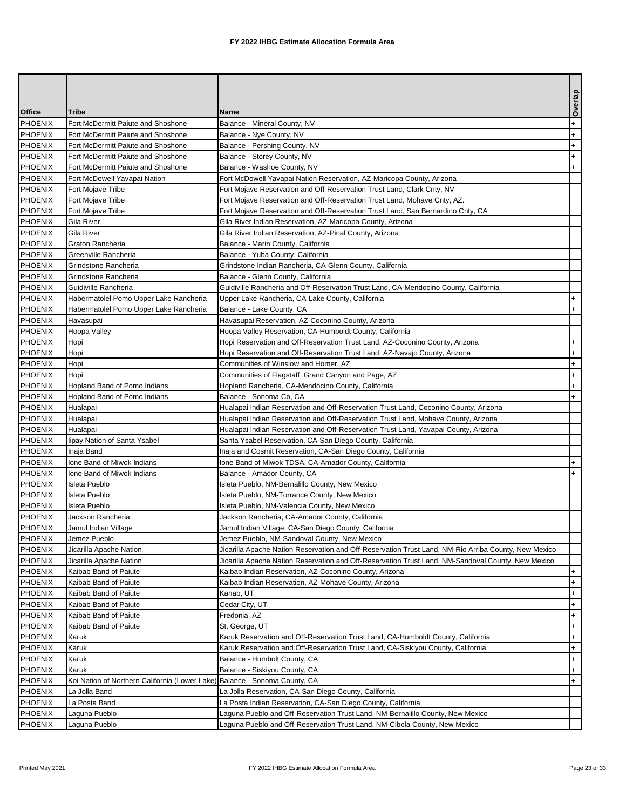|                |                                                |                                                                                                      | Overlap   |
|----------------|------------------------------------------------|------------------------------------------------------------------------------------------------------|-----------|
| <b>Office</b>  | Tribe                                          | <b>Name</b>                                                                                          |           |
| <b>PHOENIX</b> | Fort McDermitt Paiute and Shoshone             | Balance - Mineral County, NV                                                                         | $\ddot{}$ |
| <b>PHOENIX</b> | Fort McDermitt Paiute and Shoshone             | Balance - Nye County, NV                                                                             | $\ddot{}$ |
| <b>PHOENIX</b> | Fort McDermitt Paiute and Shoshone             | Balance - Pershing County, NV                                                                        | $\ddot{}$ |
| PHOENIX        | Fort McDermitt Paiute and Shoshone             | Balance - Storey County, NV                                                                          | $\ddot{}$ |
| <b>PHOENIX</b> | Fort McDermitt Paiute and Shoshone             | Balance - Washoe County, NV                                                                          | $+$       |
| <b>PHOENIX</b> | Fort McDowell Yavapai Nation                   | Fort McDowell Yavapai Nation Reservation, AZ-Maricopa County, Arizona                                |           |
| <b>PHOENIX</b> | Fort Mojave Tribe                              | Fort Mojave Reservation and Off-Reservation Trust Land, Clark Cnty, NV                               |           |
| <b>PHOENIX</b> | Fort Mojave Tribe                              | Fort Mojave Reservation and Off-Reservation Trust Land, Mohave Cnty, AZ.                             |           |
| <b>PHOENIX</b> | Fort Mojave Tribe                              | Fort Mojave Reservation and Off-Reservation Trust Land, San Bernardino Cnty, CA                      |           |
| <b>PHOENIX</b> | Gila River                                     | Gila River Indian Reservation, AZ-Maricopa County, Arizona                                           |           |
| <b>PHOENIX</b> | Gila River                                     | Gila River Indian Reservation, AZ-Pinal County, Arizona                                              |           |
| <b>PHOENIX</b> | Graton Rancheria                               | Balance - Marin County, California                                                                   |           |
| <b>PHOENIX</b> | Greenville Rancheria                           | Balance - Yuba County, California                                                                    |           |
| <b>PHOENIX</b> | Grindstone Rancheria                           | Grindstone Indian Rancheria, CA-Glenn County, California                                             |           |
| <b>PHOENIX</b> | Grindstone Rancheria                           | Balance - Glenn County, California                                                                   |           |
| PHOENIX        | Guidiville Rancheria                           | Guidiville Rancheria and Off-Reservation Trust Land, CA-Mendocino County, California                 |           |
| <b>PHOENIX</b> | Habermatolel Pomo Upper Lake Rancheria         | Upper Lake Rancheria, CA-Lake County, California                                                     | $\ddot{}$ |
| <b>PHOENIX</b> | Habermatolel Pomo Upper Lake Rancheria         | Balance - Lake County, CA                                                                            | $+$       |
| <b>PHOENIX</b> | Havasupai                                      | Havasupai Reservation, AZ-Coconino County, Arizona                                                   |           |
| <b>PHOENIX</b> | Hoopa Valley                                   | Hoopa Valley Reservation, CA-Humboldt County, California                                             |           |
| <b>PHOENIX</b> | Hopi                                           | Hopi Reservation and Off-Reservation Trust Land, AZ-Coconino County, Arizona                         | $+$       |
| <b>PHOENIX</b> | Hopi                                           | Hopi Reservation and Off-Reservation Trust Land, AZ-Navajo County, Arizona                           | $\ddot{}$ |
| <b>PHOENIX</b> | Hopi                                           | Communities of Winslow and Homer, AZ                                                                 | $+$       |
| <b>PHOENIX</b> | Hopi                                           | Communities of Flagstaff, Grand Canyon and Page, AZ                                                  | $\ddot{}$ |
| <b>PHOENIX</b> | Hopland Band of Pomo Indians                   | Hopland Rancheria, CA-Mendocino County, California                                                   | $+$       |
| PHOENIX        | Hopland Band of Pomo Indians                   | Balance - Sonoma Co, CA                                                                              | $+$       |
| <b>PHOENIX</b> | Hualapai                                       | Hualapai Indian Reservation and Off-Reservation Trust Land, Coconino County, Arizona                 |           |
| <b>PHOENIX</b> | Hualapai                                       | Hualapai Indian Reservation and Off-Reservation Trust Land, Mohave County, Arizona                   |           |
| <b>PHOENIX</b> | Hualapai                                       | Hualapai Indian Reservation and Off-Reservation Trust Land, Yavapai County, Arizona                  |           |
| <b>PHOENIX</b> | lipay Nation of Santa Ysabel                   | Santa Ysabel Reservation, CA-San Diego County, California                                            |           |
| <b>PHOENIX</b> | Inaja Band                                     | Inaja and Cosmit Reservation, CA-San Diego County, California                                        |           |
| <b>PHOENIX</b> | Ione Band of Miwok Indians                     | Ione Band of Miwok TDSA, CA-Amador County, California                                                | $+$       |
| <b>PHOENIX</b> | Ione Band of Miwok Indians                     | Balance - Amador County, CA                                                                          | $+$       |
| <b>PHOENIX</b> | Isleta Pueblo                                  | Isleta Pueblo, NM-Bernalillo County, New Mexico                                                      |           |
| <b>PHOENIX</b> | Isleta Pueblo                                  | Isleta Pueblo, NM-Torrance County, New Mexico                                                        |           |
| <b>PHOENIX</b> | Isleta Pueblo                                  | Isleta Pueblo, NM-Valencia County, New Mexico                                                        |           |
| <b>PHOENIX</b> | Jackson Rancheria                              | Jackson Rancheria, CA-Amador County, California                                                      |           |
| <b>PHOENIX</b> | Jamul Indian Village                           | Jamul Indian Village, CA-San Diego County, California                                                |           |
| PHOENIX        | Jemez Pueblo                                   | Jemez Pueblo, NM-Sandoval County, New Mexico                                                         |           |
| PHOENIX        | Jicarilla Apache Nation                        | Jicarilla Apache Nation Reservation and Off-Reservation Trust Land, NM-Rio Arriba County, New Mexico |           |
| PHOENIX        | Jicarilla Apache Nation                        | Jicarilla Apache Nation Reservation and Off-Reservation Trust Land, NM-Sandoval County, New Mexico   |           |
| PHOENIX        | Kaibab Band of Paiute                          | Kaibab Indian Reservation, AZ-Coconino County, Arizona                                               | $+$       |
| PHOENIX        | Kaibab Band of Paiute                          | Kaibab Indian Reservation, AZ-Mohave County, Arizona                                                 | $+$       |
| <b>PHOENIX</b> | Kaibab Band of Paiute                          | Kanab, UT                                                                                            | $+$       |
| PHOENIX        | Kaibab Band of Paiute                          | Cedar City, UT                                                                                       | $+$       |
| PHOENIX        | Kaibab Band of Paiute                          | Fredonia, AZ                                                                                         | $\ddot{}$ |
| <b>PHOENIX</b> | Kaibab Band of Paiute                          | St. George, UT                                                                                       | $+$       |
| PHOENIX        | Karuk                                          | Karuk Reservation and Off-Reservation Trust Land, CA-Humboldt County, California                     | $+$       |
| PHOENIX        | Karuk                                          | Karuk Reservation and Off-Reservation Trust Land, CA-Siskiyou County, California                     | $^{+}$    |
| PHOENIX        | Karuk                                          | Balance - Humbolt County, CA                                                                         | $+$       |
| PHOENIX        | Karuk                                          | Balance - Siskiyou County, CA                                                                        | $+$       |
| PHOENIX        | Koi Nation of Northern California (Lower Lake) | Balance - Sonoma County, CA                                                                          | $+$       |
| PHOENIX        | La Jolla Band                                  | La Jolla Reservation, CA-San Diego County, California                                                |           |
| PHOENIX        | La Posta Band                                  | La Posta Indian Reservation, CA-San Diego County, California                                         |           |
| PHOENIX        | Laguna Pueblo                                  | Laguna Pueblo and Off-Reservation Trust Land, NM-Bernalillo County, New Mexico                       |           |
| <b>PHOENIX</b> | Laguna Pueblo                                  | Laguna Pueblo and Off-Reservation Trust Land, NM-Cibola County, New Mexico                           |           |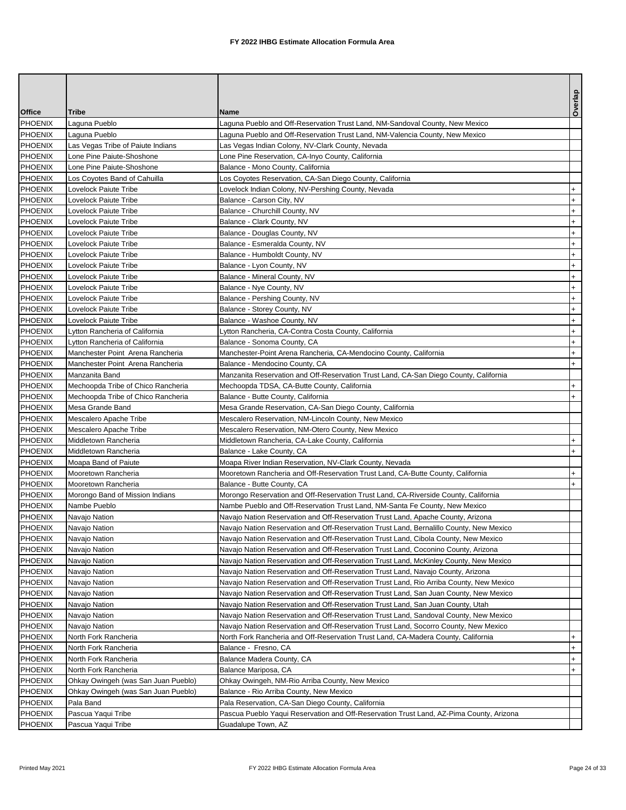|                |                                     |                                                                                         | Overlap   |
|----------------|-------------------------------------|-----------------------------------------------------------------------------------------|-----------|
| <b>Office</b>  | Tribe                               | <b>Name</b>                                                                             |           |
| <b>PHOENIX</b> | Laguna Pueblo                       | Laguna Pueblo and Off-Reservation Trust Land, NM-Sandoval County, New Mexico            |           |
| <b>PHOENIX</b> | Laguna Pueblo                       | Laguna Pueblo and Off-Reservation Trust Land, NM-Valencia County, New Mexico            |           |
| <b>PHOENIX</b> | Las Vegas Tribe of Paiute Indians   | Las Vegas Indian Colony, NV-Clark County, Nevada                                        |           |
| <b>PHOENIX</b> | Lone Pine Paiute-Shoshone           | Lone Pine Reservation, CA-Inyo County, California                                       |           |
| PHOENIX        | Lone Pine Paiute-Shoshone           | Balance - Mono County, California                                                       |           |
| <b>PHOENIX</b> | Los Coyotes Band of Cahuilla        | Los Coyotes Reservation, CA-San Diego County, California                                |           |
| <b>PHOENIX</b> | Lovelock Paiute Tribe               | Lovelock Indian Colony, NV-Pershing County, Nevada                                      | $\ddot{}$ |
| <b>PHOENIX</b> | Lovelock Paiute Tribe               | Balance - Carson City, NV                                                               | $\ddot{}$ |
| <b>PHOENIX</b> | Lovelock Paiute Tribe               | Balance - Churchill County, NV                                                          | $+$       |
| <b>PHOENIX</b> | Lovelock Paiute Tribe               | Balance - Clark County, NV                                                              | $\ddot{}$ |
| <b>PHOENIX</b> | Lovelock Paiute Tribe               | Balance - Douglas County, NV                                                            | $\ddot{}$ |
| <b>PHOENIX</b> | Lovelock Paiute Tribe               | Balance - Esmeralda County, NV                                                          | $+$       |
| <b>PHOENIX</b> | Lovelock Paiute Tribe               | Balance - Humboldt County, NV                                                           | $\ddot{}$ |
| <b>PHOENIX</b> | Lovelock Paiute Tribe               | Balance - Lyon County, NV                                                               | $+$       |
| <b>PHOENIX</b> | Lovelock Paiute Tribe               | Balance - Mineral County, NV                                                            | $\ddot{}$ |
| <b>PHOENIX</b> | Lovelock Paiute Tribe               | Balance - Nye County, NV                                                                | $\ddot{}$ |
| <b>PHOENIX</b> | Lovelock Paiute Tribe               | Balance - Pershing County, NV                                                           | $\ddot{}$ |
| PHOENIX        | Lovelock Paiute Tribe               | Balance - Storey County, NV                                                             | $+$       |
| <b>PHOENIX</b> | Lovelock Paiute Tribe               | Balance - Washoe County, NV                                                             | $\ddot{}$ |
| <b>PHOENIX</b> | Lytton Rancheria of California      | Lytton Rancheria, CA-Contra Costa County, California                                    | $\ddot{}$ |
| <b>PHOENIX</b> | Lytton Rancheria of California      | Balance - Sonoma County, CA                                                             | $^{+}$    |
| <b>PHOENIX</b> | Manchester Point Arena Rancheria    | Manchester-Point Arena Rancheria, CA-Mendocino County, California                       | $+$       |
| <b>PHOENIX</b> | Manchester Point Arena Rancheria    | Balance - Mendocino County, CA                                                          | $+$       |
| <b>PHOENIX</b> | Manzanita Band                      | Manzanita Reservation and Off-Reservation Trust Land, CA-San Diego County, California   |           |
| <b>PHOENIX</b> | Mechoopda Tribe of Chico Rancheria  | Mechoopda TDSA, CA-Butte County, California                                             | $\ddot{}$ |
| <b>PHOENIX</b> | Mechoopda Tribe of Chico Rancheria  | Balance - Butte County, California                                                      | $+$       |
| <b>PHOENIX</b> | Mesa Grande Band                    | Mesa Grande Reservation, CA-San Diego County, California                                |           |
| <b>PHOENIX</b> | Mescalero Apache Tribe              | Mescalero Reservation, NM-Lincoln County, New Mexico                                    |           |
| <b>PHOENIX</b> | Mescalero Apache Tribe              | Mescalero Reservation, NM-Otero County, New Mexico                                      |           |
| PHOENIX        | Middletown Rancheria                | Middletown Rancheria, CA-Lake County, California                                        | $+$       |
| <b>PHOENIX</b> | Middletown Rancheria                | Balance - Lake County, CA                                                               | $+$       |
| <b>PHOENIX</b> | Moapa Band of Paiute                | Moapa River Indian Reservation, NV-Clark County, Nevada                                 |           |
| <b>PHOENIX</b> | Mooretown Rancheria                 | Mooretown Rancheria and Off-Reservation Trust Land, CA-Butte County, California         | $\ddot{}$ |
| <b>PHOENIX</b> | Mooretown Rancheria                 | Balance - Butte County, CA                                                              | $+$       |
| <b>PHOENIX</b> | Morongo Band of Mission Indians     | Morongo Reservation and Off-Reservation Trust Land, CA-Riverside County, California     |           |
| <b>PHOENIX</b> | Nambe Pueblo                        | Nambe Pueblo and Off-Reservation Trust Land, NM-Santa Fe County, New Mexico             |           |
| <b>PHOENIX</b> | Navajo Nation                       | Navajo Nation Reservation and Off-Reservation Trust Land, Apache County, Arizona        |           |
| <b>PHOENIX</b> | Navajo Nation                       | Navajo Nation Reservation and Off-Reservation Trust Land, Bernalillo County, New Mexico |           |
| PHOENIX        | Navajo Nation                       | Navajo Nation Reservation and Off-Reservation Trust Land, Cibola County, New Mexico     |           |
| <b>PHOENIX</b> | Navajo Nation                       | Navajo Nation Reservation and Off-Reservation Trust Land, Coconino County, Arizona      |           |
| PHOENIX        | Navajo Nation                       | Navajo Nation Reservation and Off-Reservation Trust Land, McKinley County, New Mexico   |           |
| <b>PHOENIX</b> | Navajo Nation                       | Navajo Nation Reservation and Off-Reservation Trust Land, Navajo County, Arizona        |           |
| PHOENIX        | Navajo Nation                       | Navajo Nation Reservation and Off-Reservation Trust Land, Rio Arriba County, New Mexico |           |
| <b>PHOENIX</b> | Navajo Nation                       | Navajo Nation Reservation and Off-Reservation Trust Land, San Juan County, New Mexico   |           |
| PHOENIX        | Navajo Nation                       | Navajo Nation Reservation and Off-Reservation Trust Land, San Juan County, Utah         |           |
| PHOENIX        | Navajo Nation                       | Navajo Nation Reservation and Off-Reservation Trust Land, Sandoval County, New Mexico   |           |
| <b>PHOENIX</b> | Navajo Nation                       | Navajo Nation Reservation and Off-Reservation Trust Land, Socorro County, New Mexico    |           |
| PHOENIX        | North Fork Rancheria                | North Fork Rancheria and Off-Reservation Trust Land, CA-Madera County, California       | $\ddot{}$ |
| PHOENIX        | North Fork Rancheria                | Balance - Fresno, CA                                                                    | $\ddot{}$ |
| PHOENIX        | North Fork Rancheria                | Balance Madera County, CA                                                               | $+$       |
| PHOENIX        | North Fork Rancheria                | Balance Mariposa, CA                                                                    | $+$       |
| PHOENIX        | Ohkay Owingeh (was San Juan Pueblo) | Ohkay Owingeh, NM-Rio Arriba County, New Mexico                                         |           |
| <b>PHOENIX</b> | Ohkay Owingeh (was San Juan Pueblo) | Balance - Rio Arriba County, New Mexico                                                 |           |
| PHOENIX        | Pala Band                           | Pala Reservation, CA-San Diego County, California                                       |           |
| PHOENIX        | Pascua Yaqui Tribe                  | Pascua Pueblo Yaqui Reservation and Off-Reservation Trust Land, AZ-Pima County, Arizona |           |
| <b>PHOENIX</b> | Pascua Yaqui Tribe                  | Guadalupe Town, AZ                                                                      |           |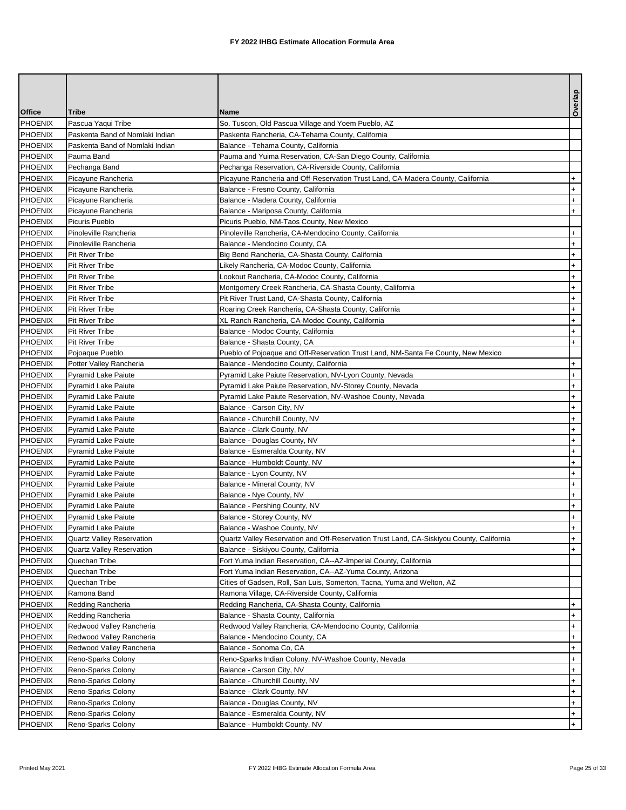|                           |                                          |                                                                                          | Overlap          |
|---------------------------|------------------------------------------|------------------------------------------------------------------------------------------|------------------|
| <b>Office</b>             | Tribe                                    | <b>Name</b>                                                                              |                  |
| <b>PHOENIX</b>            | Pascua Yaqui Tribe                       | So. Tuscon, Old Pascua Village and Yoem Pueblo, AZ                                       |                  |
| <b>PHOENIX</b>            | Paskenta Band of Nomlaki Indian          | Paskenta Rancheria, CA-Tehama County, California                                         |                  |
| PHOENIX                   | Paskenta Band of Nomlaki Indian          | Balance - Tehama County, California                                                      |                  |
| <b>PHOENIX</b>            | Pauma Band                               | Pauma and Yuima Reservation, CA-San Diego County, California                             |                  |
| PHOENIX                   | Pechanga Band                            | Pechanga Reservation, CA-Riverside County, California                                    |                  |
| <b>PHOENIX</b>            | Picayune Rancheria                       | Picayune Rancheria and Off-Reservation Trust Land, CA-Madera County, California          | $+$              |
| PHOENIX                   | Picayune Rancheria                       | Balance - Fresno County, California                                                      | $\ddot{}$        |
| PHOENIX                   | Picayune Rancheria                       | Balance - Madera County, California                                                      | $\ddot{}$        |
| PHOENIX                   | Picayune Rancheria                       | Balance - Mariposa County, California                                                    | $+$              |
| PHOENIX                   | Picuris Pueblo                           | Picuris Pueblo, NM-Taos County, New Mexico                                               |                  |
| <b>PHOENIX</b>            | Pinoleville Rancheria                    | Pinoleville Rancheria, CA-Mendocino County, California                                   | $\ddot{}$        |
| PHOENIX                   | Pinoleville Rancheria                    | Balance - Mendocino County, CA                                                           | $^{+}$           |
| PHOENIX                   | Pit River Tribe                          | Big Bend Rancheria, CA-Shasta County, California                                         | $+$              |
| <b>PHOENIX</b>            | Pit River Tribe                          | Likely Rancheria, CA-Modoc County, California                                            | $+$              |
| <b>PHOENIX</b>            | Pit River Tribe                          | Lookout Rancheria, CA-Modoc County, California                                           | $\ddot{}$        |
| <b>PHOENIX</b>            | Pit River Tribe                          | Montgomery Creek Rancheria, CA-Shasta County, California                                 | $\ddot{}$        |
| PHOENIX                   | <b>Pit River Tribe</b>                   | Pit River Trust Land, CA-Shasta County, California                                       | $\ddot{}$        |
| <b>PHOENIX</b>            | Pit River Tribe                          | Roaring Creek Rancheria, CA-Shasta County, California                                    | $+$              |
| PHOENIX                   | Pit River Tribe                          | XL Ranch Rancheria, CA-Modoc County, California                                          | $\ddot{}$        |
| <b>PHOENIX</b>            | Pit River Tribe                          | Balance - Modoc County, California                                                       | $\ddot{}$        |
| <b>PHOENIX</b>            | Pit River Tribe                          | Balance - Shasta County, CA                                                              | $+$              |
| PHOENIX                   | Pojoaque Pueblo                          | Pueblo of Pojoaque and Off-Reservation Trust Land, NM-Santa Fe County, New Mexico        |                  |
| <b>PHOENIX</b>            | Potter Valley Rancheria                  | Balance - Mendocino County, California                                                   | $+$              |
| <b>PHOENIX</b>            | <b>Pyramid Lake Paiute</b>               | Pyramid Lake Paiute Reservation, NV-Lyon County, Nevada                                  | $\ddot{}$        |
| <b>PHOENIX</b>            | <b>Pyramid Lake Paiute</b>               | Pyramid Lake Paiute Reservation, NV-Storey County, Nevada                                | $\ddot{}$        |
| PHOENIX                   | <b>Pyramid Lake Paiute</b>               | Pyramid Lake Paiute Reservation, NV-Washoe County, Nevada                                | $\ddot{}$        |
| <b>PHOENIX</b>            | Pyramid Lake Paiute                      | Balance - Carson City, NV                                                                | $+$              |
| PHOENIX                   | <b>Pyramid Lake Paiute</b>               | Balance - Churchill County, NV                                                           | $\ddot{}$        |
| <b>PHOENIX</b>            | <b>Pyramid Lake Paiute</b>               | Balance - Clark County, NV                                                               | $\ddot{}$        |
| <b>PHOENIX</b>            | <b>Pyramid Lake Paiute</b>               | Balance - Douglas County, NV                                                             | $\ddot{}$        |
| PHOENIX                   | <b>Pyramid Lake Paiute</b>               | Balance - Esmeralda County, NV                                                           | $\ddot{}$        |
| <b>PHOENIX</b>            | <b>Pyramid Lake Paiute</b>               | Balance - Humboldt County, NV                                                            | $\ddot{}$        |
| <b>PHOENIX</b>            | <b>Pyramid Lake Paiute</b>               | Balance - Lyon County, NV                                                                | $\ddot{}$        |
| <b>PHOENIX</b>            | <b>Pyramid Lake Paiute</b>               | Balance - Mineral County, NV                                                             | $^{+}$           |
| <b>PHOENIX</b>            | <b>Pyramid Lake Paiute</b>               | Balance - Nye County, NV                                                                 | $^{+}$           |
| PHOENIX                   | <b>Pyramid Lake Paiute</b>               | Balance - Pershing County, NV                                                            | $+$              |
| <b>PHOENIX</b>            | <b>Pyramid Lake Paiute</b>               | Balance - Storey County, NV                                                              | $+$              |
| PHOENIX                   | <b>Pyramid Lake Paiute</b>               | Balance - Washoe County, NV                                                              | $+$              |
| PHOENIX                   | Quartz Valley Reservation                | Quartz Valley Reservation and Off-Reservation Trust Land, CA-Siskiyou County, California | $+$              |
| PHOENIX                   | <b>Quartz Valley Reservation</b>         | Balance - Siskiyou County, California                                                    | $+$              |
| <b>PHOENIX</b>            | Quechan Tribe                            | Fort Yuma Indian Reservation, CA--AZ-Imperial County, California                         |                  |
| <b>PHOENIX</b>            | Quechan Tribe                            | Fort Yuma Indian Reservation, CA--AZ-Yuma County, Arizona                                |                  |
| <b>PHOENIX</b><br>PHOENIX | Quechan Tribe                            | Cities of Gadsen, Roll, San Luis, Somerton, Tacna, Yuma and Welton, AZ                   |                  |
|                           | Ramona Band                              | Ramona Village, CA-Riverside County, California                                          |                  |
| <b>PHOENIX</b><br>PHOENIX | Redding Rancheria                        | Redding Rancheria, CA-Shasta County, California                                          | $+$              |
|                           | Redding Rancheria                        | Balance - Shasta County, California                                                      | $+$              |
| <b>PHOENIX</b>            | Redwood Valley Rancheria                 | Redwood Valley Rancheria, CA-Mendocino County, California                                | $\ddot{}$        |
| <b>PHOENIX</b>            | Redwood Valley Rancheria                 | Balance - Mendocino County, CA<br>Balance - Sonoma Co, CA                                | $+$              |
| PHOENIX<br><b>PHOENIX</b> | Redwood Valley Rancheria                 |                                                                                          | $\ddot{}$<br>$+$ |
| <b>PHOENIX</b>            | Reno-Sparks Colony                       | Reno-Sparks Indian Colony, NV-Washoe County, Nevada                                      | $\ddot{}$        |
| <b>PHOENIX</b>            | Reno-Sparks Colony                       | Balance - Carson City, NV<br>Balance - Churchill County, NV                              | $\ddot{}$        |
| <b>PHOENIX</b>            | Reno-Sparks Colony<br>Reno-Sparks Colony | Balance - Clark County, NV                                                               | $+$              |
| <b>PHOENIX</b>            | Reno-Sparks Colony                       | Balance - Douglas County, NV                                                             | $+$              |
| PHOENIX                   | Reno-Sparks Colony                       | Balance - Esmeralda County, NV                                                           | $+$              |
| <b>PHOENIX</b>            | Reno-Sparks Colony                       | Balance - Humboldt County, NV                                                            | $\ddot{}$        |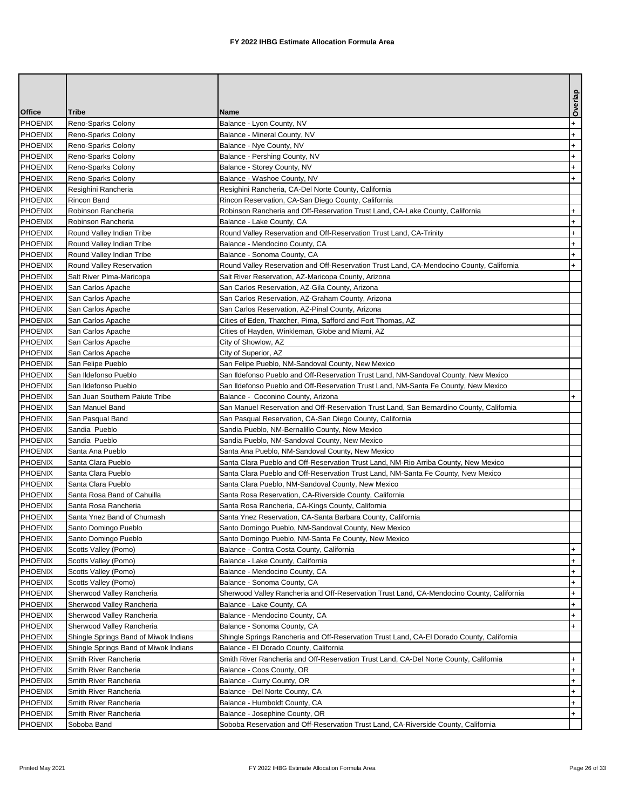|                |                                       |                                                                                           | Overlap   |
|----------------|---------------------------------------|-------------------------------------------------------------------------------------------|-----------|
| <b>Office</b>  | Tribe                                 | Name                                                                                      |           |
| PHOENIX        | Reno-Sparks Colony                    | Balance - Lyon County, NV                                                                 | $\ddot{}$ |
| PHOENIX        | Reno-Sparks Colony                    | Balance - Mineral County, NV                                                              | $\ddot{}$ |
| <b>PHOENIX</b> | Reno-Sparks Colony                    | Balance - Nye County, NV                                                                  | $^{+}$    |
| <b>PHOENIX</b> | Reno-Sparks Colony                    | Balance - Pershing County, NV                                                             | $\ddot{}$ |
| <b>PHOENIX</b> | Reno-Sparks Colony                    | Balance - Storey County, NV                                                               | $\ddot{}$ |
| PHOENIX        | Reno-Sparks Colony                    | Balance - Washoe County, NV                                                               | $+$       |
| <b>PHOENIX</b> | Resighini Rancheria                   | Resighini Rancheria, CA-Del Norte County, California                                      |           |
| PHOENIX        | Rincon Band                           | Rincon Reservation, CA-San Diego County, California                                       |           |
| <b>PHOENIX</b> | Robinson Rancheria                    | Robinson Rancheria and Off-Reservation Trust Land, CA-Lake County, California             | $+$       |
| <b>PHOENIX</b> | Robinson Rancheria                    | Balance - Lake County, CA                                                                 | $\ddot{}$ |
| PHOENIX        | Round Valley Indian Tribe             | Round Valley Reservation and Off-Reservation Trust Land, CA-Trinity                       | $\ddot{}$ |
| <b>PHOENIX</b> | Round Valley Indian Tribe             | Balance - Mendocino County, CA                                                            | $\ddot{}$ |
| <b>PHOENIX</b> | Round Valley Indian Tribe             | Balance - Sonoma County, CA                                                               | $\ddot{}$ |
| <b>PHOENIX</b> | Round Valley Reservation              | Round Valley Reservation and Off-Reservation Trust Land, CA-Mendocino County, California  | $+$       |
| PHOENIX        | Salt River Plma-Maricopa              | Salt River Reservation, AZ-Maricopa County, Arizona                                       |           |
| PHOENIX        | San Carlos Apache                     | San Carlos Reservation, AZ-Gila County, Arizona                                           |           |
| PHOENIX        | San Carlos Apache                     | San Carlos Reservation, AZ-Graham County, Arizona                                         |           |
| <b>PHOENIX</b> | San Carlos Apache                     | San Carlos Reservation, AZ-Pinal County, Arizona                                          |           |
| <b>PHOENIX</b> | San Carlos Apache                     | Cities of Eden, Thatcher, Pima, Safford and Fort Thomas, AZ                               |           |
| PHOENIX        | San Carlos Apache                     | Cities of Hayden, Winkleman, Globe and Miami, AZ                                          |           |
| <b>PHOENIX</b> | San Carlos Apache                     | City of Showlow, AZ                                                                       |           |
| PHOENIX        | San Carlos Apache                     | City of Superior, AZ                                                                      |           |
| <b>PHOENIX</b> | San Felipe Pueblo                     | San Felipe Pueblo, NM-Sandoval County, New Mexico                                         |           |
| PHOENIX        | San Ildefonso Pueblo                  | San Ildefonso Pueblo and Off-Reservation Trust Land, NM-Sandoval County, New Mexico       |           |
| <b>PHOENIX</b> | San Ildefonso Pueblo                  | San Ildefonso Pueblo and Off-Reservation Trust Land, NM-Santa Fe County, New Mexico       |           |
| PHOENIX        | San Juan Southern Paiute Tribe        | Balance - Coconino County, Arizona                                                        | $+$       |
| <b>PHOENIX</b> | San Manuel Band                       | San Manuel Reservation and Off-Reservation Trust Land, San Bernardino County, California  |           |
| <b>PHOENIX</b> | San Pasqual Band                      | San Pasqual Reservation, CA-San Diego County, California                                  |           |
| PHOENIX        | Sandia Pueblo                         | Sandia Pueblo, NM-Bernalillo County, New Mexico                                           |           |
| <b>PHOENIX</b> | Sandia Pueblo                         | Sandia Pueblo, NM-Sandoval County, New Mexico                                             |           |
| PHOENIX        | Santa Ana Pueblo                      | Santa Ana Pueblo, NM-Sandoval County, New Mexico                                          |           |
| PHOENIX        | Santa Clara Pueblo                    | Santa Clara Pueblo and Off-Reservation Trust Land, NM-Rio Arriba County, New Mexico       |           |
| PHOENIX        | Santa Clara Pueblo                    | Santa Clara Pueblo and Off-Reservation Trust Land, NM-Santa Fe County, New Mexico         |           |
| <b>PHOENIX</b> | Santa Clara Pueblo                    | Santa Clara Pueblo, NM-Sandoval County, New Mexico                                        |           |
| <b>PHOENIX</b> | Santa Rosa Band of Cahuilla           | Santa Rosa Reservation, CA-Riverside County, California                                   |           |
| <b>PHOENIX</b> | Santa Rosa Rancheria                  | Santa Rosa Rancheria, CA-Kings County, California                                         |           |
| <b>PHOENIX</b> | Santa Ynez Band of Chumash            | Santa Ynez Reservation, CA-Santa Barbara County, California                               |           |
| <b>PHOENIX</b> | Santo Domingo Pueblo                  | Santo Domingo Pueblo, NM-Sandoval County, New Mexico                                      |           |
| PHOENIX        | Santo Domingo Pueblo                  | Santo Domingo Pueblo, NM-Santa Fe County, New Mexico                                      |           |
| <b>PHOENIX</b> | Scotts Valley (Pomo)                  | Balance - Contra Costa County, California                                                 | $\ddot{}$ |
| PHOENIX        | Scotts Valley (Pomo)                  | Balance - Lake County, California                                                         | $+$       |
| <b>PHOENIX</b> | Scotts Valley (Pomo)                  | Balance - Mendocino County, CA                                                            | $+$       |
| <b>PHOENIX</b> | Scotts Valley (Pomo)                  | Balance - Sonoma County, CA                                                               | $+$       |
| PHOENIX        | Sherwood Valley Rancheria             | Sherwood Valley Rancheria and Off-Reservation Trust Land, CA-Mendocino County, California | $^{+}$    |
| PHOENIX        | Sherwood Valley Rancheria             | Balance - Lake County, CA                                                                 | $\ddot{}$ |
| PHOENIX        | Sherwood Valley Rancheria             | Balance - Mendocino County, CA                                                            | $+$       |
| PHOENIX        | Sherwood Valley Rancheria             | Balance - Sonoma County, CA                                                               | $+$       |
| PHOENIX        | Shingle Springs Band of Miwok Indians | Shingle Springs Rancheria and Off-Reservation Trust Land, CA-El Dorado County, California |           |
| PHOENIX        | Shingle Springs Band of Miwok Indians | Balance - El Dorado County, California                                                    |           |
| <b>PHOENIX</b> | Smith River Rancheria                 | Smith River Rancheria and Off-Reservation Trust Land, CA-Del Norte County, California     | $+$       |
| <b>PHOENIX</b> | Smith River Rancheria                 | Balance - Coos County, OR                                                                 | $+$       |
| <b>PHOENIX</b> | Smith River Rancheria                 | Balance - Curry County, OR                                                                | $+$       |
| PHOENIX        | Smith River Rancheria                 | Balance - Del Norte County, CA                                                            | $+$       |
| PHOENIX        | Smith River Rancheria                 | Balance - Humboldt County, CA                                                             | $+$       |
| PHOENIX        | Smith River Rancheria                 | Balance - Josephine County, OR                                                            | $+$       |
| PHOENIX        | Soboba Band                           | Soboba Reservation and Off-Reservation Trust Land, CA-Riverside County, California        |           |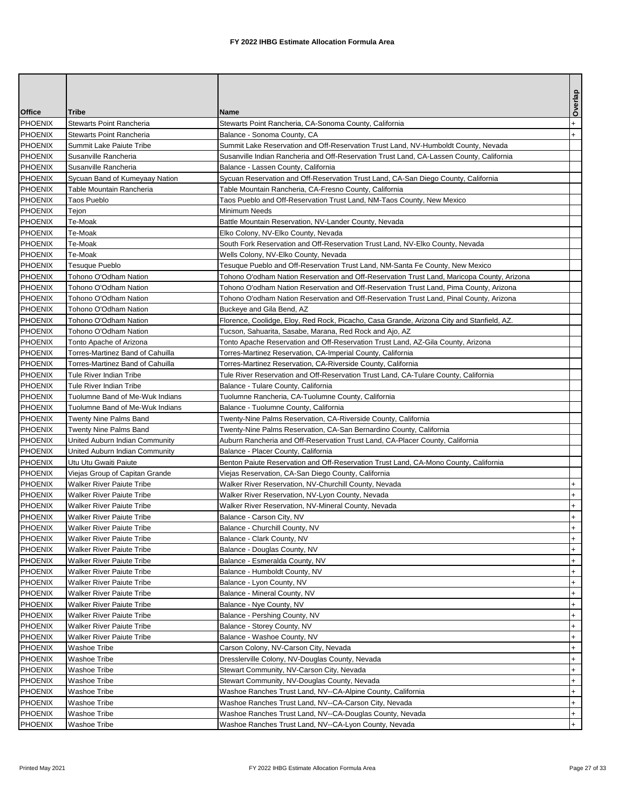|                |                                  |                                                                                            | Overlap   |
|----------------|----------------------------------|--------------------------------------------------------------------------------------------|-----------|
| <b>Office</b>  | <b>Tribe</b>                     | <b>Name</b>                                                                                |           |
| <b>PHOENIX</b> | Stewarts Point Rancheria         | Stewarts Point Rancheria, CA-Sonoma County, California                                     | $\ddot{}$ |
| <b>PHOENIX</b> | <b>Stewarts Point Rancheria</b>  | Balance - Sonoma County, CA                                                                | $+$       |
| PHOENIX        | Summit Lake Paiute Tribe         | Summit Lake Reservation and Off-Reservation Trust Land, NV-Humboldt County, Nevada         |           |
| <b>PHOENIX</b> | Susanville Rancheria             | Susanville Indian Rancheria and Off-Reservation Trust Land, CA-Lassen County, California   |           |
| PHOENIX        | Susanville Rancheria             | Balance - Lassen County, California                                                        |           |
| <b>PHOENIX</b> | Sycuan Band of Kumeyaay Nation   | Sycuan Reservation and Off-Reservation Trust Land, CA-San Diego County, California         |           |
| PHOENIX        | Table Mountain Rancheria         | Table Mountain Rancheria, CA-Fresno County, California                                     |           |
| PHOENIX        | <b>Taos Pueblo</b>               | Taos Pueblo and Off-Reservation Trust Land, NM-Taos County, New Mexico                     |           |
| PHOENIX        | Tejon                            | Minimum Needs                                                                              |           |
| PHOENIX        | Te-Moak                          | Battle Mountain Reservation, NV-Lander County, Nevada                                      |           |
| <b>PHOENIX</b> | Te-Moak                          | Elko Colony, NV-Elko County, Nevada                                                        |           |
| PHOENIX        | Te-Moak                          | South Fork Reservation and Off-Reservation Trust Land, NV-Elko County, Nevada              |           |
| PHOENIX        | Te-Moak                          | Wells Colony, NV-Elko County, Nevada                                                       |           |
| <b>PHOENIX</b> | Tesuque Pueblo                   | Tesuque Pueblo and Off-Reservation Trust Land, NM-Santa Fe County, New Mexico              |           |
| PHOENIX        | Tohono O'Odham Nation            | Tohono O'odham Nation Reservation and Off-Reservation Trust Land, Maricopa County, Arizona |           |
| PHOENIX        | Tohono O'Odham Nation            | Tohono O'odham Nation Reservation and Off-Reservation Trust Land, Pima County, Arizona     |           |
| <b>PHOENIX</b> | Tohono O'Odham Nation            | Tohono O'odham Nation Reservation and Off-Reservation Trust Land, Pinal County, Arizona    |           |
| <b>PHOENIX</b> | Tohono O'Odham Nation            | Buckeye and Gila Bend, AZ                                                                  |           |
| PHOENIX        | Tohono O'Odham Nation            | Florence, Coolidge, Eloy, Red Rock, Picacho, Casa Grande, Arizona City and Stanfield, AZ.  |           |
| <b>PHOENIX</b> | Tohono O'Odham Nation            | Tucson, Sahuarita, Sasabe, Marana, Red Rock and Ajo, AZ                                    |           |
| <b>PHOENIX</b> | Tonto Apache of Arizona          | Tonto Apache Reservation and Off-Reservation Trust Land, AZ-Gila County, Arizona           |           |
| PHOENIX        | Torres-Martinez Band of Cahuilla | Torres-Martinez Reservation, CA-Imperial County, California                                |           |
| <b>PHOENIX</b> | Torres-Martinez Band of Cahuilla | Torres-Martinez Reservation, CA-Riverside County, California                               |           |
| <b>PHOENIX</b> | Tule River Indian Tribe          | Tule River Reservation and Off-Reservation Trust Land, CA-Tulare County, California        |           |
| <b>PHOENIX</b> | Tule River Indian Tribe          | Balance - Tulare County, California                                                        |           |
| PHOENIX        | Tuolumne Band of Me-Wuk Indians  | Tuolumne Rancheria, CA-Tuolumne County, California                                         |           |
| <b>PHOENIX</b> | Tuolumne Band of Me-Wuk Indians  | Balance - Tuolumne County, California                                                      |           |
| <b>PHOENIX</b> | Twenty Nine Palms Band           | Twenty-Nine Palms Reservation, CA-Riverside County, California                             |           |
| <b>PHOENIX</b> | Twenty Nine Palms Band           | Twenty-Nine Palms Reservation, CA-San Bernardino County, California                        |           |
| <b>PHOENIX</b> | United Auburn Indian Community   | Auburn Rancheria and Off-Reservation Trust Land, CA-Placer County, California              |           |
| PHOENIX        | United Auburn Indian Community   | Balance - Placer County, California                                                        |           |
| <b>PHOENIX</b> | Utu Utu Gwaiti Paiute            | Benton Paiute Reservation and Off-Reservation Trust Land, CA-Mono County, California       |           |
| <b>PHOENIX</b> | Viejas Group of Capitan Grande   | Viejas Reservation, CA-San Diego County, California                                        |           |
| <b>PHOENIX</b> | <b>Walker River Paiute Tribe</b> | Walker River Reservation, NV-Churchill County, Nevada                                      | $\ddot{}$ |
| PHOENIX        | Walker River Paiute Tribe        | Walker River Reservation, NV-Lyon County, Nevada                                           | $+$       |
| PHOENIX        | Walker River Paiute Tribe        | Walker River Reservation, NV-Mineral County, Nevada                                        | $+$       |
| <b>PHOENIX</b> | Walker River Paiute Tribe        | Balance - Carson City, NV                                                                  | $+$       |
| PHOENIX        | <b>Walker River Paiute Tribe</b> | Balance - Churchill County, NV                                                             | $+$       |
| PHOENIX        | Walker River Paiute Tribe        | Balance - Clark County, NV                                                                 | $+$       |
| <b>PHOENIX</b> | Walker River Paiute Tribe        | Balance - Douglas County, NV                                                               | $\ddot{}$ |
| <b>PHOENIX</b> | Walker River Paiute Tribe        | Balance - Esmeralda County, NV                                                             | $+$       |
| <b>PHOENIX</b> | Walker River Paiute Tribe        | Balance - Humboldt County, NV                                                              | $\ddot{}$ |
| <b>PHOENIX</b> | Walker River Paiute Tribe        | Balance - Lyon County, NV                                                                  | $\ddot{}$ |
| PHOENIX        | Walker River Paiute Tribe        | Balance - Mineral County, NV                                                               | $\ddot{}$ |
| PHOENIX        | Walker River Paiute Tribe        | Balance - Nye County, NV                                                                   | $+$       |
| PHOENIX        | Walker River Paiute Tribe        | Balance - Pershing County, NV                                                              | $+$       |
| <b>PHOENIX</b> | Walker River Paiute Tribe        | Balance - Storey County, NV                                                                | $\ddot{}$ |
| <b>PHOENIX</b> | Walker River Paiute Tribe        | Balance - Washoe County, NV                                                                | $\ddot{}$ |
| <b>PHOENIX</b> | Washoe Tribe                     | Carson Colony, NV-Carson City, Nevada                                                      | $\ddot{}$ |
| <b>PHOENIX</b> | Washoe Tribe                     | Dresslerville Colony, NV-Douglas County, Nevada                                            | $+$       |
| <b>PHOENIX</b> | Washoe Tribe                     | Stewart Community, NV-Carson City, Nevada                                                  | $\ddot{}$ |
| <b>PHOENIX</b> | Washoe Tribe                     | Stewart Community, NV-Douglas County, Nevada                                               | $\ddot{}$ |
| <b>PHOENIX</b> | Washoe Tribe                     | Washoe Ranches Trust Land, NV--CA-Alpine County, California                                | $^{+}$    |
| PHOENIX        | Washoe Tribe                     | Washoe Ranches Trust Land, NV--CA-Carson City, Nevada                                      | $+$       |
| PHOENIX        | Washoe Tribe                     | Washoe Ranches Trust Land, NV--CA-Douglas County, Nevada                                   | $+$       |
| <b>PHOENIX</b> | Washoe Tribe                     | Washoe Ranches Trust Land, NV--CA-Lyon County, Nevada                                      | $+$       |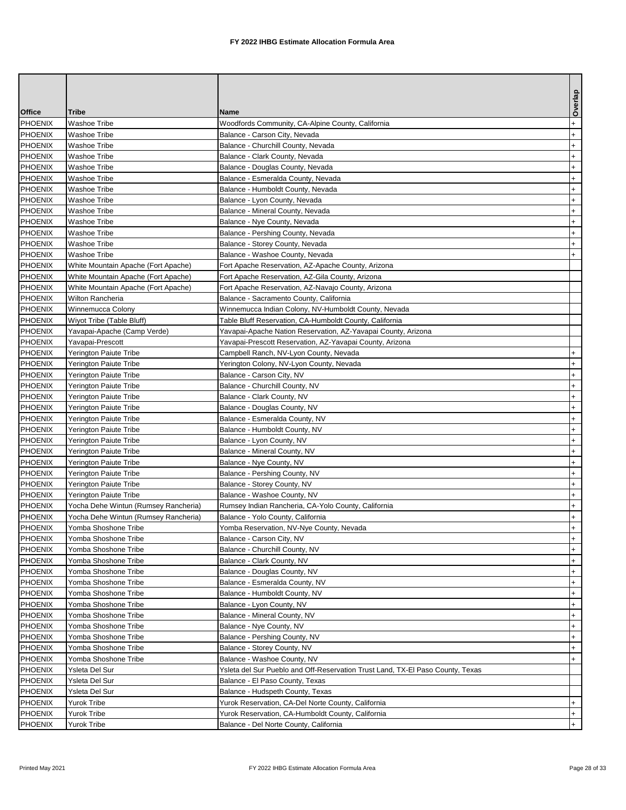|                |                                      |                                                                                | Overlap   |
|----------------|--------------------------------------|--------------------------------------------------------------------------------|-----------|
| <b>Office</b>  | Tribe                                | <b>Name</b>                                                                    |           |
| PHOENIX        | <b>Washoe Tribe</b>                  | Woodfords Community, CA-Alpine County, California                              | $\ddot{}$ |
| <b>PHOENIX</b> | <b>Washoe Tribe</b>                  | Balance - Carson City, Nevada                                                  | $\ddot{}$ |
| <b>PHOENIX</b> | <b>Washoe Tribe</b>                  | Balance - Churchill County, Nevada                                             | $\ddot{}$ |
| <b>PHOENIX</b> | <b>Washoe Tribe</b>                  | Balance - Clark County, Nevada                                                 | $+$       |
| <b>PHOENIX</b> | Washoe Tribe                         | Balance - Douglas County, Nevada                                               | $+$       |
| <b>PHOENIX</b> | Washoe Tribe                         | Balance - Esmeralda County, Nevada                                             | $\ddot{}$ |
| <b>PHOENIX</b> | <b>Washoe Tribe</b>                  | Balance - Humboldt County, Nevada                                              | $\ddot{}$ |
| <b>PHOENIX</b> | <b>Washoe Tribe</b>                  | Balance - Lyon County, Nevada                                                  | $\ddot{}$ |
| <b>PHOENIX</b> | <b>Washoe Tribe</b>                  | Balance - Mineral County, Nevada                                               | $+$       |
| <b>PHOENIX</b> | <b>Washoe Tribe</b>                  | Balance - Nye County, Nevada                                                   | $\ddot{}$ |
| <b>PHOENIX</b> | Washoe Tribe                         | Balance - Pershing County, Nevada                                              | $\ddot{}$ |
| <b>PHOENIX</b> | <b>Washoe Tribe</b>                  | Balance - Storey County, Nevada                                                | $+$       |
| <b>PHOENIX</b> | <b>Washoe Tribe</b>                  | Balance - Washoe County, Nevada                                                | $+$       |
| <b>PHOENIX</b> | White Mountain Apache (Fort Apache)  | Fort Apache Reservation, AZ-Apache County, Arizona                             |           |
| <b>PHOENIX</b> | White Mountain Apache (Fort Apache)  | Fort Apache Reservation, AZ-Gila County, Arizona                               |           |
| <b>PHOENIX</b> | White Mountain Apache (Fort Apache)  | Fort Apache Reservation, AZ-Navajo County, Arizona                             |           |
| <b>PHOENIX</b> | Wilton Rancheria                     | Balance - Sacramento County, California                                        |           |
| <b>PHOENIX</b> | Winnemucca Colony                    | Winnemucca Indian Colony, NV-Humboldt County, Nevada                           |           |
| <b>PHOENIX</b> | Wiyot Tribe (Table Bluff)            | Table Bluff Reservation, CA-Humboldt County, California                        |           |
| <b>PHOENIX</b> | Yavapai-Apache (Camp Verde)          | Yavapai-Apache Nation Reservation, AZ-Yavapai County, Arizona                  |           |
| <b>PHOENIX</b> | Yavapai-Prescott                     | Yavapai-Prescott Reservation, AZ-Yavapai County, Arizona                       |           |
| <b>PHOENIX</b> | Yerington Paiute Tribe               | Campbell Ranch, NV-Lyon County, Nevada                                         | $\ddot{}$ |
| <b>PHOENIX</b> | Yerington Paiute Tribe               | Yerington Colony, NV-Lyon County, Nevada                                       | $\ddot{}$ |
| <b>PHOENIX</b> | Yerington Paiute Tribe               | Balance - Carson City, NV                                                      | $\ddot{}$ |
| <b>PHOENIX</b> | Yerington Paiute Tribe               | Balance - Churchill County, NV                                                 | $\ddot{}$ |
| <b>PHOENIX</b> | Yerington Paiute Tribe               | Balance - Clark County, NV                                                     | $\ddot{}$ |
| <b>PHOENIX</b> | Yerington Paiute Tribe               | Balance - Douglas County, NV                                                   | $+$       |
| <b>PHOENIX</b> | Yerington Paiute Tribe               | Balance - Esmeralda County, NV                                                 | $\ddot{}$ |
| <b>PHOENIX</b> | Yerington Paiute Tribe               | Balance - Humboldt County, NV                                                  | $\ddot{}$ |
| <b>PHOENIX</b> | Yerington Paiute Tribe               | Balance - Lyon County, NV                                                      | $\ddot{}$ |
| <b>PHOENIX</b> | Yerington Paiute Tribe               | Balance - Mineral County, NV                                                   | $\ddot{}$ |
| <b>PHOENIX</b> | Yerington Paiute Tribe               | Balance - Nye County, NV                                                       | $\ddot{}$ |
| <b>PHOENIX</b> | Yerington Paiute Tribe               | Balance - Pershing County, NV                                                  | $\ddot{}$ |
| <b>PHOENIX</b> | Yerington Paiute Tribe               | Balance - Storey County, NV                                                    | $\ddot{}$ |
| <b>PHOENIX</b> | Yerington Paiute Tribe               | Balance - Washoe County, NV                                                    | $^{+}$    |
| <b>PHOENIX</b> | Yocha Dehe Wintun (Rumsey Rancheria) | Rumsey Indian Rancheria, CA-Yolo County, California                            | $+$       |
| <b>PHOENIX</b> | Yocha Dehe Wintun (Rumsey Rancheria) | Balance - Yolo County, California                                              | $+$       |
| PHOENIX        | Yomba Shoshone Tribe                 | Yomba Reservation, NV-Nye County, Nevada                                       | $+$       |
| <b>PHOENIX</b> | Yomba Shoshone Tribe                 | Balance - Carson City, NV                                                      | $+$       |
| <b>PHOENIX</b> | Yomba Shoshone Tribe                 | Balance - Churchill County, NV                                                 | $\ddot{}$ |
| <b>PHOENIX</b> | Yomba Shoshone Tribe                 | Balance - Clark County, NV                                                     | $+$       |
| <b>PHOENIX</b> | Yomba Shoshone Tribe                 | Balance - Douglas County, NV                                                   | $\ddot{}$ |
| PHOENIX        | Yomba Shoshone Tribe                 | Balance - Esmeralda County, NV                                                 | $+$       |
| <b>PHOENIX</b> | Yomba Shoshone Tribe                 | Balance - Humboldt County, NV                                                  | $\ddot{}$ |
| <b>PHOENIX</b> | Yomba Shoshone Tribe                 | Balance - Lyon County, NV                                                      | $\ddot{}$ |
| <b>PHOENIX</b> | Yomba Shoshone Tribe                 | Balance - Mineral County, NV                                                   | $+$       |
| <b>PHOENIX</b> | Yomba Shoshone Tribe                 | Balance - Nye County, NV                                                       | $\ddot{}$ |
| <b>PHOENIX</b> | Yomba Shoshone Tribe                 | Balance - Pershing County, NV                                                  | $\ddot{}$ |
| <b>PHOENIX</b> | Yomba Shoshone Tribe                 | Balance - Storey County, NV                                                    | $\ddot{}$ |
| <b>PHOENIX</b> | Yomba Shoshone Tribe                 | Balance - Washoe County, NV                                                    | $+$       |
| PHOENIX        | Ysleta Del Sur                       | Ysleta del Sur Pueblo and Off-Reservation Trust Land, TX-El Paso County, Texas |           |
| PHOENIX        | Ysleta Del Sur                       | Balance - El Paso County, Texas                                                |           |
| <b>PHOENIX</b> | Ysleta Del Sur                       | Balance - Hudspeth County, Texas                                               |           |
| PHOENIX        | Yurok Tribe                          | Yurok Reservation, CA-Del Norte County, California                             | $+$       |
| PHOENIX        | Yurok Tribe                          | Yurok Reservation, CA-Humboldt County, California                              | $+$       |
| <b>PHOENIX</b> | Yurok Tribe                          | Balance - Del Norte County, California                                         | $+$       |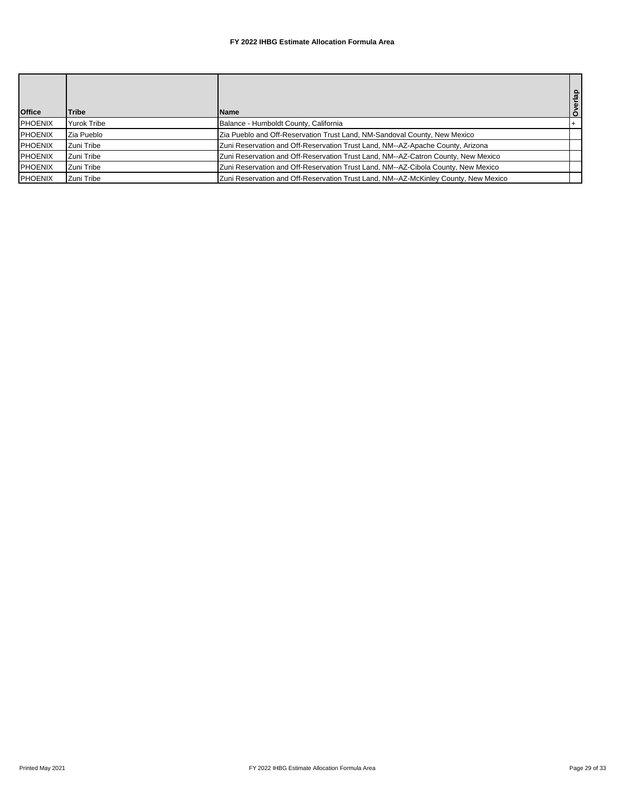| <b>Office</b> | <b>Tribe</b> | <b>Name</b>                                                                         | Overlap |
|---------------|--------------|-------------------------------------------------------------------------------------|---------|
| PHOENIX       | Yurok Tribe  | Balance - Humboldt County, California                                               |         |
| PHOENIX       | Zia Pueblo   | Zia Pueblo and Off-Reservation Trust Land, NM-Sandoval County, New Mexico           |         |
| PHOENIX       | Zuni Tribe   | Zuni Reservation and Off-Reservation Trust Land, NM--AZ-Apache County, Arizona      |         |
| PHOENIX       | Zuni Tribe   | Zuni Reservation and Off-Reservation Trust Land, NM--AZ-Catron County, New Mexico   |         |
| PHOENIX       | Zuni Tribe   | Zuni Reservation and Off-Reservation Trust Land, NM--AZ-Cibola County, New Mexico   |         |
| PHOENIX       | Zuni Tribe   | Zuni Reservation and Off-Reservation Trust Land, NM--AZ-McKinley County, New Mexico |         |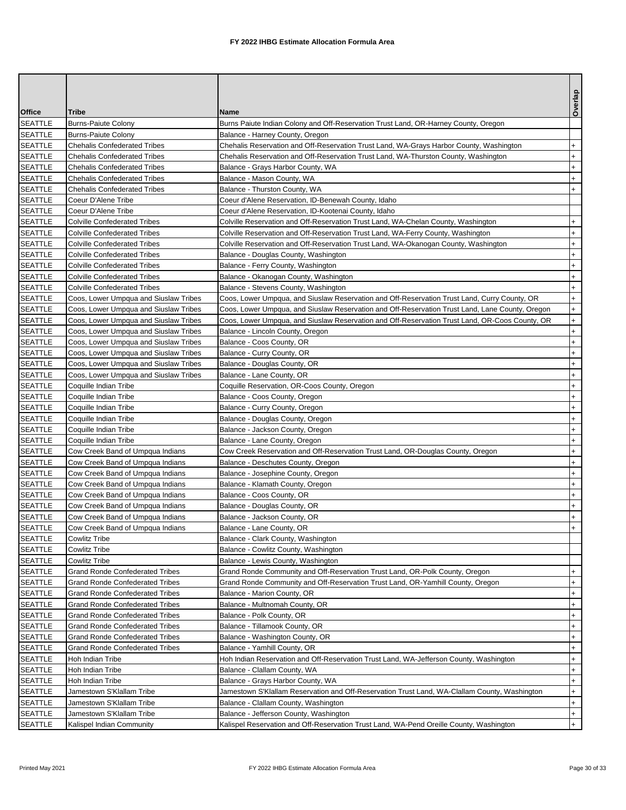|                                  |                                                                            |                                                                                                 | Overlap                          |
|----------------------------------|----------------------------------------------------------------------------|-------------------------------------------------------------------------------------------------|----------------------------------|
| <b>Office</b>                    | Tribe                                                                      | Name                                                                                            |                                  |
| SEATTLE                          | <b>Burns-Paiute Colony</b>                                                 | Burns Paiute Indian Colony and Off-Reservation Trust Land, OR-Harney County, Oregon             |                                  |
| <b>SEATTLE</b>                   | <b>Burns-Paiute Colony</b>                                                 | Balance - Harney County, Oregon                                                                 |                                  |
| <b>SEATTLE</b>                   | <b>Chehalis Confederated Tribes</b>                                        | Chehalis Reservation and Off-Reservation Trust Land, WA-Grays Harbor County, Washington         | $\ddot{}$                        |
| <b>SEATTLE</b>                   | <b>Chehalis Confederated Tribes</b>                                        | Chehalis Reservation and Off-Reservation Trust Land, WA-Thurston County, Washington             | $+$                              |
| <b>SEATTLE</b>                   | <b>Chehalis Confederated Tribes</b>                                        | Balance - Grays Harbor County, WA                                                               | $\ddot{}$                        |
| SEATTLE                          | <b>Chehalis Confederated Tribes</b>                                        | Balance - Mason County, WA                                                                      | $^{+}$                           |
| SEATTLE                          | <b>Chehalis Confederated Tribes</b>                                        | Balance - Thurston County, WA                                                                   | $\ddot{}$                        |
| <b>SEATTLE</b>                   | Coeur D'Alene Tribe                                                        | Coeur d'Alene Reservation, ID-Benewah County, Idaho                                             |                                  |
| <b>SEATTLE</b>                   | Coeur D'Alene Tribe                                                        | Coeur d'Alene Reservation. ID-Kootenai County, Idaho                                            |                                  |
| <b>SEATTLE</b>                   | <b>Colville Confederated Tribes</b>                                        | Colville Reservation and Off-Reservation Trust Land, WA-Chelan County, Washington               | $\ddot{}$                        |
| <b>SEATTLE</b>                   | <b>Colville Confederated Tribes</b>                                        | Colville Reservation and Off-Reservation Trust Land, WA-Ferry County, Washington                | $\ddot{}$                        |
| <b>SEATTLE</b><br><b>SEATTLE</b> | <b>Colville Confederated Tribes</b><br><b>Colville Confederated Tribes</b> | Colville Reservation and Off-Reservation Trust Land, WA-Okanogan County, Washington             | $\ddot{}$<br>$+$                 |
| <b>SEATTLE</b>                   | <b>Colville Confederated Tribes</b>                                        | Balance - Douglas County, Washington                                                            | $\ddot{}$                        |
| <b>SEATTLE</b>                   | <b>Colville Confederated Tribes</b>                                        | Balance - Ferry County, Washington<br>Balance - Okanogan County, Washington                     | $+$                              |
| <b>SEATTLE</b>                   | <b>Colville Confederated Tribes</b>                                        | Balance - Stevens County, Washington                                                            | $+$                              |
| <b>SEATTLE</b>                   | Coos, Lower Umpqua and Siuslaw Tribes                                      | Coos, Lower Umpqua, and Siuslaw Reservation and Off-Reservation Trust Land, Curry County, OR    | $+$                              |
| <b>SEATTLE</b>                   | Coos, Lower Umpqua and Siuslaw Tribes                                      | Coos, Lower Umpqua, and Siuslaw Reservation and Off-Reservation Trust Land, Lane County, Oregon | $+$                              |
| <b>SEATTLE</b>                   | Coos, Lower Umpqua and Siuslaw Tribes                                      | Coos, Lower Umpqua, and Siuslaw Reservation and Off-Reservation Trust Land, OR-Coos County, OR  | $\ddot{}$                        |
| <b>SEATTLE</b>                   | Coos, Lower Umpqua and Siuslaw Tribes                                      | Balance - Lincoln County, Oregon                                                                | $\ddot{}$                        |
| <b>SEATTLE</b>                   | Coos, Lower Umpqua and Siuslaw Tribes                                      | Balance - Coos County, OR                                                                       | $\ddot{}$                        |
| <b>SEATTLE</b>                   | Coos, Lower Umpqua and Siuslaw Tribes                                      | Balance - Curry County, OR                                                                      | $+$                              |
| <b>SEATTLE</b>                   | Coos, Lower Umpqua and Siuslaw Tribes                                      | Balance - Douglas County, OR                                                                    | $\ddot{}$                        |
| <b>SEATTLE</b>                   | Coos, Lower Umpqua and Siuslaw Tribes                                      | Balance - Lane County, OR                                                                       | $\ddot{}$                        |
| <b>SEATTLE</b>                   | Coquille Indian Tribe                                                      | Coquille Reservation, OR-Coos County, Oregon                                                    | $^{+}$                           |
| <b>SEATTLE</b>                   | Coquille Indian Tribe                                                      | Balance - Coos County, Oregon                                                                   | $\ddot{}$                        |
| <b>SEATTLE</b>                   | Coquille Indian Tribe                                                      | Balance - Curry County, Oregon                                                                  | $\ddot{}$                        |
| <b>SEATTLE</b>                   | Coquille Indian Tribe                                                      | Balance - Douglas County, Oregon                                                                | $\ddot{}$                        |
| <b>SEATTLE</b>                   | Coquille Indian Tribe                                                      | Balance - Jackson County, Oregon                                                                | $^{+}$                           |
| <b>SEATTLE</b>                   | Coquille Indian Tribe                                                      | Balance - Lane County, Oregon                                                                   | $+$                              |
| <b>SEATTLE</b>                   | Cow Creek Band of Umpqua Indians                                           | Cow Creek Reservation and Off-Reservation Trust Land, OR-Douglas County, Oregon                 | $+$                              |
| <b>SEATTLE</b>                   | Cow Creek Band of Umpqua Indians                                           | Balance - Deschutes County, Oregon                                                              | $+$                              |
| <b>SEATTLE</b>                   | Cow Creek Band of Umpqua Indians                                           | Balance - Josephine County, Oregon                                                              | $\ddot{}$                        |
| <b>SEATTLE</b>                   | Cow Creek Band of Umpqua Indians                                           | Balance - Klamath County, Oregon                                                                | $^{+}$                           |
| <b>SEATTLE</b>                   | Cow Creek Band of Umpqua Indians                                           | Balance - Coos County, OR                                                                       | $\ddot{}$                        |
| SEATTLE                          | Cow Creek Band of Umpqua Indians                                           | Balance - Douglas County, OR                                                                    | $^{+}$                           |
| <b>SEATTLE</b>                   | Cow Creek Band of Umpqua Indians                                           | Balance - Jackson County, OR                                                                    | $\ddot{}$                        |
| SEATTLE                          | Cow Creek Band of Umpqua Indians                                           | Balance - Lane County, OR                                                                       | $\ddot{}$                        |
| SEATTLE                          | Cowlitz Tribe                                                              | Balance - Clark County, Washington                                                              |                                  |
| SEATTLE                          | Cowlitz Tribe                                                              | Balance - Cowlitz County, Washington                                                            |                                  |
| <b>SEATTLE</b>                   | Cowlitz Tribe                                                              | Balance - Lewis County, Washington                                                              |                                  |
| <b>SEATTLE</b>                   | <b>Grand Ronde Confederated Tribes</b>                                     | Grand Ronde Community and Off-Reservation Trust Land, OR-Polk County, Oregon                    | $+$                              |
| <b>SEATTLE</b>                   | <b>Grand Ronde Confederated Tribes</b>                                     | Grand Ronde Community and Off-Reservation Trust Land, OR-Yamhill County, Oregon                 | $+$                              |
| SEATTLE                          | <b>Grand Ronde Confederated Tribes</b>                                     | Balance - Marion County, OR                                                                     | $\ddot{}$                        |
| SEATTLE<br><b>SEATTLE</b>        | <b>Grand Ronde Confederated Tribes</b><br>Grand Ronde Confederated Tribes  | Balance - Multnomah County, OR<br>Balance - Polk County, OR                                     | $+$<br>$\ddot{}$                 |
| <b>SEATTLE</b>                   | <b>Grand Ronde Confederated Tribes</b>                                     | Balance - Tillamook County, OR                                                                  | $\ddot{}$                        |
| <b>SEATTLE</b>                   | <b>Grand Ronde Confederated Tribes</b>                                     | Balance - Washington County, OR                                                                 | $\ddot{}$                        |
| SEATTLE                          | <b>Grand Ronde Confederated Tribes</b>                                     | Balance - Yamhill County, OR                                                                    | $+$                              |
| <b>SEATTLE</b>                   | Hoh Indian Tribe                                                           | Hoh Indian Reservation and Off-Reservation Trust Land, WA-Jefferson County, Washington          | $+$                              |
| <b>SEATTLE</b>                   | Hoh Indian Tribe                                                           | Balance - Clallam County, WA                                                                    | $+$                              |
| <b>SEATTLE</b>                   | Hoh Indian Tribe                                                           | Balance - Grays Harbor County, WA                                                               | $+$                              |
| <b>SEATTLE</b>                   | Jamestown S'Klallam Tribe                                                  | Jamestown S'Klallam Reservation and Off-Reservation Trust Land, WA-Clallam County, Washington   | $\begin{array}{c} + \end{array}$ |
| SEATTLE                          | Jamestown S'Klallam Tribe                                                  | Balance - Clallam County, Washington                                                            | $+$                              |
| SEATTLE                          | Jamestown S'Klallam Tribe                                                  | Balance - Jefferson County, Washington                                                          | $+$                              |
| SEATTLE                          | Kalispel Indian Community                                                  | Kalispel Reservation and Off-Reservation Trust Land, WA-Pend Oreille County, Washington         | $+$                              |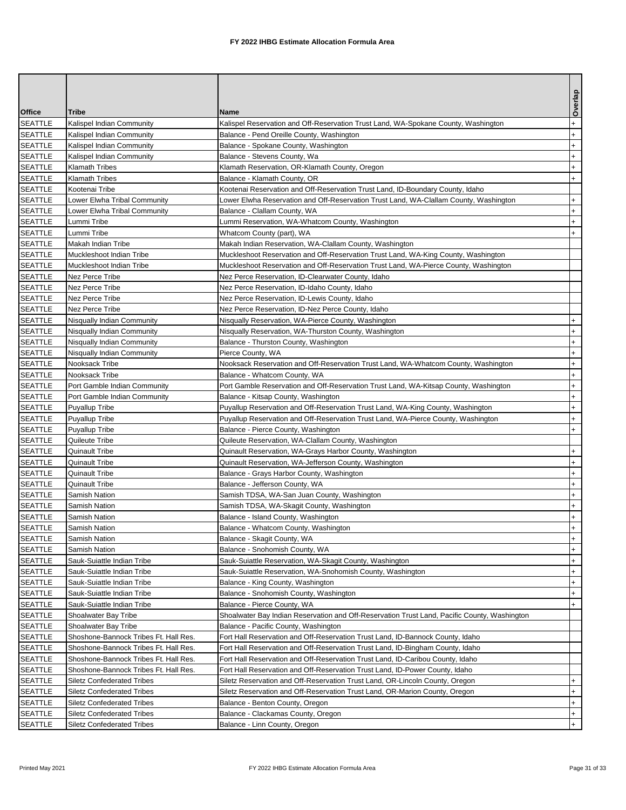|                           |                                                          |                                                                                                                             | Overlap          |
|---------------------------|----------------------------------------------------------|-----------------------------------------------------------------------------------------------------------------------------|------------------|
| <b>Office</b>             | Tribe                                                    | Name                                                                                                                        |                  |
| SEATTLE                   | Kalispel Indian Community                                | Kalispel Reservation and Off-Reservation Trust Land, WA-Spokane County, Washington                                          | $\ddot{}$        |
| SEATTLE                   | Kalispel Indian Community                                | Balance - Pend Oreille County, Washington                                                                                   | $+$              |
| <b>SEATTLE</b>            | Kalispel Indian Community                                | Balance - Spokane County, Washington                                                                                        | $\ddot{}$        |
| SEATTLE                   | Kalispel Indian Community                                | Balance - Stevens County, Wa                                                                                                | $\ddot{}$        |
| <b>SEATTLE</b>            | <b>Klamath Tribes</b>                                    | Klamath Reservation, OR-Klamath County, Oregon                                                                              | $\ddot{}$        |
| SEATTLE                   | <b>Klamath Tribes</b>                                    | Balance - Klamath County, OR                                                                                                | $+$              |
| <b>SEATTLE</b>            | Kootenai Tribe                                           | Kootenai Reservation and Off-Reservation Trust Land, ID-Boundary County, Idaho                                              |                  |
| SEATTLE                   | Lower Elwha Tribal Community                             | Lower Elwha Reservation and Off-Reservation Trust Land, WA-Clallam County, Washington                                       | $+$              |
| SEATTLE                   | Lower Elwha Tribal Community                             | Balance - Clallam County, WA                                                                                                | $\ddot{}$        |
| SEATTLE                   | Lummi Tribe                                              | Lummi Reservation, WA-Whatcom County, Washington                                                                            | $\ddot{}$<br>$+$ |
| <b>SEATTLE</b><br>SEATTLE | Lummi Tribe                                              | Whatcom County (part), WA<br>Makah Indian Reservation, WA-Clallam County, Washington                                        |                  |
| <b>SEATTLE</b>            | Makah Indian Tribe<br>Muckleshoot Indian Tribe           | Muckleshoot Reservation and Off-Reservation Trust Land, WA-King County, Washington                                          |                  |
| <b>SEATTLE</b>            | Muckleshoot Indian Tribe                                 | Muckleshoot Reservation and Off-Reservation Trust Land, WA-Pierce County, Washington                                        |                  |
| SEATTLE                   | Nez Perce Tribe                                          | Nez Perce Reservation, ID-Clearwater County, Idaho                                                                          |                  |
| SEATTLE                   | Nez Perce Tribe                                          | Nez Perce Reservation, ID-Idaho County, Idaho                                                                               |                  |
| SEATTLE                   | Nez Perce Tribe                                          | Nez Perce Reservation, ID-Lewis County, Idaho                                                                               |                  |
| <b>SEATTLE</b>            | Nez Perce Tribe                                          | Nez Perce Reservation, ID-Nez Perce County, Idaho                                                                           |                  |
| SEATTLE                   | Nisqually Indian Community                               | Nisqually Reservation, WA-Pierce County, Washington                                                                         | $+$              |
| SEATTLE                   | Nisqually Indian Community                               | Nisqually Reservation, WA-Thurston County, Washington                                                                       | $\ddot{}$        |
| SEATTLE                   | Nisqually Indian Community                               | Balance - Thurston County, Washington                                                                                       | $\ddot{}$        |
| <b>SEATTLE</b>            | Nisqually Indian Community                               | Pierce County, WA                                                                                                           | $^{+}$           |
| <b>SEATTLE</b>            | Nooksack Tribe                                           | Nooksack Reservation and Off-Reservation Trust Land, WA-Whatcom County, Washington                                          | $\ddot{}$        |
| SEATTLE                   | Nooksack Tribe                                           | Balance - Whatcom County, WA                                                                                                | $+$              |
| SEATTLE                   | Port Gamble Indian Community                             | Port Gamble Reservation and Off-Reservation Trust Land, WA-Kitsap County, Washington                                        | $\ddot{}$        |
| <b>SEATTLE</b>            | Port Gamble Indian Community                             | Balance - Kitsap County, Washington                                                                                         | $+$              |
| <b>SEATTLE</b>            | <b>Puyallup Tribe</b>                                    | Puyallup Reservation and Off-Reservation Trust Land, WA-King County, Washington                                             | $+$              |
| <b>SEATTLE</b>            | <b>Puyallup Tribe</b>                                    | Puyallup Reservation and Off-Reservation Trust Land, WA-Pierce County, Washington                                           | $\ddot{}$        |
| <b>SEATTLE</b>            | <b>Puyallup Tribe</b>                                    | Balance - Pierce County, Washington                                                                                         | $\ddot{}$        |
| <b>SEATTLE</b>            | Quileute Tribe                                           | Quileute Reservation, WA-Clallam County, Washington                                                                         |                  |
| SEATTLE                   | <b>Quinault Tribe</b>                                    | Quinault Reservation, WA-Grays Harbor County, Washington                                                                    | $+$              |
| <b>SEATTLE</b>            | <b>Quinault Tribe</b>                                    | Quinault Reservation, WA-Jefferson County, Washington                                                                       | $\ddot{}$        |
| SEATTLE                   | <b>Quinault Tribe</b>                                    | Balance - Grays Harbor County, Washington                                                                                   | $+$              |
| <b>SEATTLE</b>            | Quinault Tribe                                           | Balance - Jefferson County, WA                                                                                              | $\ddot{}$        |
| <b>SEATTLE</b>            | Samish Nation                                            | Samish TDSA, WA-San Juan County, Washington                                                                                 | $+$              |
| SEATTLE                   | Samish Nation                                            | Samish TDSA, WA-Skagit County, Washington                                                                                   | $\ddot{}$        |
| SEATTLE                   | Samish Nation                                            | Balance - Island County, Washington                                                                                         | $\ddot{}$        |
| SEATTLE                   | Samish Nation                                            | Balance - Whatcom County, Washington                                                                                        | $\ddot{}$        |
| <b>SEATTLE</b>            | Samish Nation                                            | Balance - Skagit County, WA                                                                                                 | $+$              |
| SEATTLE                   | Samish Nation                                            | Balance - Snohomish County, WA                                                                                              | $+$              |
| SEATTLE                   | Sauk-Suiattle Indian Tribe                               | Sauk-Suiattle Reservation, WA-Skagit County, Washington                                                                     | $+$              |
| SEATTLE                   | Sauk-Suiattle Indian Tribe                               | Sauk-Suiattle Reservation, WA-Snohomish County, Washington                                                                  | $+$              |
| SEATTLE                   | Sauk-Suiattle Indian Tribe<br>Sauk-Suiattle Indian Tribe | Balance - King County, Washington<br>Balance - Snohomish County, Washington                                                 | $+$              |
| SEATTLE<br>SEATTLE        |                                                          |                                                                                                                             | $+$<br>$+$       |
| SEATTLE                   | Sauk-Suiattle Indian Tribe<br>Shoalwater Bay Tribe       | Balance - Pierce County, WA<br>Shoalwater Bay Indian Reservation and Off-Reservation Trust Land, Pacific County, Washington |                  |
| <b>SEATTLE</b>            | Shoalwater Bay Tribe                                     | Balance - Pacific County, Washington                                                                                        |                  |
| SEATTLE                   | Shoshone-Bannock Tribes Ft. Hall Res.                    | Fort Hall Reservation and Off-Reservation Trust Land, ID-Bannock County, Idaho                                              |                  |
| SEATTLE                   | Shoshone-Bannock Tribes Ft. Hall Res.                    | Fort Hall Reservation and Off-Reservation Trust Land, ID-Bingham County, Idaho                                              |                  |
| SEATTLE                   | Shoshone-Bannock Tribes Ft. Hall Res.                    | Fort Hall Reservation and Off-Reservation Trust Land, ID-Caribou County, Idaho                                              |                  |
| SEATTLE                   | Shoshone-Bannock Tribes Ft. Hall Res.                    | Fort Hall Reservation and Off-Reservation Trust Land, ID-Power County, Idaho                                                |                  |
| SEATTLE                   | <b>Siletz Confederated Tribes</b>                        | Siletz Reservation and Off-Reservation Trust Land, OR-Lincoln County, Oregon                                                | $+$              |
| SEATTLE                   | <b>Siletz Confederated Tribes</b>                        | Siletz Reservation and Off-Reservation Trust Land, OR-Marion County, Oregon                                                 | $\ddot{}$        |
| SEATTLE                   | <b>Siletz Confederated Tribes</b>                        | Balance - Benton County, Oregon                                                                                             | $+$              |
| <b>SEATTLE</b>            | <b>Siletz Confederated Tribes</b>                        | Balance - Clackamas County, Oregon                                                                                          | $\ddot{}$        |
| <b>SEATTLE</b>            | <b>Siletz Confederated Tribes</b>                        | Balance - Linn County, Oregon                                                                                               | $+$              |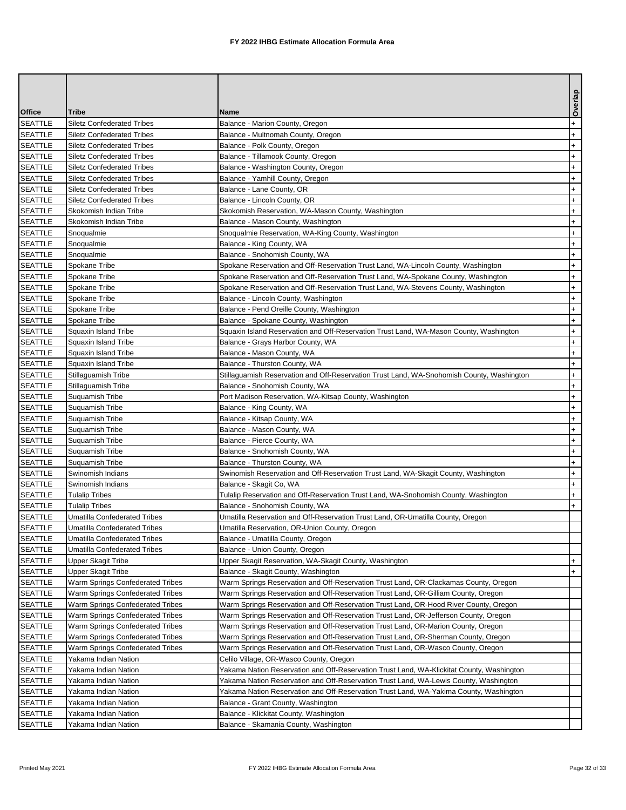| <b>Office</b><br><b>Tribe</b><br>Name<br><b>SEATTLE</b><br><b>Siletz Confederated Tribes</b><br>Balance - Marion County, Oregon                              | Overlap<br>$\ddot{}$<br>$\ddot{}$ |
|--------------------------------------------------------------------------------------------------------------------------------------------------------------|-----------------------------------|
|                                                                                                                                                              |                                   |
|                                                                                                                                                              |                                   |
| SEATTLE<br><b>Siletz Confederated Tribes</b><br>Balance - Multnomah County, Oregon                                                                           |                                   |
| <b>SEATTLE</b><br>Balance - Polk County, Oregon<br><b>Siletz Confederated Tribes</b>                                                                         | $+$                               |
| <b>SEATTLE</b><br><b>Siletz Confederated Tribes</b><br>Balance - Tillamook County, Oregon                                                                    | $+$                               |
| <b>SEATTLE</b><br><b>Siletz Confederated Tribes</b><br>Balance - Washington County, Oregon                                                                   | $\ddot{}$                         |
| <b>SEATTLE</b><br><b>Siletz Confederated Tribes</b><br>Balance - Yamhill County, Oregon                                                                      | $\ddot{}$                         |
| <b>SEATTLE</b><br>Balance - Lane County, OR<br><b>Siletz Confederated Tribes</b>                                                                             | $\ddot{}$                         |
| <b>SEATTLE</b><br>Balance - Lincoln County, OR<br><b>Siletz Confederated Tribes</b>                                                                          | $\ddot{}$                         |
| SEATTLE<br>Skokomish Indian Tribe<br>Skokomish Reservation, WA-Mason County, Washington                                                                      | $+$                               |
| SEATTLE<br>Balance - Mason County, Washington<br>Skokomish Indian Tribe                                                                                      | $\ddot{}$                         |
| SEATTLE<br>Snoqualmie<br>Snoqualmie Reservation, WA-King County, Washington                                                                                  | $\ddot{}$                         |
| <b>SEATTLE</b><br>Snoqualmie<br>Balance - King County, WA                                                                                                    | $+$                               |
| <b>SEATTLE</b><br>Snoqualmie<br>Balance - Snohomish County, WA                                                                                               | $+$                               |
| <b>SEATTLE</b><br>Spokane Tribe<br>Spokane Reservation and Off-Reservation Trust Land, WA-Lincoln County, Washington                                         | $+$                               |
| Spokane Tribe<br>Spokane Reservation and Off-Reservation Trust Land, WA-Spokane County, Washington<br><b>SEATTLE</b>                                         | $\ddot{}$                         |
| <b>SEATTLE</b><br>Spokane Reservation and Off-Reservation Trust Land, WA-Stevens County, Washington<br>Spokane Tribe                                         | $^{+}$                            |
| <b>SEATTLE</b><br>Spokane Tribe<br>Balance - Lincoln County, Washington                                                                                      | $\ddot{}$                         |
| SEATTLE<br>Spokane Tribe<br>Balance - Pend Oreille County, Washington                                                                                        | $+$                               |
| <b>SEATTLE</b><br>Spokane Tribe<br>Balance - Spokane County, Washington                                                                                      | $\ddot{}$                         |
| <b>SEATTLE</b><br>Squaxin Island Reservation and Off-Reservation Trust Land, WA-Mason County, Washington<br>Squaxin Island Tribe                             | $\ddot{}$                         |
| SEATTLE<br>Balance - Grays Harbor County, WA<br>Squaxin Island Tribe<br><b>SEATTLE</b><br>Balance - Mason County, WA<br>Squaxin Island Tribe                 | $^{+}$<br>$+$                     |
| <b>SEATTLE</b><br>Squaxin Island Tribe<br>Balance - Thurston County, WA                                                                                      | $\ddot{}$                         |
| SEATTLE<br>Stillaguamish Tribe<br>Stillaguamish Reservation and Off-Reservation Trust Land, WA-Snohomish County, Washington                                  | $\ddot{}$                         |
| <b>SEATTLE</b><br>Balance - Snohomish County, WA<br>Stillaguamish Tribe                                                                                      | $\ddot{}$                         |
| <b>SEATTLE</b><br>Port Madison Reservation, WA-Kitsap County, Washington<br>Suquamish Tribe                                                                  | $\ddot{}$                         |
| <b>SEATTLE</b><br>Suquamish Tribe<br>Balance - King County, WA                                                                                               | $+$                               |
| <b>SEATTLE</b><br>Balance - Kitsap County, WA<br>Suquamish Tribe                                                                                             | $\ddot{}$                         |
| <b>SEATTLE</b><br>Balance - Mason County, WA<br>Suquamish Tribe                                                                                              | $+$                               |
| <b>SEATTLE</b><br>Balance - Pierce County, WA<br>Suquamish Tribe                                                                                             | $^{+}$                            |
| <b>SEATTLE</b><br>Balance - Snohomish County, WA<br>Suquamish Tribe                                                                                          | $\ddot{}$                         |
| <b>SEATTLE</b><br>Balance - Thurston County, WA<br>Suquamish Tribe                                                                                           | $\ddot{}$                         |
| Swinomish Reservation and Off-Reservation Trust Land, WA-Skagit County, Washington<br><b>SEATTLE</b><br>Swinomish Indians                                    | $\ddot{}$                         |
| <b>SEATTLE</b><br>Swinomish Indians<br>Balance - Skagit Co, WA                                                                                               | $+$                               |
| <b>SEATTLE</b><br>Tulalip Reservation and Off-Reservation Trust Land, WA-Snohomish County, Washington<br><b>Tulalip Tribes</b>                               | $+$                               |
| <b>SEATTLE</b><br><b>Tulalip Tribes</b><br>Balance - Snohomish County, WA                                                                                    | $+$                               |
| Umatilla Reservation and Off-Reservation Trust Land, OR-Umatilla County, Oregon<br><b>SEATTLE</b><br><b>Umatilla Confederated Tribes</b>                     |                                   |
| <b>SEATTLE</b><br>Umatilla Reservation, OR-Union County, Oregon<br><b>Umatilla Confederated Tribes</b>                                                       |                                   |
| <b>SEATTLE</b><br><b>Umatilla Confederated Tribes</b><br>Balance - Umatilla County, Oregon                                                                   |                                   |
| <b>SEATTLE</b><br>Umatilla Confederated Tribes<br>Balance - Union County, Oregon                                                                             |                                   |
| <b>SEATTLE</b><br>Upper Skagit Tribe<br>Upper Skagit Reservation, WA-Skagit County, Washington                                                               | $+$                               |
| <b>SEATTLE</b><br>Upper Skagit Tribe<br>Balance - Skagit County, Washington                                                                                  | $+$                               |
| <b>SEATTLE</b><br>Warm Springs Reservation and Off-Reservation Trust Land, OR-Clackamas County, Oregon<br>Warm Springs Confederated Tribes                   |                                   |
| SEATTLE<br>Warm Springs Confederated Tribes<br>Warm Springs Reservation and Off-Reservation Trust Land, OR-Gilliam County, Oregon                            |                                   |
| SEATTLE<br>Warm Springs Confederated Tribes<br>Warm Springs Reservation and Off-Reservation Trust Land, OR-Hood River County, Oregon                         |                                   |
| <b>SEATTLE</b><br>Warm Springs Confederated Tribes<br>Warm Springs Reservation and Off-Reservation Trust Land, OR-Jefferson County, Oregon                   |                                   |
| <b>SEATTLE</b><br>Warm Springs Confederated Tribes<br>Warm Springs Reservation and Off-Reservation Trust Land, OR-Marion County, Oregon                      |                                   |
| <b>SEATTLE</b><br>Warm Springs Confederated Tribes<br>Warm Springs Reservation and Off-Reservation Trust Land, OR-Sherman County, Oregon                     |                                   |
| <b>SEATTLE</b><br>Warm Springs Confederated Tribes<br>Warm Springs Reservation and Off-Reservation Trust Land, OR-Wasco County, Oregon                       |                                   |
| SEATTLE<br>Yakama Indian Nation<br>Celilo Village, OR-Wasco County, Oregon                                                                                   |                                   |
| <b>SEATTLE</b><br>Yakama Indian Nation<br>Yakama Nation Reservation and Off-Reservation Trust Land, WA-Klickitat County, Washington                          |                                   |
| <b>SEATTLE</b><br>Yakama Nation Reservation and Off-Reservation Trust Land, WA-Lewis County, Washington<br>Yakama Indian Nation                              |                                   |
| SEATTLE<br>Yakama Nation Reservation and Off-Reservation Trust Land, WA-Yakima County, Washington<br>Yakama Indian Nation<br>SEATTLE<br>Yakama Indian Nation |                                   |
| Balance - Grant County, Washington<br><b>SEATTLE</b><br>Yakama Indian Nation<br>Balance - Klickitat County, Washington                                       |                                   |
| SEATTLE<br>Balance - Skamania County, Washington<br>Yakama Indian Nation                                                                                     |                                   |